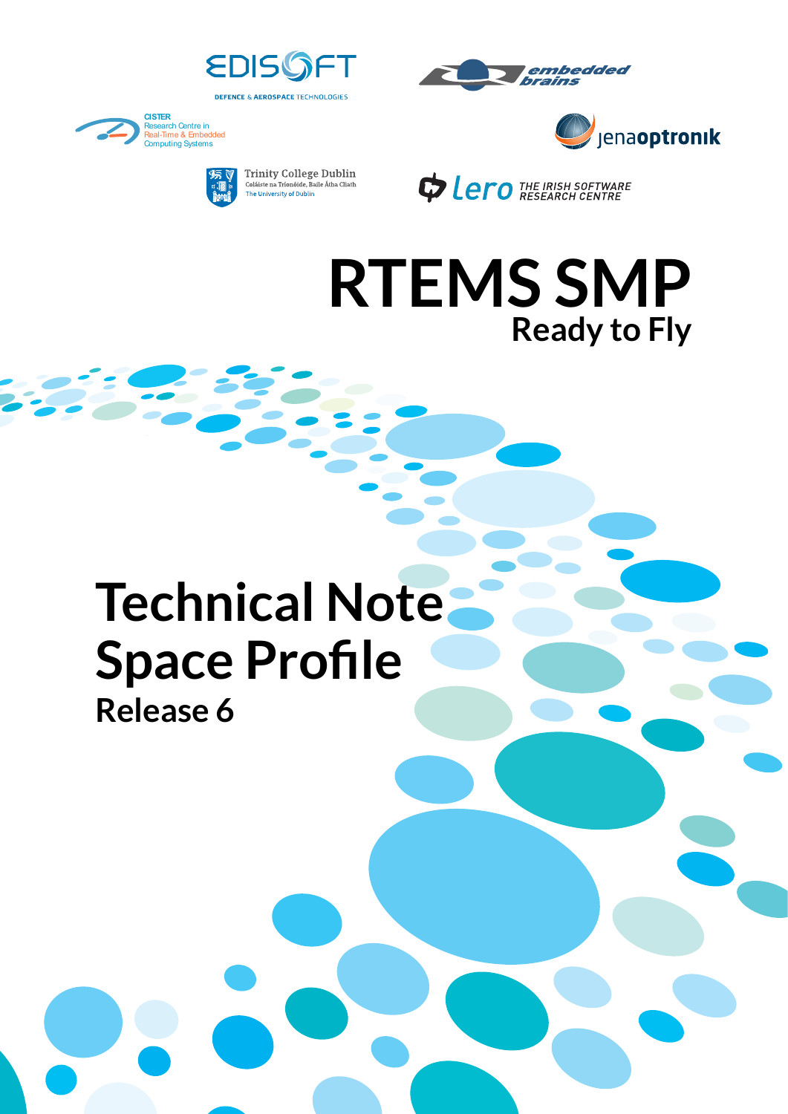









**CISTER**





# **RTEMS SMP Ready to Fly**

# **Technical Note Space Profile Release 6**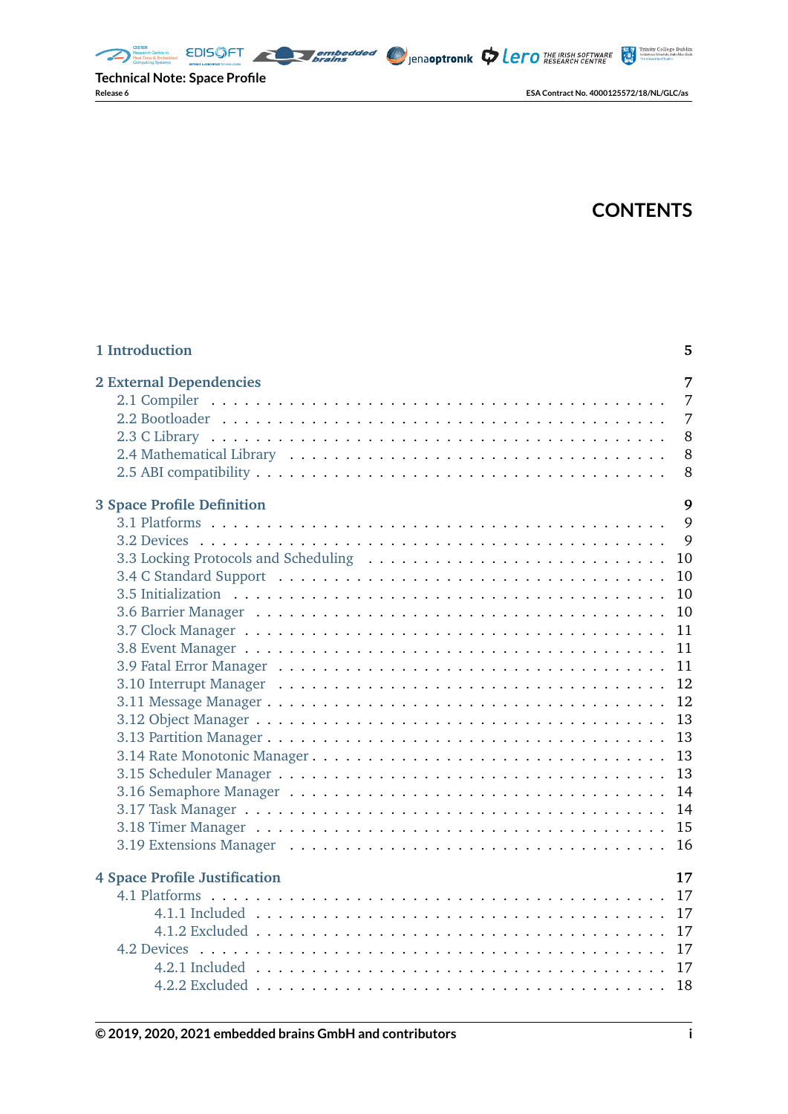



**Release 6 ESA Contract No. 4000125572/18/NL/GLC/as**

## **CONTENTS**

| 1 Introduction<br>5                        |
|--------------------------------------------|
| 7<br><b>2 External Dependencies</b>        |
| 7                                          |
| 7                                          |
| 8                                          |
| 8                                          |
| 8                                          |
| 9<br><b>3 Space Profile Definition</b>     |
| $\mathbf Q$                                |
| 9                                          |
| 10                                         |
| 10                                         |
| 10                                         |
| 10                                         |
| 11                                         |
| 11                                         |
| 11                                         |
| 12                                         |
| 12                                         |
| 13                                         |
| 13                                         |
| 13                                         |
| 13                                         |
| 14                                         |
| 14                                         |
| 15                                         |
| 16                                         |
| <b>4 Space Profile Justification</b><br>17 |
| 17                                         |
| 17                                         |
| 17                                         |
| 17                                         |
| 17                                         |
| 18                                         |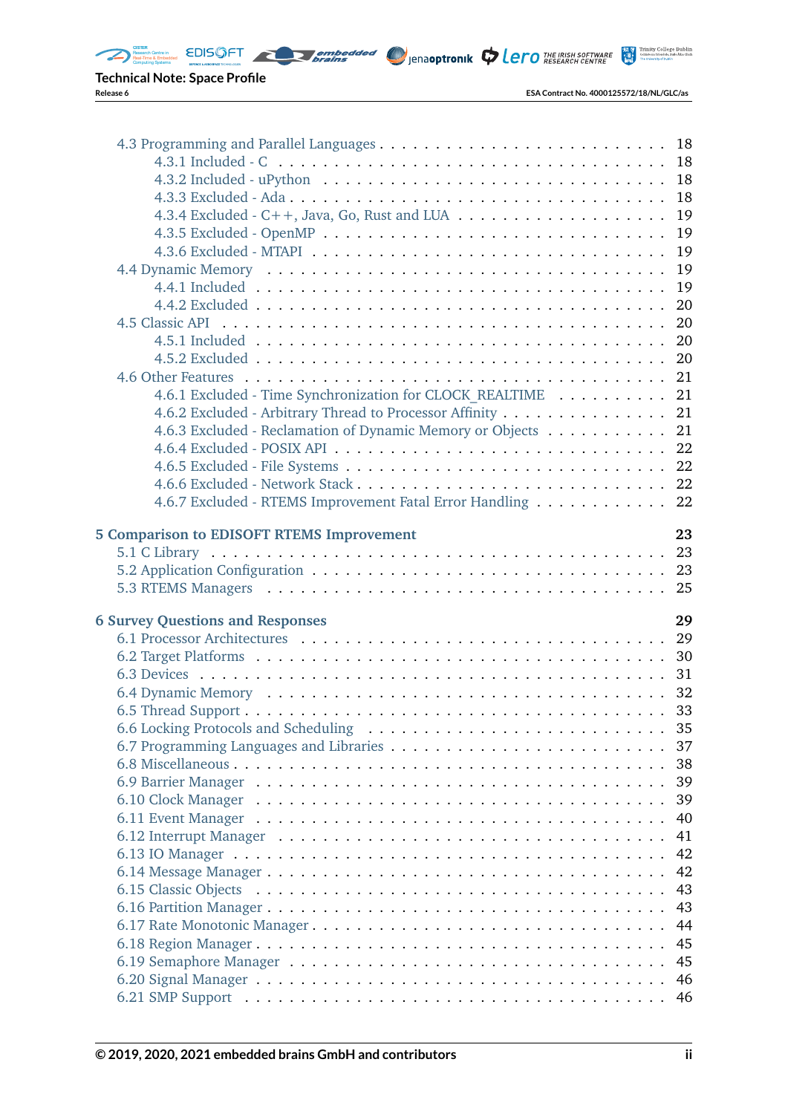**CISTER** Research Centre in Real-Time & Embedded Computing Systems

**Technical Note: Space Profile**

**Release 6 ESA Contract No. 4000125572/18/NL/GLC/as**

|                                                           | 18        |
|-----------------------------------------------------------|-----------|
|                                                           | 18        |
|                                                           | 18        |
|                                                           | 18        |
|                                                           | 19        |
|                                                           | 19        |
|                                                           | 19        |
|                                                           | 19        |
|                                                           | 19        |
|                                                           | 20        |
|                                                           | 20        |
|                                                           | 20        |
|                                                           | 20        |
|                                                           |           |
|                                                           |           |
| 4.6.1 Excluded - Time Synchronization for CLOCK REALTIME  | 21        |
| 4.6.2 Excluded - Arbitrary Thread to Processor Affinity   | 21        |
| 4.6.3 Excluded - Reclamation of Dynamic Memory or Objects | 21        |
|                                                           | 22        |
|                                                           | 22        |
|                                                           |           |
| 4.6.7 Excluded - RTEMS Improvement Fatal Error Handling   | 22        |
|                                                           |           |
| <b>5 Comparison to EDISOFT RTEMS Improvement</b>          | 23        |
|                                                           |           |
|                                                           |           |
|                                                           |           |
|                                                           |           |
|                                                           |           |
| <b>6 Survey Questions and Responses</b>                   | 29        |
|                                                           | 29        |
|                                                           | 30        |
|                                                           | 31        |
|                                                           |           |
|                                                           |           |
|                                                           | 35        |
|                                                           | 37        |
|                                                           | 38        |
|                                                           | 39        |
|                                                           | 39        |
|                                                           | 40        |
|                                                           | 41        |
|                                                           | 42        |
|                                                           | 42        |
|                                                           | 43        |
|                                                           |           |
|                                                           | 43        |
|                                                           | 44        |
|                                                           | 45        |
|                                                           | 45        |
|                                                           | 46<br>-46 |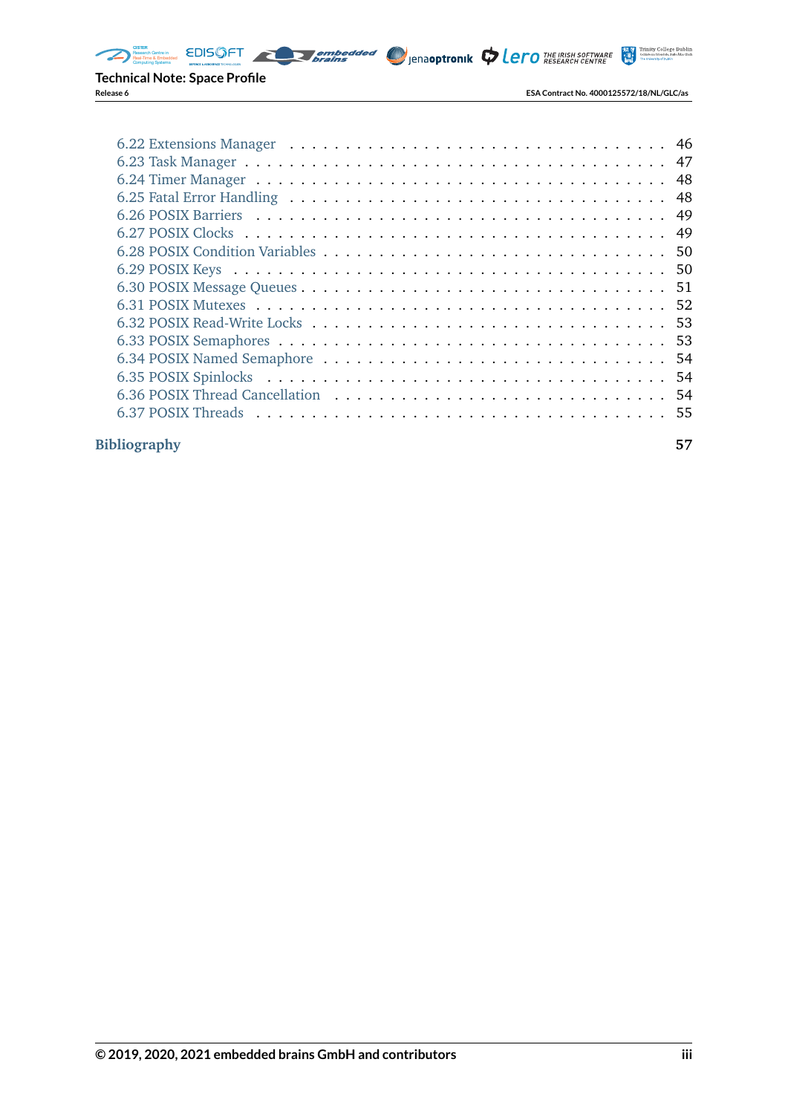

**Release 6 ESA Contract No. 4000125572/18/NL/GLC/as**

#### **[Bibliography](#page-61-0) 57**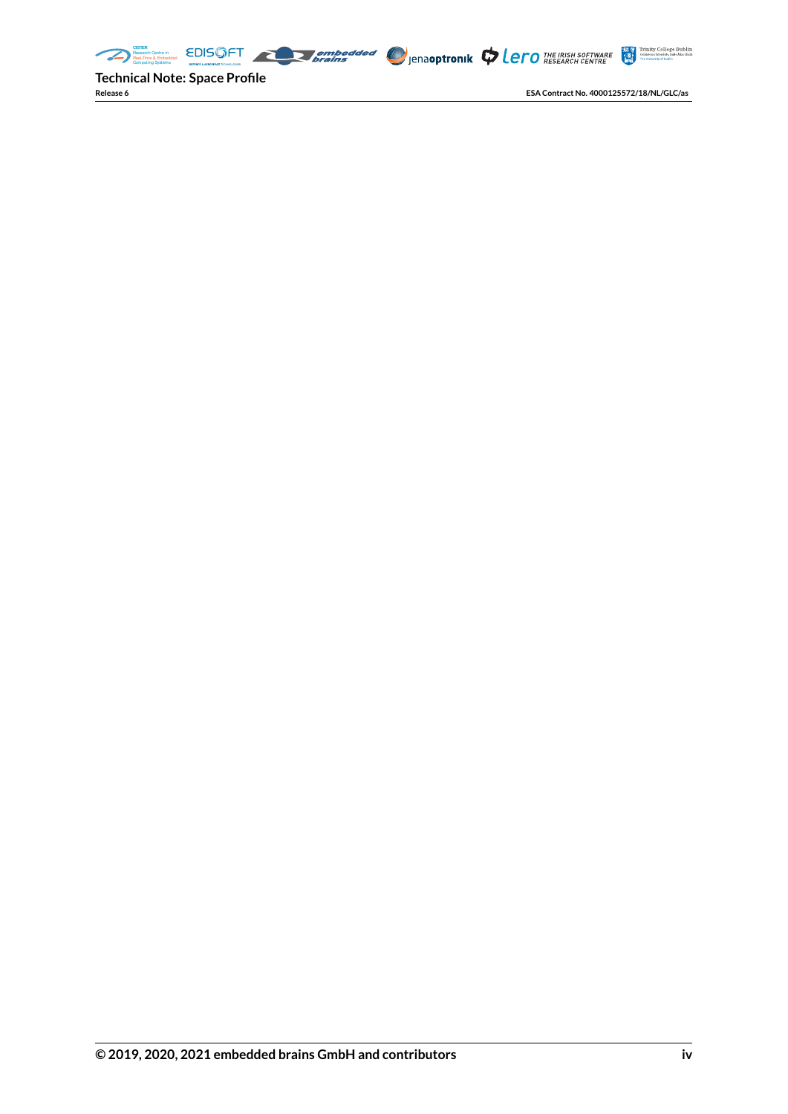





**Release 6 ESA Contract No. 4000125572/18/NL/GLC/as**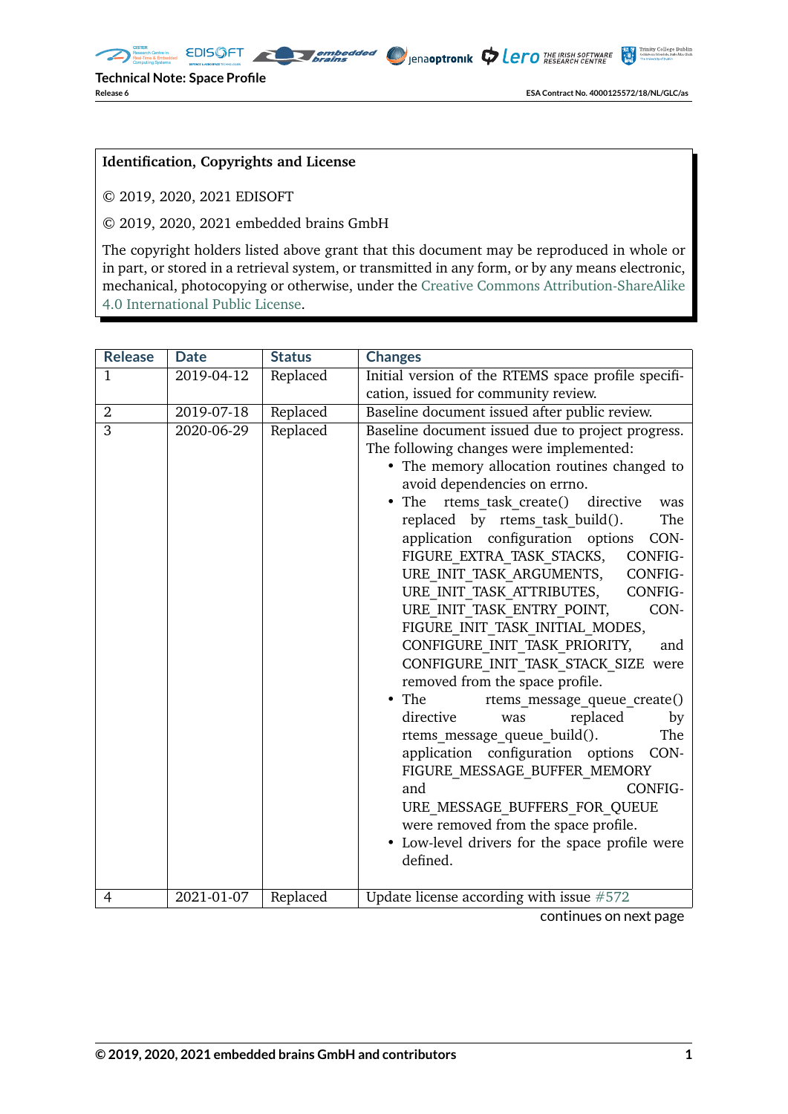

**Release 6 ESA Contract No. 4000125572/18/NL/GLC/as**

#### **Identification, Copyrights and License**

© 2019, 2020, 2021 EDISOFT

© 2019, 2020, 2021 embedded brains GmbH

The copyright holders listed above grant that this document may be reproduced in whole or in part, or stored in a retrieval system, or transmitted in any form, or by any means electronic, mechanical, photocopying or otherwise, under the [Creative Commons Attribution-ShareAlike](https://creativecommons.org/licenses/by-sa/4.0/legalcode) [4.0 International Public License.](https://creativecommons.org/licenses/by-sa/4.0/legalcode)

| <b>Release</b> | <b>Date</b> | <b>Status</b> | <b>Changes</b>                                                        |
|----------------|-------------|---------------|-----------------------------------------------------------------------|
| $\mathbf{1}$   | 2019-04-12  | Replaced      | Initial version of the RTEMS space profile specifi-                   |
|                |             |               | cation, issued for community review.                                  |
| $\overline{2}$ | 2019-07-18  | Replaced      | Baseline document issued after public review.                         |
| $\overline{3}$ | 2020-06-29  | Replaced      | Baseline document issued due to project progress.                     |
|                |             |               | The following changes were implemented:                               |
|                |             |               | • The memory allocation routines changed to                           |
|                |             |               | avoid dependencies on errno.                                          |
|                |             |               | • The rtems_task_create() directive<br>was                            |
|                |             |               | replaced by rtems task build().<br>The                                |
|                |             |               | application configuration options<br>CON-                             |
|                |             |               | FIGURE EXTRA TASK STACKS,<br>CONFIG-                                  |
|                |             |               | URE INIT TASK ARGUMENTS,<br>CONFIG-                                   |
|                |             |               | URE INIT TASK ATTRIBUTES,<br>CONFIG-                                  |
|                |             |               | URE INIT TASK ENTRY POINT,<br>CON-<br>FIGURE INIT TASK INITIAL MODES, |
|                |             |               | CONFIGURE INIT TASK PRIORITY,<br>and                                  |
|                |             |               | CONFIGURE INIT TASK STACK SIZE were                                   |
|                |             |               | removed from the space profile.                                       |
|                |             |               | $\bullet$ The<br>rtems message queue create()                         |
|                |             |               | replaced<br>directive<br>was<br>by                                    |
|                |             |               | rtems_message_queue_build().<br>The                                   |
|                |             |               | application configuration options<br>CON-                             |
|                |             |               | FIGURE MESSAGE BUFFER MEMORY                                          |
|                |             |               | and<br>CONFIG-                                                        |
|                |             |               | URE MESSAGE BUFFERS FOR QUEUE                                         |
|                |             |               | were removed from the space profile.                                  |
|                |             |               | • Low-level drivers for the space profile were                        |
|                |             |               | defined.                                                              |
|                |             |               |                                                                       |
| $\overline{4}$ | 2021-01-07  | Replaced      | Update license according with issue $#572$                            |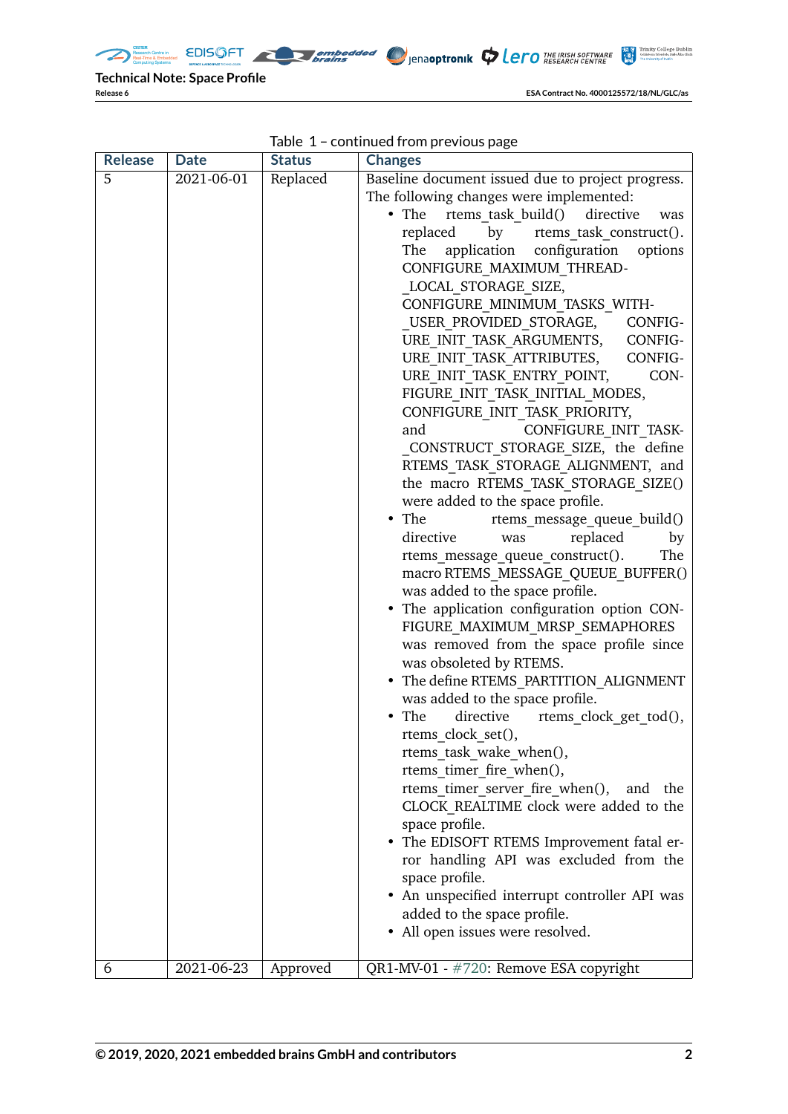

**Release 6 ESA Contract No. 4000125572/18/NL/GLC/as**

| <b>Release</b> | <b>Date</b> | <b>Status</b> | <b>Changes</b>                                                  |  |  |
|----------------|-------------|---------------|-----------------------------------------------------------------|--|--|
| 5              | 2021-06-01  | Replaced      | Baseline document issued due to project progress.               |  |  |
|                |             |               | The following changes were implemented:                         |  |  |
|                |             |               | rtems task build() directive<br>• The<br>was                    |  |  |
|                |             |               | by<br>rtems task construct().<br>replaced                       |  |  |
|                |             |               | application<br>The<br>configuration<br>options                  |  |  |
|                |             |               | CONFIGURE MAXIMUM THREAD-                                       |  |  |
|                |             |               | LOCAL STORAGE SIZE,                                             |  |  |
|                |             |               | CONFIGURE MINIMUM TASKS WITH-                                   |  |  |
|                |             |               | USER PROVIDED STORAGE,<br>CONFIG-                               |  |  |
|                |             |               | URE INIT TASK ARGUMENTS,<br>CONFIG-                             |  |  |
|                |             |               | URE INIT TASK ATTRIBUTES,<br>CONFIG-                            |  |  |
|                |             |               | CON-<br>URE INIT TASK ENTRY POINT,                              |  |  |
|                |             |               | FIGURE INIT TASK INITIAL MODES,                                 |  |  |
|                |             |               | CONFIGURE INIT_TASK_PRIORITY,                                   |  |  |
|                |             |               | and<br>CONFIGURE INIT TASK-                                     |  |  |
|                |             |               | CONSTRUCT STORAGE SIZE, the define                              |  |  |
|                |             |               | RTEMS TASK STORAGE ALIGNMENT, and                               |  |  |
|                |             |               | the macro RTEMS TASK STORAGE SIZE()                             |  |  |
|                |             |               | were added to the space profile.                                |  |  |
|                |             |               | • The<br>rtems_message_queue build()                            |  |  |
|                |             |               | replaced<br>directive<br>by<br>was                              |  |  |
|                |             |               | The<br>rtems_message_queue_construct().                         |  |  |
|                |             |               | macro RTEMS MESSAGE QUEUE BUFFER()                              |  |  |
|                |             |               | was added to the space profile.                                 |  |  |
|                |             |               | • The application configuration option CON-                     |  |  |
|                |             |               | FIGURE MAXIMUM MRSP SEMAPHORES                                  |  |  |
|                |             |               | was removed from the space profile since                        |  |  |
|                |             |               | was obsoleted by RTEMS.                                         |  |  |
|                |             |               | • The define RTEMS PARTITION_ALIGNMENT                          |  |  |
|                |             |               | was added to the space profile.                                 |  |  |
|                |             |               | directive<br>rtems clock get tod(),<br>$\bullet$ The            |  |  |
|                |             |               | rtems clock set(),                                              |  |  |
|                |             |               | rtems task wake when(),                                         |  |  |
|                |             |               | rtems timer fire when(),                                        |  |  |
|                |             |               | rtems timer server fire when(), and the                         |  |  |
|                |             |               | CLOCK REALTIME clock were added to the                          |  |  |
|                |             |               | space profile.                                                  |  |  |
|                |             |               | • The EDISOFT RTEMS Improvement fatal er-                       |  |  |
|                |             |               | ror handling API was excluded from the                          |  |  |
|                |             |               | space profile.<br>• An unspecified interrupt controller API was |  |  |
|                |             |               | added to the space profile.                                     |  |  |
|                |             |               | • All open issues were resolved.                                |  |  |
|                |             |               |                                                                 |  |  |
| 6              | 2021-06-23  | Approved      | QR1-MV-01 - #720: Remove ESA copyright                          |  |  |

#### Table 1 – continued from previous page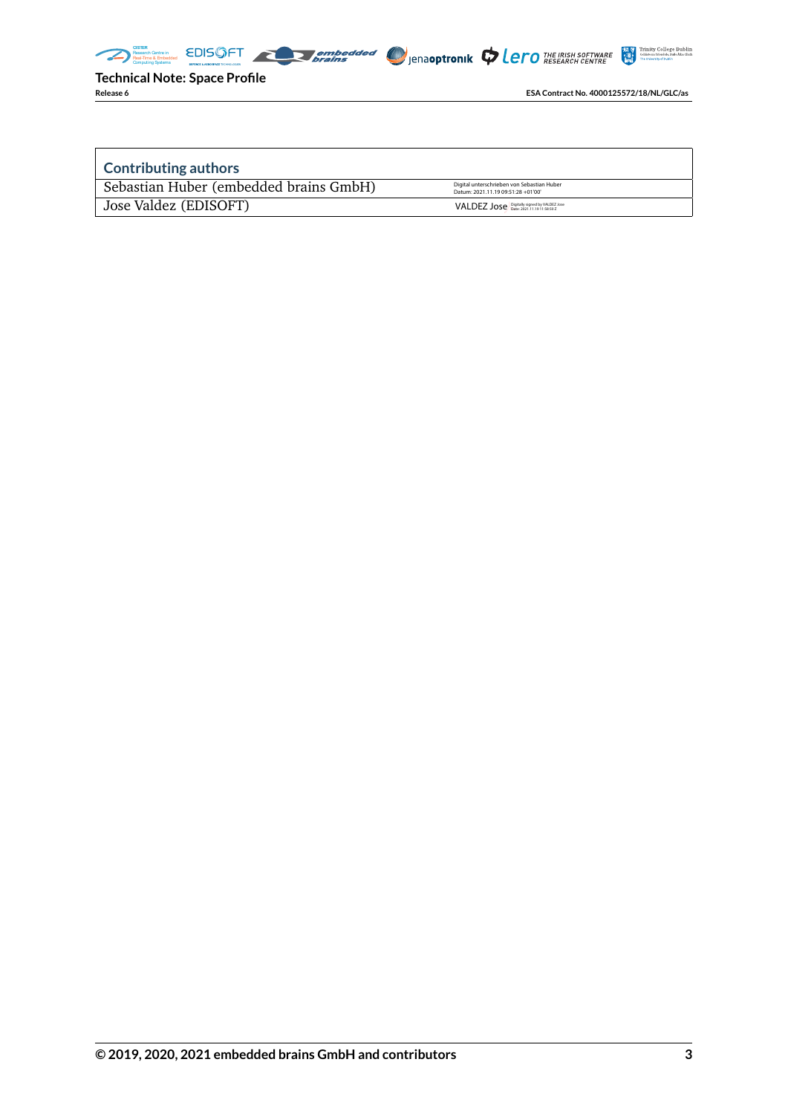





**Release 6 ESA Contract No. 4000125572/18/NL/GLC/as**

| <b>Contributing authors</b>            |                                                                                  |
|----------------------------------------|----------------------------------------------------------------------------------|
| Sebastian Huber (embedded brains GmbH) | Digital unterschrieben von Sebastian Huber<br>Datum: 2021.11.19 09:51:28 +01'00' |
| Jose Valdez (EDISOFT)                  | VALDEZ Jose Digitally signed by VALDEZ Jose                                      |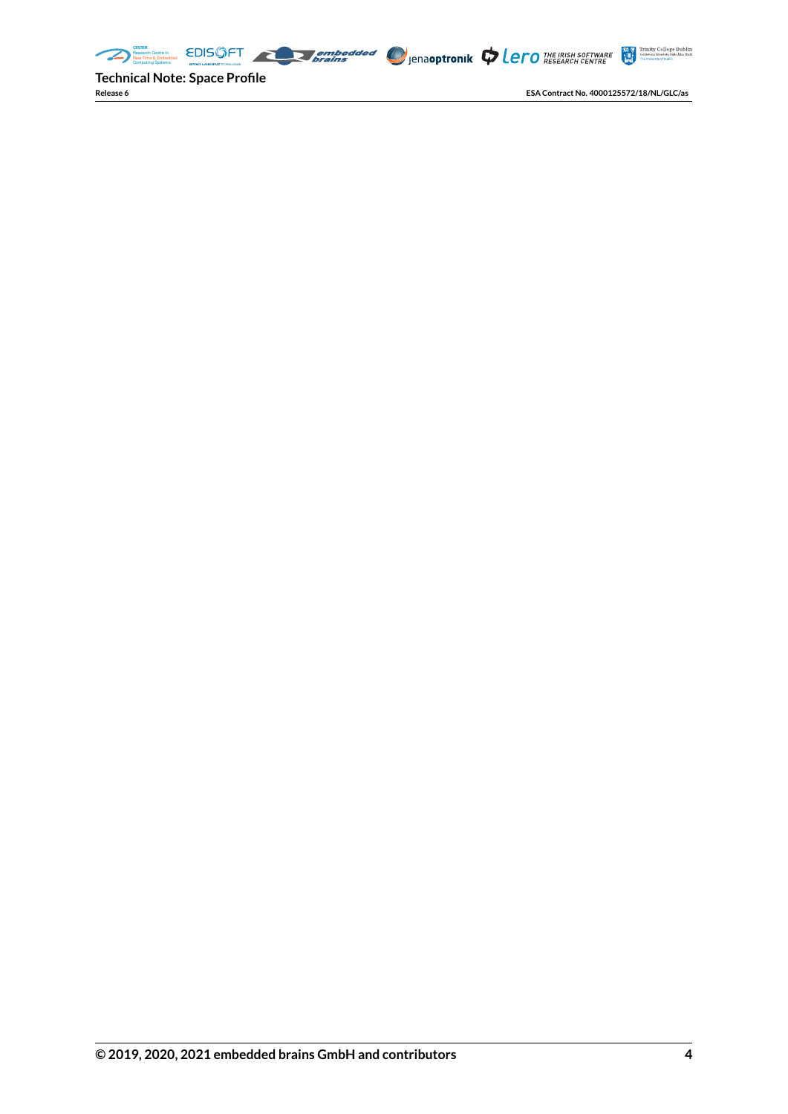





**Release 6 ESA Contract No. 4000125572/18/NL/GLC/as**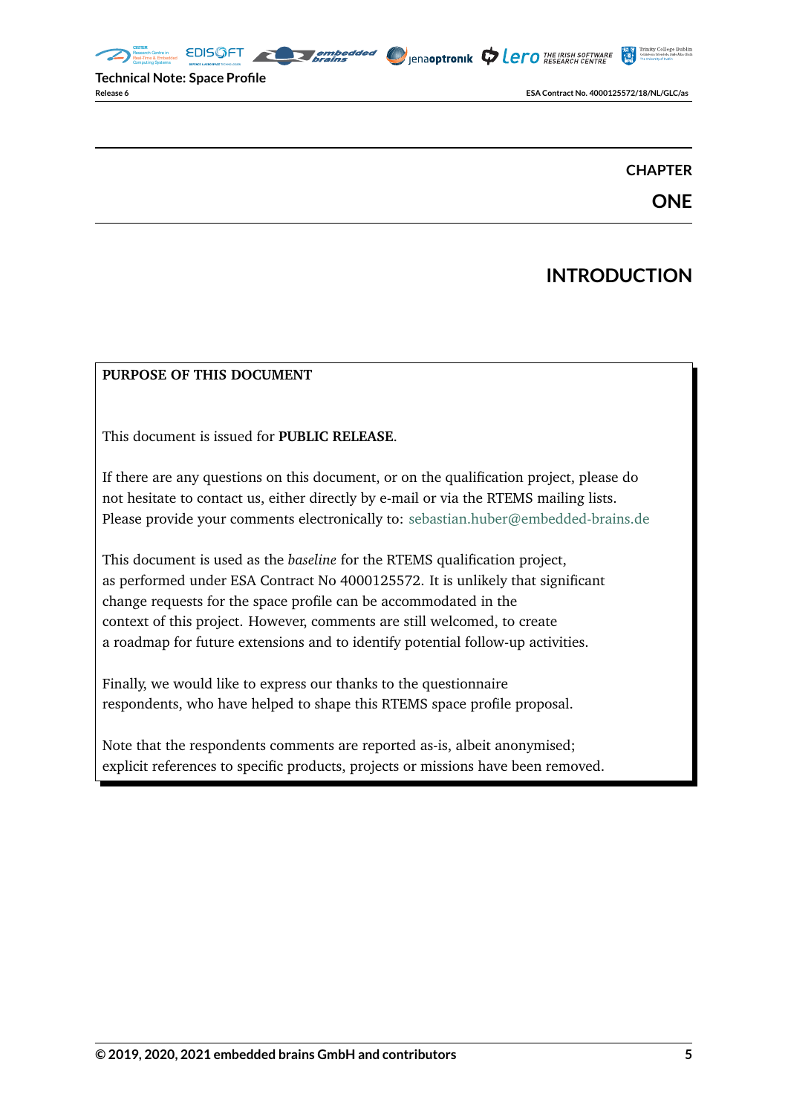

<span id="page-9-0"></span>



**Release 6 ESA Contract No. 4000125572/18/NL/GLC/as**

#### **CHAPTER**

**ONE**

## **INTRODUCTION**

#### **PURPOSE OF THIS DOCUMENT**

This document is issued for **PUBLIC RELEASE**.

If there are any questions on this document, or on the qualification project, please do not hesitate to contact us, either directly by e-mail or via the RTEMS mailing lists. Please provide your comments electronically to: [sebastian.huber@embedded-brains.de](mailto:sebastian.huber@embedded-brains.de)

This document is used as the *baseline* for the RTEMS qualification project, as performed under ESA Contract No 4000125572. It is unlikely that significant change requests for the space profile can be accommodated in the context of this project. However, comments are still welcomed, to create a roadmap for future extensions and to identify potential follow-up activities.

**Exampled** *embedded* 

Finally, we would like to express our thanks to the questionnaire respondents, who have helped to shape this RTEMS space profile proposal.

Note that the respondents comments are reported as-is, albeit anonymised; explicit references to specific products, projects or missions have been removed.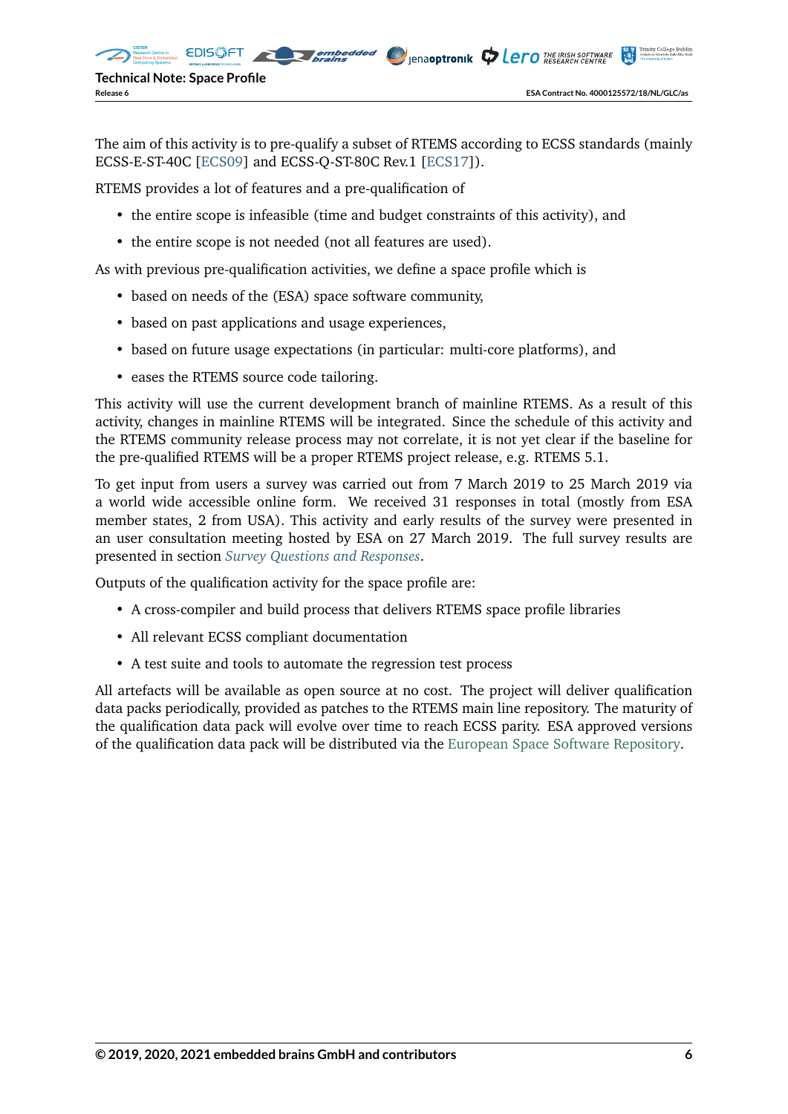**CONFIDENCE CONSUMING PROPERTY ARE ARCH CENTRE** 

**EDISGFT** 

**CISTER** Research Centre in Real-Time & Embedded Computing Systems

The aim of this activity is to pre-qualify a subset of RTEMS according to ECSS standards (mainly ECSS-E-ST-40C [\[ECS09\]](#page-61-1) and ECSS-Q-ST-80C Rev.1 [\[ECS17\]](#page-61-2)).

RTEMS provides a lot of features and a pre-qualification of

- the entire scope is infeasible (time and budget constraints of this activity), and
- the entire scope is not needed (not all features are used).

As with previous pre-qualification activities, we define a space profile which is

embedded

- based on needs of the (ESA) space software community,
- based on past applications and usage experiences,
- based on future usage expectations (in particular: multi-core platforms), and
- eases the RTEMS source code tailoring.

This activity will use the current development branch of mainline RTEMS. As a result of this activity, changes in mainline RTEMS will be integrated. Since the schedule of this activity and the RTEMS community release process may not correlate, it is not yet clear if the baseline for the pre-qualified RTEMS will be a proper RTEMS project release, e.g. RTEMS 5.1.

To get input from users a survey was carried out from 7 March 2019 to 25 March 2019 via a world wide accessible online form. We received 31 responses in total (mostly from ESA member states, 2 from USA). This activity and early results of the survey were presented in an user consultation meeting hosted by ESA on 27 March 2019. The full survey results are presented in section *[Survey Questions and Responses](#page-33-0)*.

Outputs of the qualification activity for the space profile are:

- A cross-compiler and build process that delivers RTEMS space profile libraries
- All relevant ECSS compliant documentation
- A test suite and tools to automate the regression test process

All artefacts will be available as open source at no cost. The project will deliver qualification data packs periodically, provided as patches to the RTEMS main line repository. The maturity of the qualification data pack will evolve over time to reach ECSS parity. ESA approved versions of the qualification data pack will be distributed via the [European Space Software Repository.](https://essr.esa.int)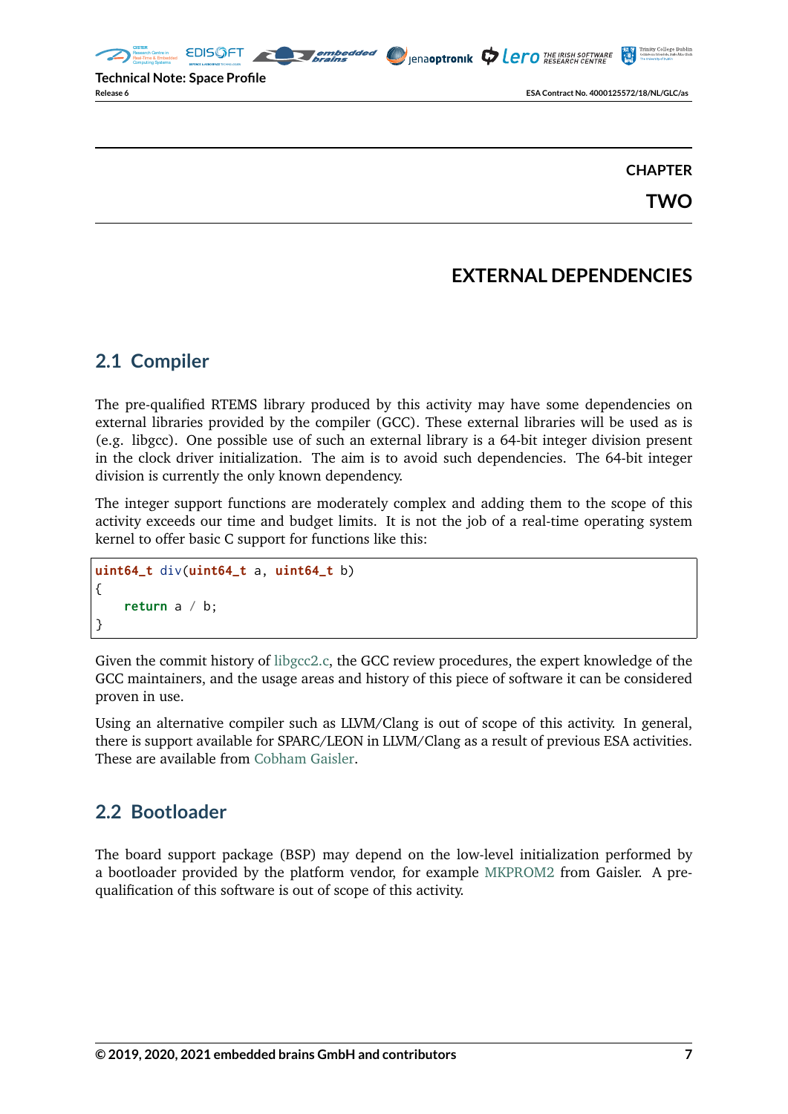<span id="page-11-0"></span>



**CHAPTER TWO**

**Trinity College Dublin** 

## **EXTERNAL DEPENDENCIES**

**OD** Jenaoptronik **C** Lero THE IRISH SOFTWARE

#### <span id="page-11-1"></span>**2.1 Compiler**

The pre-qualified RTEMS library produced by this activity may have some dependencies on external libraries provided by the compiler (GCC). These external libraries will be used as is (e.g. libgcc). One possible use of such an external library is a 64-bit integer division present in the clock driver initialization. The aim is to avoid such dependencies. The 64-bit integer division is currently the only known dependency.

embedded

The integer support functions are moderately complex and adding them to the scope of this activity exceeds our time and budget limits. It is not the job of a real-time operating system kernel to offer basic C support for functions like this:

```
uint64_t div(uint64_t a, uint64_t b)
{
    return a / b;
}
```
Given the commit history of [libgcc2.c,](https://gcc.gnu.org/viewcvs/gcc/trunk/libgcc/libgcc2.c) the GCC review procedures, the expert knowledge of the GCC maintainers, and the usage areas and history of this piece of software it can be considered proven in use.

Using an alternative compiler such as LLVM/Clang is out of scope of this activity. In general, there is support available for SPARC/LEON in LLVM/Clang as a result of previous ESA activities. These are available from [Cobham Gaisler.](https://www.gaisler.com/index.php/products/compilers)

#### <span id="page-11-2"></span>**2.2 Bootloader**

The board support package (BSP) may depend on the low-level initialization performed by a bootloader provided by the platform vendor, for example [MKPROM2](https://www.gaisler.com/doc/mkprom.pdf) from Gaisler. A prequalification of this software is out of scope of this activity.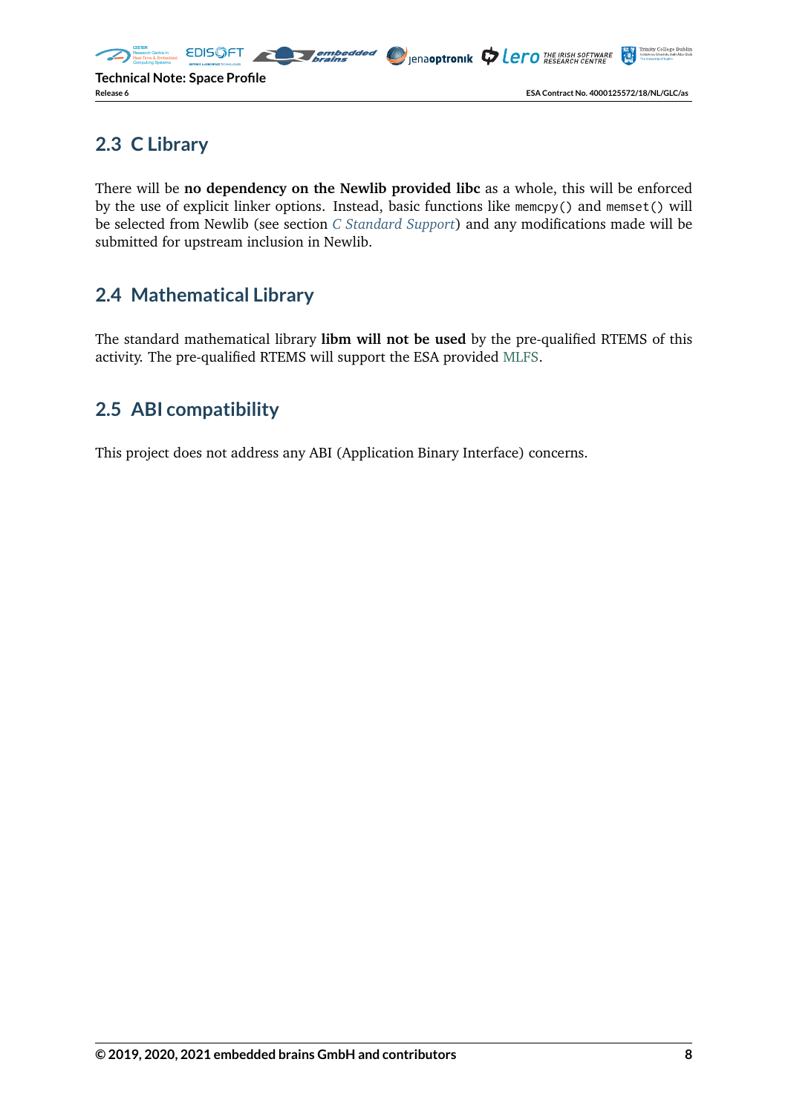

```
Technical Note: Space Profile
```
**Release 6 ESA Contract No. 4000125572/18/NL/GLC/as**

## <span id="page-12-0"></span>**2.3 C Library**

There will be **no dependency on the Newlib provided libc** as a whole, this will be enforced by the use of explicit linker options. Instead, basic functions like memcpy() and memset() will be selected from Newlib (see section *[C Standard Support](#page-14-1)*) and any modifications made will be submitted for upstream inclusion in Newlib.

## <span id="page-12-1"></span>**2.4 Mathematical Library**

The standard mathematical library **libm will not be used** by the pre-qualified RTEMS of this activity. The pre-qualified RTEMS will support the ESA provided [MLFS.](https://essr.esa.int/project/mlfs-mathematical-library-for-flight-software)

## <span id="page-12-2"></span>**2.5 ABI compatibility**

This project does not address any ABI (Application Binary Interface) concerns.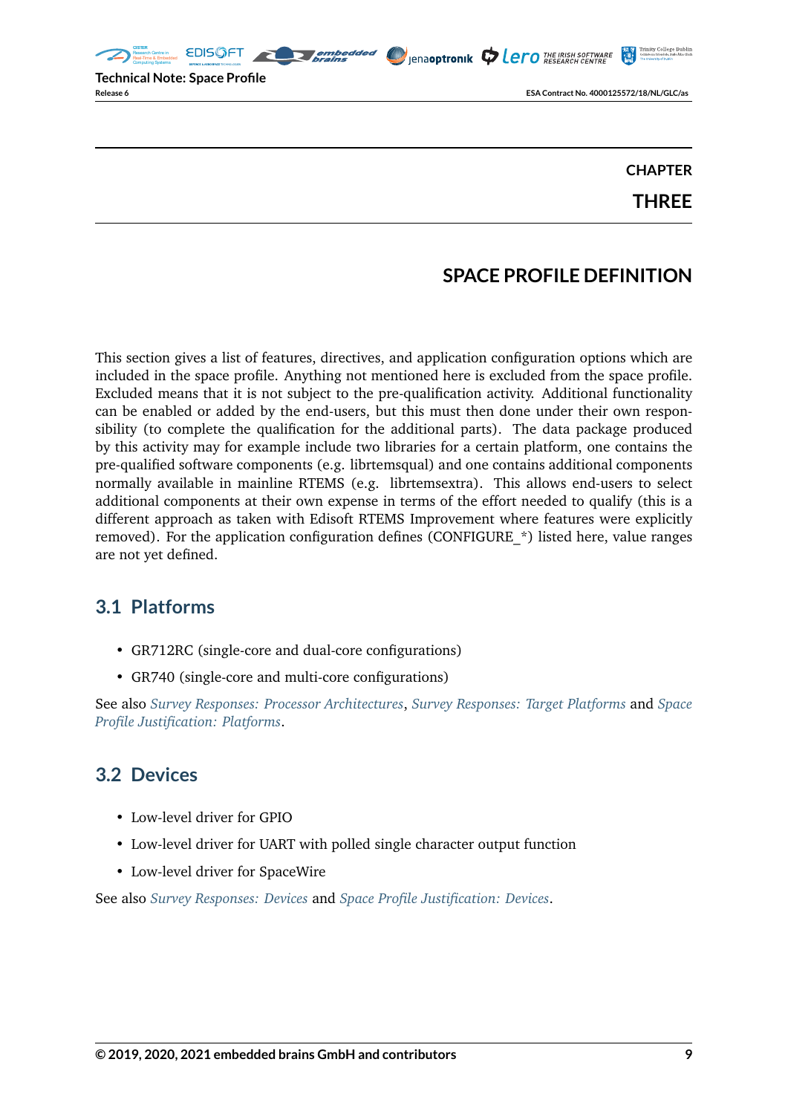<span id="page-13-0"></span>



## **CHAPTER**

**Trinity College Dublin** 

**THREE**

#### **SPACE PROFILE DEFINITION**

**CONFIDENCE CONSUMING THE IRISH SOFTWARE** 

This section gives a list of features, directives, and application configuration options which are included in the space profile. Anything not mentioned here is excluded from the space profile. Excluded means that it is not subject to the pre-qualification activity. Additional functionality can be enabled or added by the end-users, but this must then done under their own responsibility (to complete the qualification for the additional parts). The data package produced by this activity may for example include two libraries for a certain platform, one contains the pre-qualified software components (e.g. librtemsqual) and one contains additional components normally available in mainline RTEMS (e.g. librtemsextra). This allows end-users to select additional components at their own expense in terms of the effort needed to qualify (this is a different approach as taken with Edisoft RTEMS Improvement where features were explicitly removed). For the application configuration defines (CONFIGURE\_\*) listed here, value ranges are not yet defined.

embedded

#### <span id="page-13-1"></span>**3.1 Platforms**

- GR712RC (single-core and dual-core configurations)
- GR740 (single-core and multi-core configurations)

See also *[Survey Responses: Processor Architectures](#page-33-1)*, *[Survey Responses: Target Platforms](#page-34-0)* and *[Space](#page-21-1) [Profile Justification: Platforms](#page-21-1)*.

## <span id="page-13-2"></span>**3.2 Devices**

- Low-level driver for GPIO
- Low-level driver for UART with polled single character output function
- Low-level driver for SpaceWire

See also *[Survey Responses: Devices](#page-35-0)* and *[Space Profile Justification: Devices](#page-21-4)*.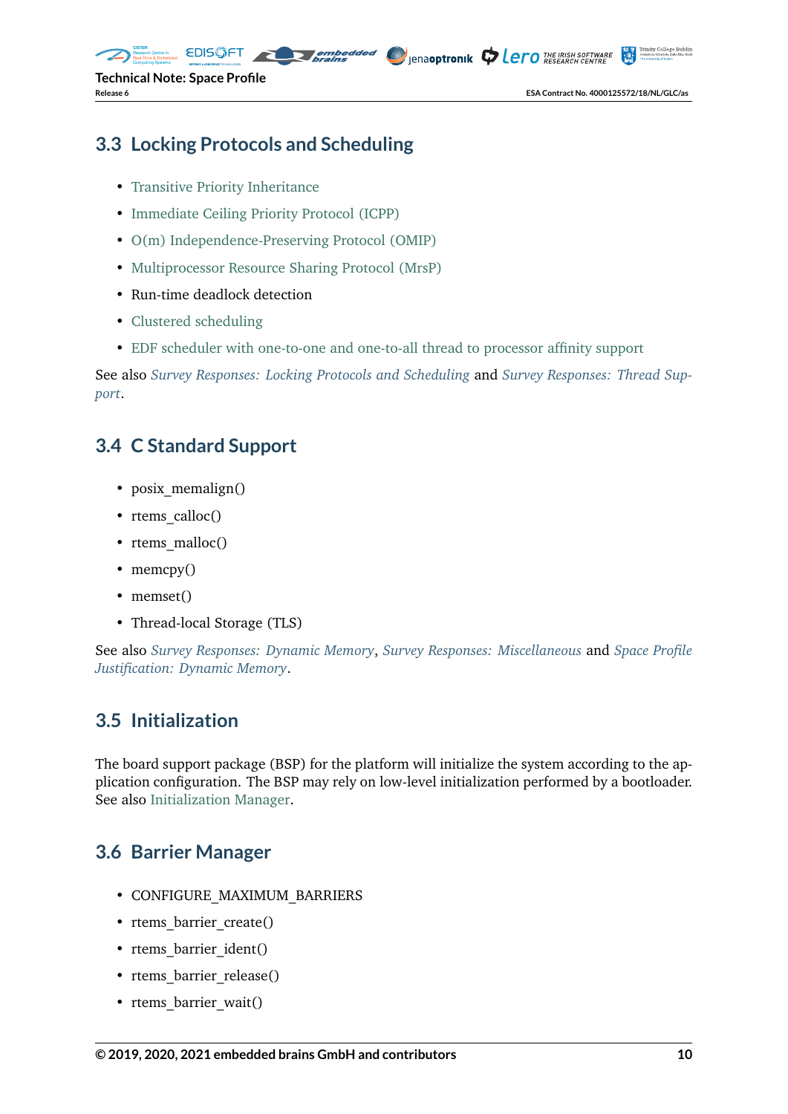

**CONFIDENCE CONSUMING PROPERTY ARE ARCH CENTRE** 

**第7** 

Trinity College Dublin<br>Colliste na Trionóide, Baile Átha Cliath

## <span id="page-14-0"></span>**3.3 Locking Protocols and Scheduling**

- [Transitive Priority Inheritance](https://docs.rtems.org/branches/master/c-user/key_concepts.html#priority-inheritance-protocol)
- [Immediate Ceiling Priority Protocol \(ICPP\)](https://docs.rtems.org/branches/master/c-user/key_concepts.html#immediate-ceiling-priority-protocol-icpp)
- [O\(m\) Independence-Preserving Protocol \(OMIP\)](https://docs.rtems.org/branches/master/c-user/key_concepts.html#o-m-independence-preserving-protocol-omip)
- [Multiprocessor Resource Sharing Protocol \(MrsP\)](https://docs.rtems.org/branches/master/c-user/key_concepts.html#multiprocessor-resource-sharing-protocol-mrsp)
- Run-time deadlock detection
- [Clustered scheduling](https://docs.rtems.org/branches/master/c-user/symmetric_multiprocessing_services.html#clustered-scheduling)
- [EDF scheduler with one-to-one and one-to-all thread to processor affinity support](https://docs.rtems.org/branches/master/c-user/scheduling_concepts.html#earliest-deadline-first-smp-scheduler)

See also *[Survey Responses: Locking Protocols and Scheduling](#page-39-0)* and *[Survey Responses: Thread Sup](#page-37-0)[port](#page-37-0)*.

## <span id="page-14-1"></span>**3.4 C Standard Support**

- posix memalign()
- rtems calloc()
- rtems malloc()
- memcpy()
- memset()
- Thread-local Storage (TLS)

See also *[Survey Responses: Dynamic Memory](#page-36-0)*, *[Survey Responses: Miscellaneous](#page-42-0)* and *[Space Profile](#page-23-3) [Justification: Dynamic Memory](#page-23-3)*.

## <span id="page-14-2"></span>**3.5 Initialization**

The board support package (BSP) for the platform will initialize the system according to the application configuration. The BSP may rely on low-level initialization performed by a bootloader. See also [Initialization Manager.](https://docs.rtems.org/branches/master/c-user/initialization.html)

## <span id="page-14-3"></span>**3.6 Barrier Manager**

- CONFIGURE\_MAXIMUM\_BARRIERS
- rtems barrier create()
- rtems barrier ident()
- rtems barrier release()
- rtems barrier wait()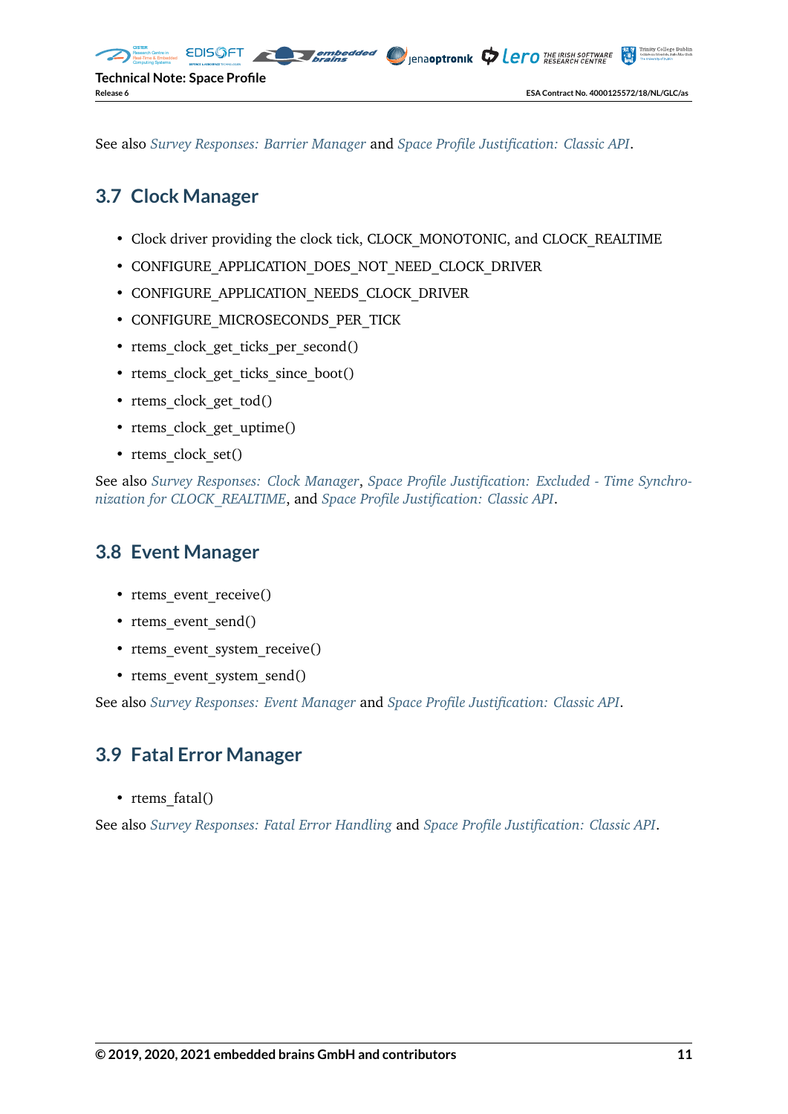

**Release 6 ESA Contract No. 4000125572/18/NL/GLC/as**

See also *[Survey Responses: Barrier Manager](#page-43-0)* and *[Space Profile Justification: Classic API](#page-24-1)*.

## <span id="page-15-0"></span>**3.7 Clock Manager**

- Clock driver providing the clock tick, CLOCK\_MONOTONIC, and CLOCK\_REALTIME
- CONFIGURE APPLICATION DOES NOT NEED CLOCK DRIVER
- CONFIGURE APPLICATION NEEDS CLOCK DRIVER
- CONFIGURE MICROSECONDS PER TICK
- rtems clock get ticks per second()
- rtems clock get ticks since boot()
- rtems clock get tod()
- rtems clock get uptime()
- rtems clock set()

See also *[Survey Responses: Clock Manager](#page-43-1)*, *[Space Profile Justification: Excluded - Time Synchro](#page-25-1)[nization for CLOCK\\_REALTIME](#page-25-1)*, and *[Space Profile Justification: Classic API](#page-24-1)*.

#### <span id="page-15-1"></span>**3.8 Event Manager**

- rtems event receive()
- rtems event send()
- rtems event system receive()
- rtems event system send()

See also *[Survey Responses: Event Manager](#page-44-0)* and *[Space Profile Justification: Classic API](#page-24-1)*.

## <span id="page-15-2"></span>**3.9 Fatal Error Manager**

• rtems\_fatal()

See also *[Survey Responses: Fatal Error Handling](#page-52-1)* and *[Space Profile Justification: Classic API](#page-24-1)*.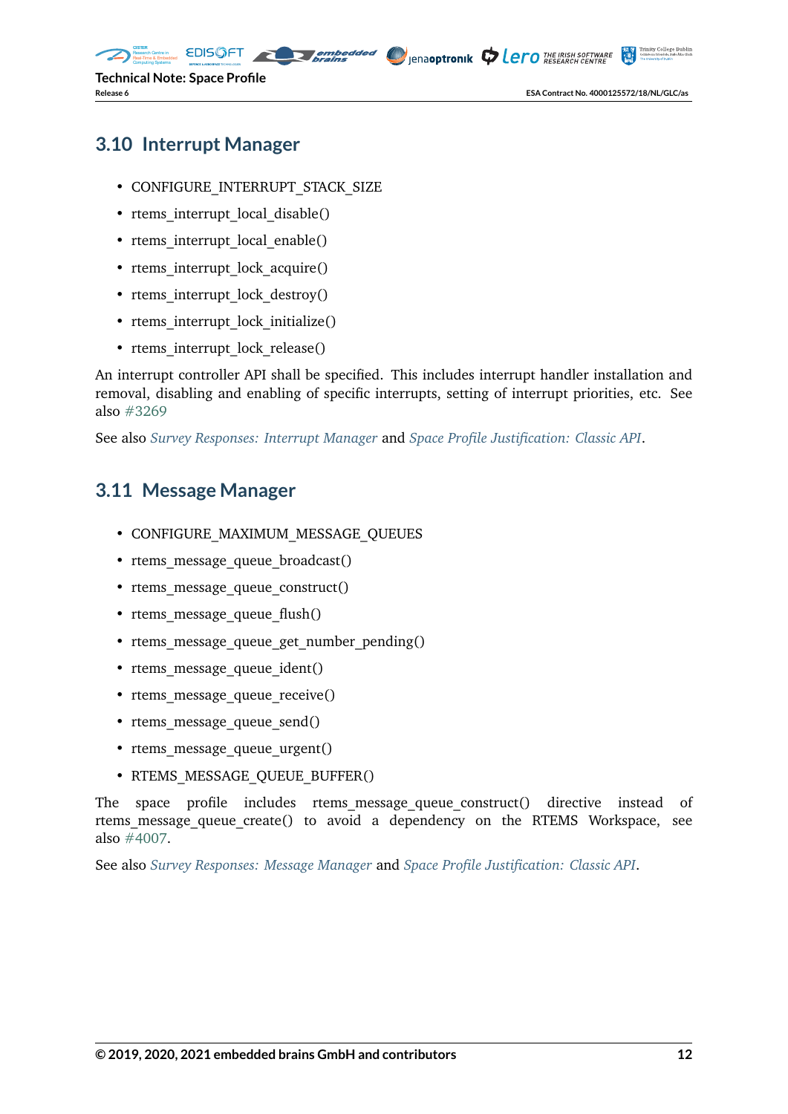

(P) Jenaoptronik CO Lero THE IRISH SOFTWARE

#### <span id="page-16-0"></span>**3.10 Interrupt Manager**

- CONFIGURE INTERRUPT STACK SIZE
- rtems interrupt local disable()
- rtems interrupt local enable()
- rtems interrupt lock acquire()
- rtems interrupt lock destroy()
- rtems interrupt lock initialize()
- rtems interrupt lock release()

An interrupt controller API shall be specified. This includes interrupt handler installation and removal, disabling and enabling of specific interrupts, setting of interrupt priorities, etc. See also [#3269](https://devel.rtems.org/ticket/3269)

See also *[Survey Responses: Interrupt Manager](#page-45-0)* and *[Space Profile Justification: Classic API](#page-24-1)*.

#### <span id="page-16-1"></span>**3.11 Message Manager**

- CONFIGURE MAXIMUM MESSAGE QUEUES
- rtems message queue broadcast()
- rtems message queue construct()
- rtems message queue flush()
- rtems message queue get number pending()
- rtems message queue ident()
- rtems message queue receive()
- rtems message queue send()
- rtems message queue urgent()
- RTEMS MESSAGE QUEUE BUFFER()

The space profile includes rtems message\_queue\_construct() directive instead of rtems message queue create() to avoid a dependency on the RTEMS Workspace, see also [#4007.](https://devel.rtems.org/ticket/4007)

See also *[Survey Responses: Message Manager](#page-46-1)* and *[Space Profile Justification: Classic API](#page-24-1)*.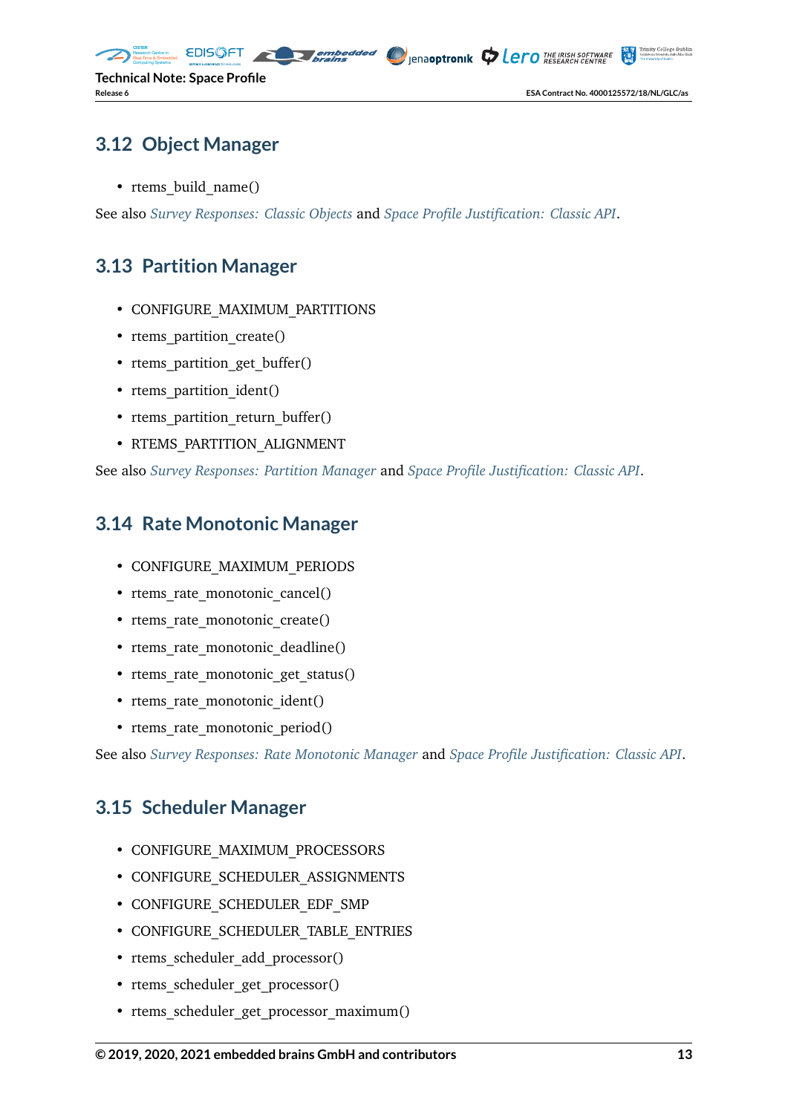

## <span id="page-17-0"></span>**3.12 Object Manager**

• rtems build name()

See also *[Survey Responses: Classic Objects](#page-47-0)* and *[Space Profile Justification: Classic API](#page-24-1)*.

## <span id="page-17-1"></span>**3.13 Partition Manager**

- CONFIGURE\_MAXIMUM\_PARTITIONS
- rtems partition create()
- rtems partition get buffer()
- rtems partition ident()
- rtems partition return buffer()
- RTEMS PARTITION ALIGNMENT

See also *[Survey Responses: Partition Manager](#page-47-1)* and *[Space Profile Justification: Classic API](#page-24-1)*.

#### <span id="page-17-2"></span>**3.14 Rate Monotonic Manager**

- CONFIGURE\_MAXIMUM\_PERIODS
- rtems rate monotonic cancel()
- rtems rate monotonic create()
- rtems rate monotonic deadline()
- rtems rate monotonic get status()
- rtems rate monotonic ident()
- rtems\_rate\_monotonic\_period()

See also *[Survey Responses: Rate Monotonic Manager](#page-48-0)* and *[Space Profile Justification: Classic API](#page-24-1)*.

#### <span id="page-17-3"></span>**3.15 Scheduler Manager**

- CONFIGURE MAXIMUM PROCESSORS
- CONFIGURE\_SCHEDULER\_ASSIGNMENTS
- CONFIGURE\_SCHEDULER\_EDF\_SMP
- CONFIGURE SCHEDULER TABLE ENTRIES
- rtems scheduler add processor()
- rtems scheduler get processor()
- rtems scheduler get processor maximum()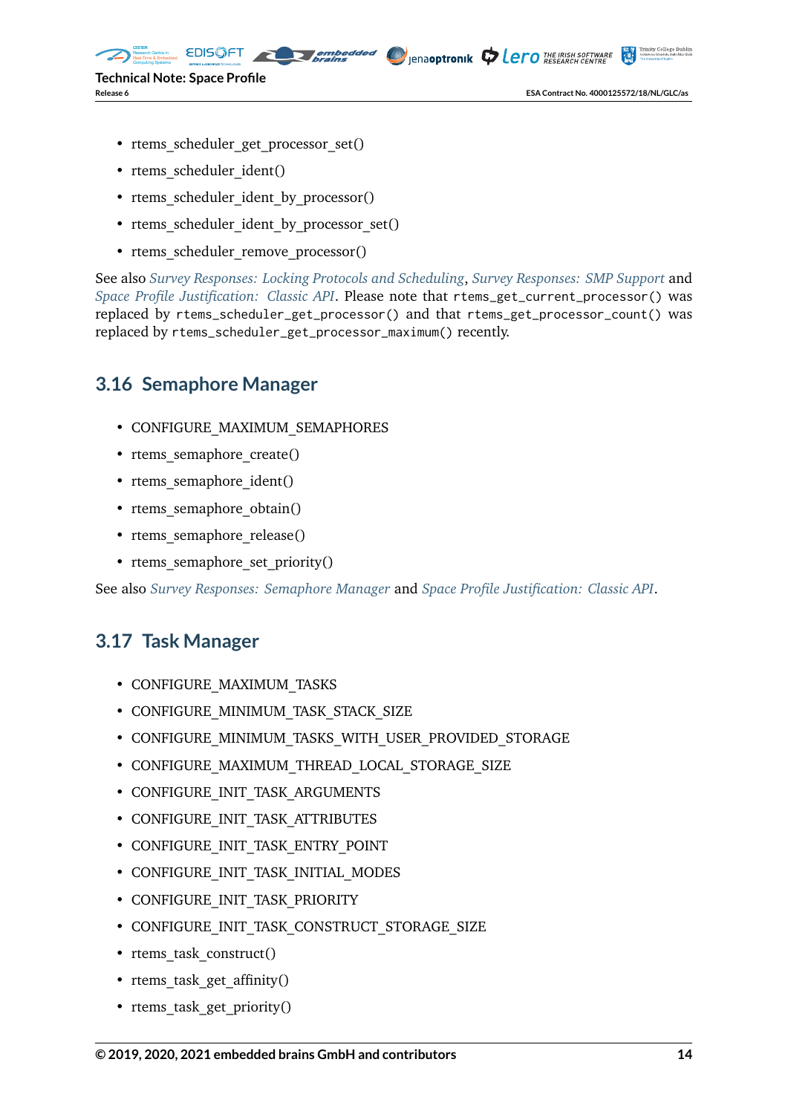**CONFIDENCE CONSTRUCT AND RESEARCH CENTRE** 



**Technical Note: Space Profile**

**CISTER** Research Centre in Real-Time & Embedded Computing Systems

- rtems scheduler get processor set()
- rtems scheduler ident()
- rtems scheduler ident by processor()
- rtems scheduler ident by processor set()
- rtems scheduler remove processor()

See also *[Survey Responses: Locking Protocols and Scheduling](#page-39-0)*, *[Survey Responses: SMP Support](#page-50-1)* and *[Space Profile Justification: Classic API](#page-24-1)*. Please note that rtems\_get\_current\_processor() was replaced by rtems\_scheduler\_get\_processor() and that rtems\_get\_processor\_count() was replaced by rtems\_scheduler\_get\_processor\_maximum() recently.

#### <span id="page-18-0"></span>**3.16 Semaphore Manager**

- CONFIGURE\_MAXIMUM\_SEMAPHORES
- rtems semaphore create()
- rtems semaphore ident()
- rtems semaphore obtain()
- rtems semaphore release()
- rtems semaphore set priority()

See also *[Survey Responses: Semaphore Manager](#page-49-1)* and *[Space Profile Justification: Classic API](#page-24-1)*.

#### <span id="page-18-1"></span>**3.17 Task Manager**

- CONFIGURE\_MAXIMUM\_TASKS
- CONFIGURE MINIMUM TASK STACK SIZE
- CONFIGURE\_MINIMUM\_TASKS\_WITH\_USER\_PROVIDED\_STORAGE
- CONFIGURE MAXIMUM THREAD LOCAL STORAGE SIZE
- CONFIGURE INIT TASK ARGUMENTS
- CONFIGURE INIT TASK ATTRIBUTES
- CONFIGURE\_INIT\_TASK\_ENTRY\_POINT
- CONFIGURE INIT TASK INITIAL MODES
- CONFIGURE INIT TASK PRIORITY
- CONFIGURE INIT TASK CONSTRUCT STORAGE SIZE
- rtems task construct()
- rtems task get affinity()
- rtems task get priority()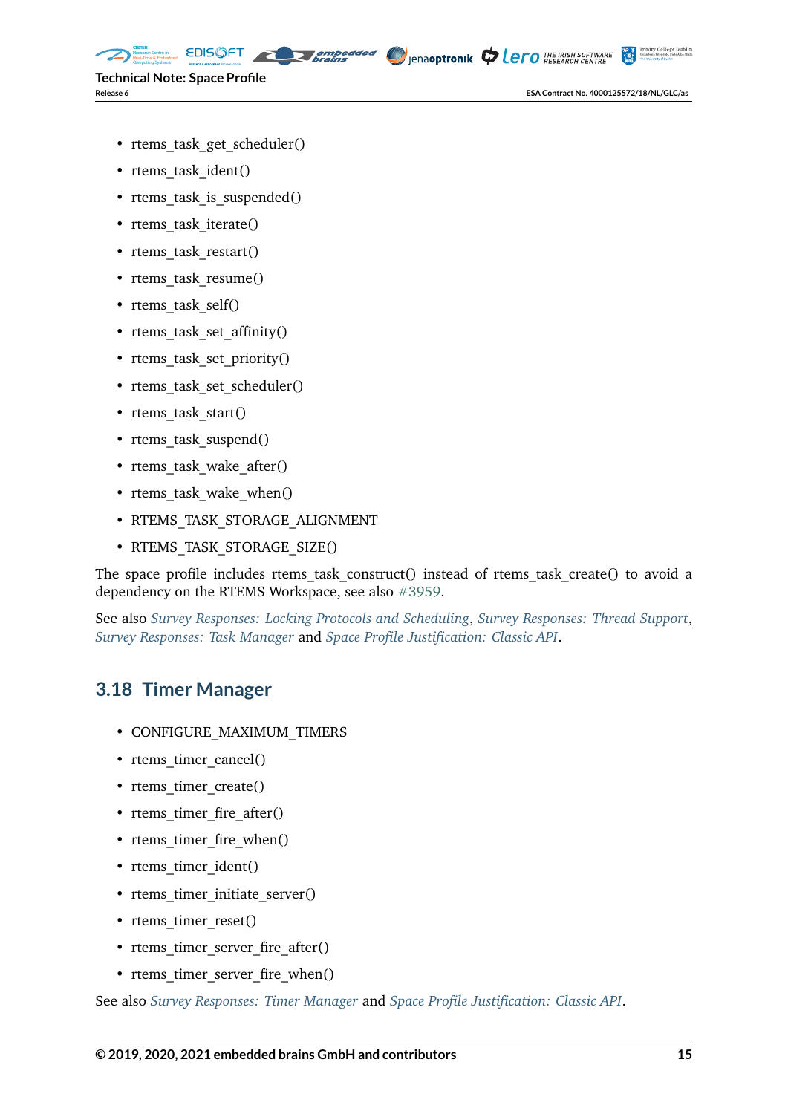

Senaoptronik **C**Lero THE IRISH SOFTWARE

 $\frac{1}{25}$   $\frac{1}{25}$  Trinity College Dublin<br> $\frac{1}{25}$  Collistena Trionbide, Balle Atha Clisth<br> $\frac{1}{25}$  The University of Oublin

- rtems task get scheduler()
- rtems task ident()
- rtems task is suspended()
- rtems task iterate()
- rtems task restart()
- rtems\_task\_resume()
- rtems task self()
- rtems task set affinity()
- rtems task set priority()
- rtems task set scheduler()
- rtems task start()
- rtems task suspend()
- rtems task wake after()
- rtems task wake when()
- RTEMS\_TASK\_STORAGE\_ALIGNMENT
- RTEMS TASK STORAGE SIZE()

The space profile includes rtems\_task\_construct() instead of rtems\_task\_create() to avoid a dependency on the RTEMS Workspace, see also [#3959.](https://devel.rtems.org/ticket/3959)

See also *[Survey Responses: Locking Protocols and Scheduling](#page-39-0)*, *[Survey Responses: Thread Support](#page-37-0)*, *[Survey Responses: Task Manager](#page-51-0)* and *[Space Profile Justification: Classic API](#page-24-1)*.

#### <span id="page-19-0"></span>**3.18 Timer Manager**

- CONFIGURE\_MAXIMUM\_TIMERS
- rtems timer cancel()
- rtems\_timer\_create()
- rtems\_timer\_fire\_after()
- rtems timer fire when()
- rtems timer ident()
- rtems timer initiate server()
- rtems timer reset()
- rtems timer server fire after()
- rtems timer server fire when()

See also *[Survey Responses: Timer Manager](#page-52-0)* and *[Space Profile Justification: Classic API](#page-24-1)*.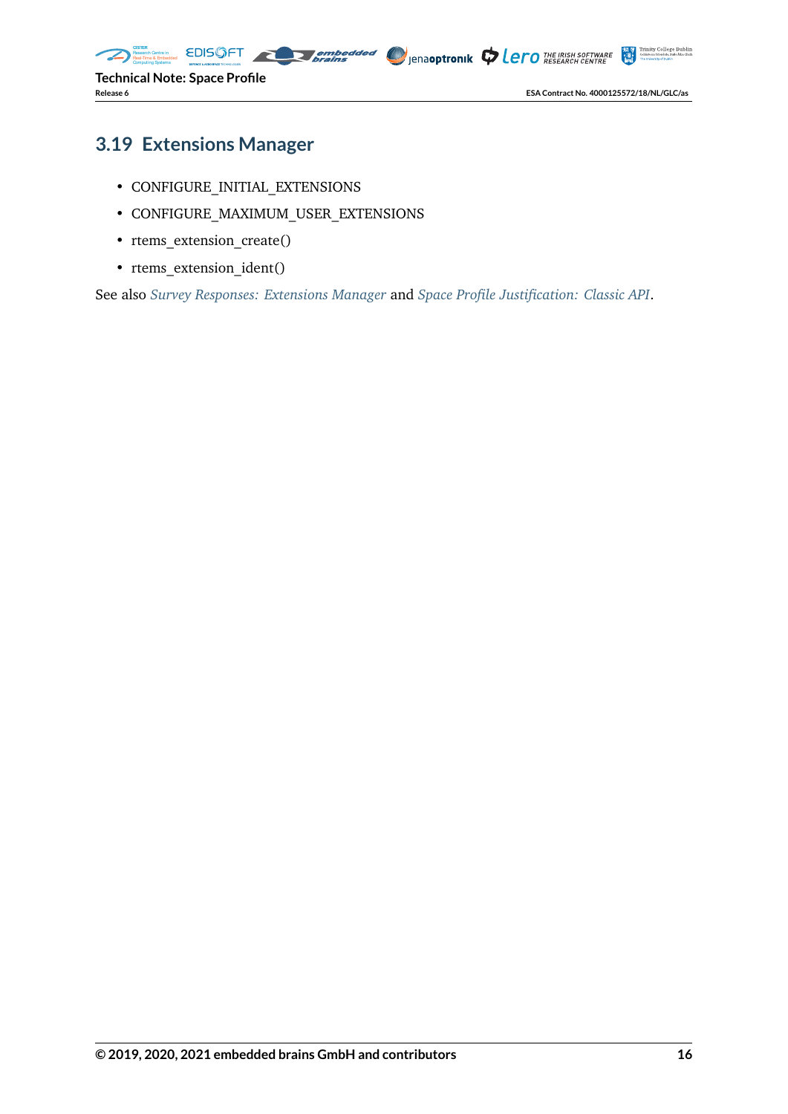

**Release 6 ESA Contract No. 4000125572/18/NL/GLC/as**

#### <span id="page-20-0"></span>**3.19 Extensions Manager**

- CONFIGURE\_INITIAL\_EXTENSIONS
- CONFIGURE\_MAXIMUM\_USER\_EXTENSIONS
- rtems\_extension\_create()
- rtems extension ident()

See also *[Survey Responses: Extensions Manager](#page-50-2)* and *[Space Profile Justification: Classic API](#page-24-1)*.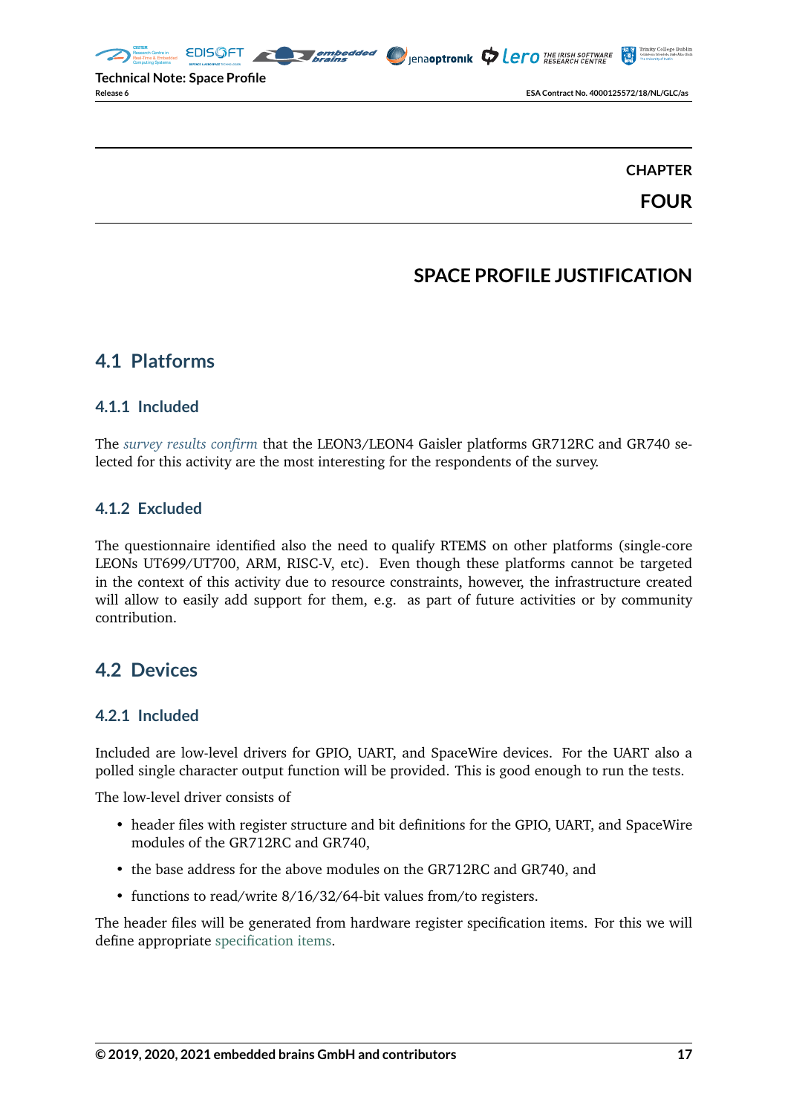

<span id="page-21-0"></span>

## <span id="page-21-1"></span>**4.1 Platforms**

#### <span id="page-21-2"></span>**4.1.1 Included**

The *[survey results confirm](#page-34-0)* that the LEON3/LEON4 Gaisler platforms GR712RC and GR740 selected for this activity are the most interesting for the respondents of the survey.

embedded

#### <span id="page-21-3"></span>**4.1.2 Excluded**

The questionnaire identified also the need to qualify RTEMS on other platforms (single-core LEONs UT699/UT700, ARM, RISC-V, etc). Even though these platforms cannot be targeted in the context of this activity due to resource constraints, however, the infrastructure created will allow to easily add support for them, e.g. as part of future activities or by community contribution.

#### <span id="page-21-4"></span>**4.2 Devices**

#### <span id="page-21-5"></span>**4.2.1 Included**

Included are low-level drivers for GPIO, UART, and SpaceWire devices. For the UART also a polled single character output function will be provided. This is good enough to run the tests.

The low-level driver consists of

- header files with register structure and bit definitions for the GPIO, UART, and SpaceWire modules of the GR712RC and GR740,
- the base address for the above modules on the GR712RC and GR740, and
- functions to read/write 8/16/32/64-bit values from/to registers.

The header files will be generated from hardware register specification items. For this we will define appropriate [specification items.](https://docs.rtems.org/branches/master/eng/req/items.html)

**Release 6 ESA Contract No. 4000125572/18/NL/GLC/as**

**SPACE PROFILE JUSTIFICATION**

**OD** Jenaoptronik **C** Lero THE IRISH SOFTWARE

**CHAPTER**

**Trinity College Dublin** 

**FOUR**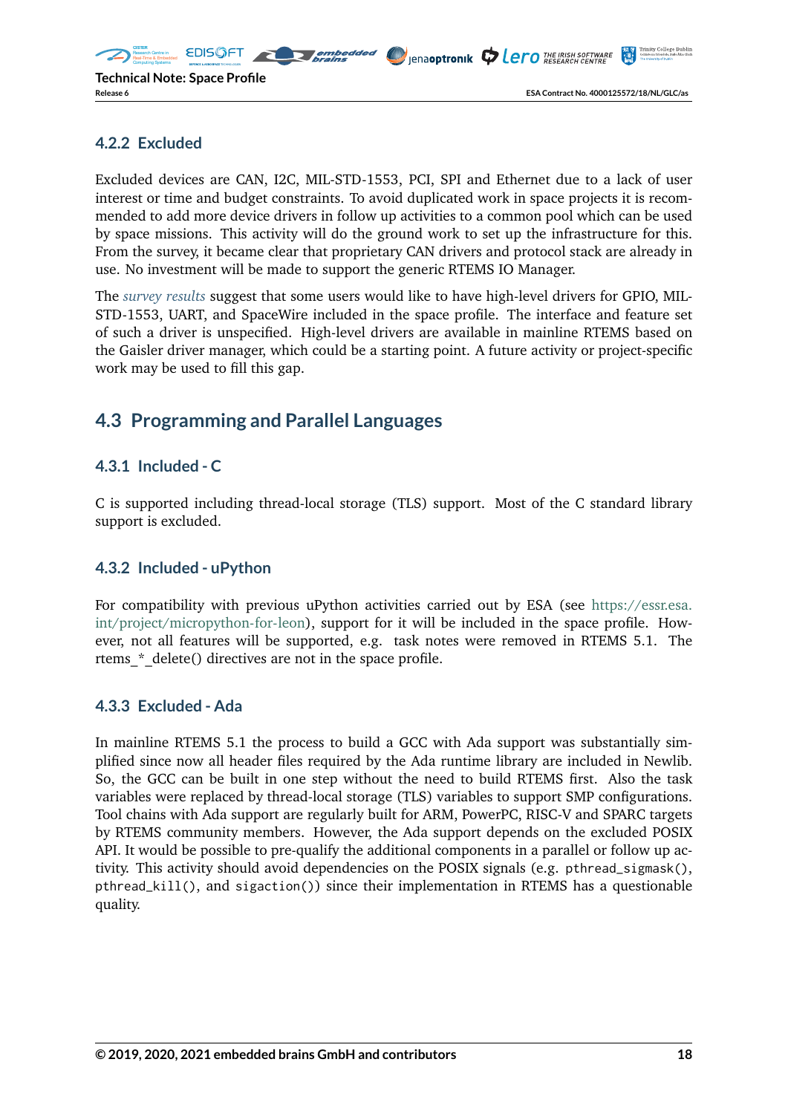

**Technical Note: Space Profile Release 6 ESA Contract No. 4000125572/18/NL/GLC/as**

#### <span id="page-22-0"></span>**4.2.2 Excluded**

Excluded devices are CAN, I2C, MIL-STD-1553, PCI, SPI and Ethernet due to a lack of user interest or time and budget constraints. To avoid duplicated work in space projects it is recommended to add more device drivers in follow up activities to a common pool which can be used by space missions. This activity will do the ground work to set up the infrastructure for this. From the survey, it became clear that proprietary CAN drivers and protocol stack are already in use. No investment will be made to support the generic RTEMS IO Manager.

The *[survey results](#page-35-0)* suggest that some users would like to have high-level drivers for GPIO, MIL-STD-1553, UART, and SpaceWire included in the space profile. The interface and feature set of such a driver is unspecified. High-level drivers are available in mainline RTEMS based on the Gaisler driver manager, which could be a starting point. A future activity or project-specific work may be used to fill this gap.

## <span id="page-22-1"></span>**4.3 Programming and Parallel Languages**

#### <span id="page-22-2"></span>**4.3.1 Included - C**

C is supported including thread-local storage (TLS) support. Most of the C standard library support is excluded.

#### <span id="page-22-3"></span>**4.3.2 Included - uPython**

For compatibility with previous uPython activities carried out by ESA (see [https://essr.esa.](https://essr.esa.int/project/micropython-for-leon) [int/project/micropython-for-leon\)](https://essr.esa.int/project/micropython-for-leon), support for it will be included in the space profile. However, not all features will be supported, e.g. task notes were removed in RTEMS 5.1. The rtems \* delete() directives are not in the space profile.

#### <span id="page-22-4"></span>**4.3.3 Excluded - Ada**

In mainline RTEMS 5.1 the process to build a GCC with Ada support was substantially simplified since now all header files required by the Ada runtime library are included in Newlib. So, the GCC can be built in one step without the need to build RTEMS first. Also the task variables were replaced by thread-local storage (TLS) variables to support SMP configurations. Tool chains with Ada support are regularly built for ARM, PowerPC, RISC-V and SPARC targets by RTEMS community members. However, the Ada support depends on the excluded POSIX API. It would be possible to pre-qualify the additional components in a parallel or follow up activity. This activity should avoid dependencies on the POSIX signals (e.g. pthread\_sigmask(), pthread\_kill(), and sigaction()) since their implementation in RTEMS has a questionable quality.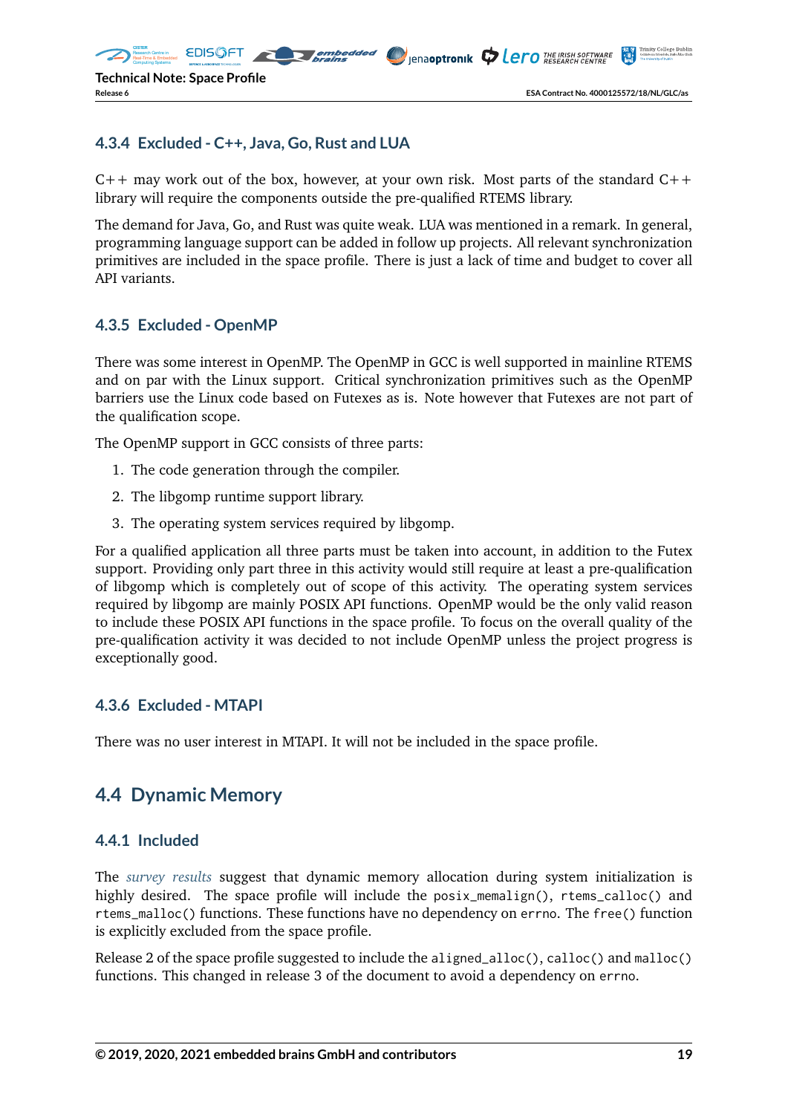#### <span id="page-23-0"></span>**4.3.4 Excluded - C++, Java, Go, Rust and LUA**

 $C++$  may work out of the box, however, at your own risk. Most parts of the standard  $C++$ library will require the components outside the pre-qualified RTEMS library.

The demand for Java, Go, and Rust was quite weak. LUA was mentioned in a remark. In general, programming language support can be added in follow up projects. All relevant synchronization primitives are included in the space profile. There is just a lack of time and budget to cover all API variants.

#### <span id="page-23-1"></span>**4.3.5 Excluded - OpenMP**

There was some interest in OpenMP. The OpenMP in GCC is well supported in mainline RTEMS and on par with the Linux support. Critical synchronization primitives such as the OpenMP barriers use the Linux code based on Futexes as is. Note however that Futexes are not part of the qualification scope.

The OpenMP support in GCC consists of three parts:

- 1. The code generation through the compiler.
- 2. The libgomp runtime support library.
- 3. The operating system services required by libgomp.

For a qualified application all three parts must be taken into account, in addition to the Futex support. Providing only part three in this activity would still require at least a pre-qualification of libgomp which is completely out of scope of this activity. The operating system services required by libgomp are mainly POSIX API functions. OpenMP would be the only valid reason to include these POSIX API functions in the space profile. To focus on the overall quality of the pre-qualification activity it was decided to not include OpenMP unless the project progress is exceptionally good.

#### <span id="page-23-2"></span>**4.3.6 Excluded - MTAPI**

There was no user interest in MTAPI. It will not be included in the space profile.

#### <span id="page-23-3"></span>**4.4 Dynamic Memory**

#### <span id="page-23-4"></span>**4.4.1 Included**

The *[survey results](#page-36-0)* suggest that dynamic memory allocation during system initialization is highly desired. The space profile will include the posix\_memalign(), rtems\_calloc() and rtems\_malloc() functions. These functions have no dependency on errno. The free() function is explicitly excluded from the space profile.

Release 2 of the space profile suggested to include the aligned\_alloc(), calloc() and malloc() functions. This changed in release 3 of the document to avoid a dependency on errno.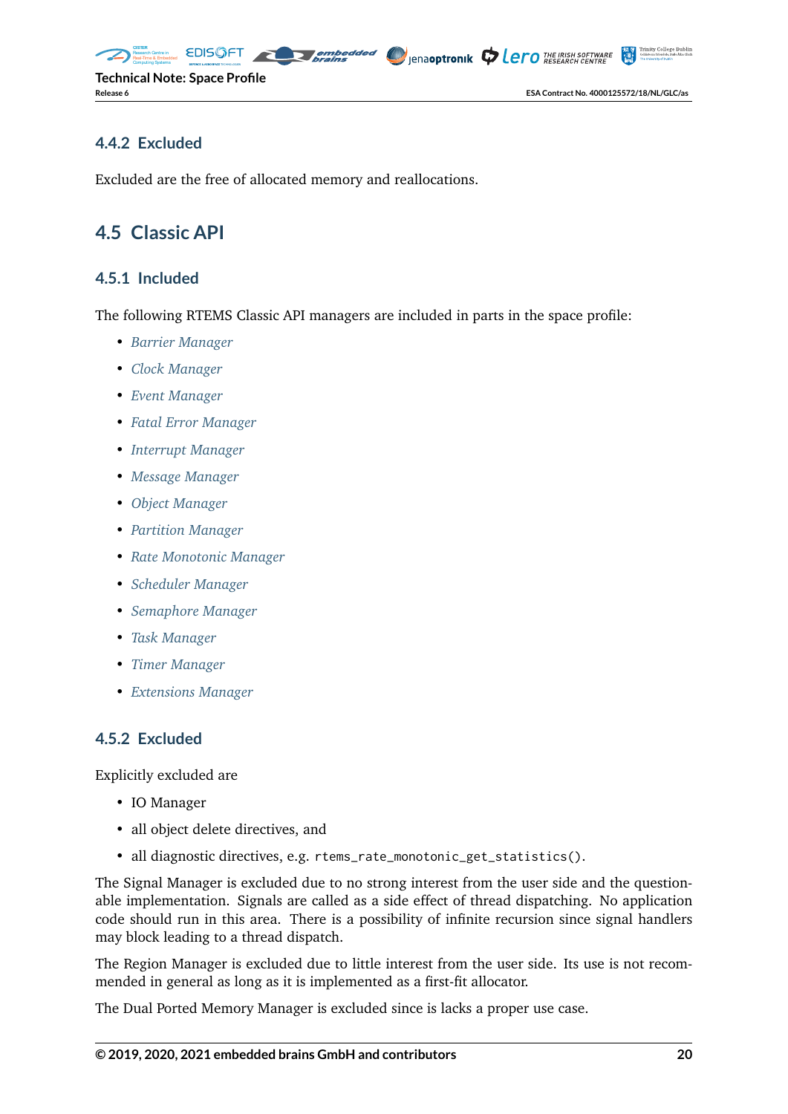

**Release 6 ESA Contract No. 4000125572/18/NL/GLC/as**

#### <span id="page-24-0"></span>**4.4.2 Excluded**

Excluded are the free of allocated memory and reallocations.

**Exampled** *<u>dembedded</u>* 

## <span id="page-24-1"></span>**4.5 Classic API**

#### <span id="page-24-2"></span>**4.5.1 Included**

The following RTEMS Classic API managers are included in parts in the space profile:

- *[Barrier Manager](#page-14-3)*
- *[Clock Manager](#page-15-0)*
- *[Event Manager](#page-15-1)*
- *[Fatal Error Manager](#page-15-2)*
- *[Interrupt Manager](#page-16-0)*
- *[Message Manager](#page-16-1)*
- *[Object Manager](#page-17-0)*
- *[Partition Manager](#page-17-1)*
- *[Rate Monotonic Manager](#page-17-2)*
- *[Scheduler Manager](#page-17-3)*
- *[Semaphore Manager](#page-18-0)*
- *[Task Manager](#page-18-1)*
- *[Timer Manager](#page-19-0)*
- *[Extensions Manager](#page-20-0)*

#### <span id="page-24-3"></span>**4.5.2 Excluded**

Explicitly excluded are

- IO Manager
- all object delete directives, and
- all diagnostic directives, e.g. rtems\_rate\_monotonic\_get\_statistics().

The Signal Manager is excluded due to no strong interest from the user side and the questionable implementation. Signals are called as a side effect of thread dispatching. No application code should run in this area. There is a possibility of infinite recursion since signal handlers may block leading to a thread dispatch.

The Region Manager is excluded due to little interest from the user side. Its use is not recommended in general as long as it is implemented as a first-fit allocator.

The Dual Ported Memory Manager is excluded since is lacks a proper use case.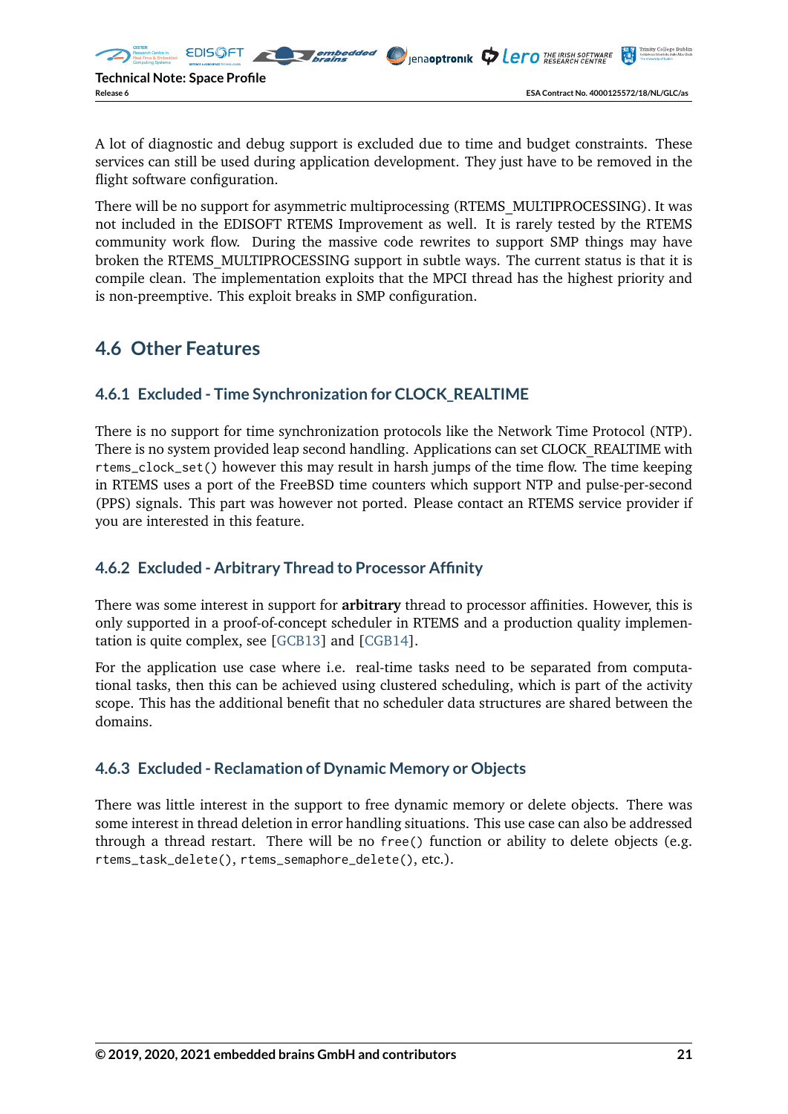

A lot of diagnostic and debug support is excluded due to time and budget constraints. These services can still be used during application development. They just have to be removed in the flight software configuration.

There will be no support for asymmetric multiprocessing (RTEMS\_MULTIPROCESSING). It was not included in the EDISOFT RTEMS Improvement as well. It is rarely tested by the RTEMS community work flow. During the massive code rewrites to support SMP things may have broken the RTEMS\_MULTIPROCESSING support in subtle ways. The current status is that it is compile clean. The implementation exploits that the MPCI thread has the highest priority and is non-preemptive. This exploit breaks in SMP configuration.

#### <span id="page-25-0"></span>**4.6 Other Features**

#### <span id="page-25-1"></span>**4.6.1 Excluded - Time Synchronization for CLOCK\_REALTIME**

There is no support for time synchronization protocols like the Network Time Protocol (NTP). There is no system provided leap second handling. Applications can set CLOCK\_REALTIME with rtems\_clock\_set() however this may result in harsh jumps of the time flow. The time keeping in RTEMS uses a port of the FreeBSD time counters which support NTP and pulse-per-second (PPS) signals. This part was however not ported. Please contact an RTEMS service provider if you are interested in this feature.

#### <span id="page-25-2"></span>**4.6.2 Excluded - Arbitrary Thread to Processor Affinity**

There was some interest in support for **arbitrary** thread to processor affinities. However, this is only supported in a proof-of-concept scheduler in RTEMS and a production quality implementation is quite complex, see [\[GCB13\]](#page-61-3) and [\[CGB14\]](#page-61-4).

For the application use case where i.e. real-time tasks need to be separated from computational tasks, then this can be achieved using clustered scheduling, which is part of the activity scope. This has the additional benefit that no scheduler data structures are shared between the domains.

#### <span id="page-25-3"></span>**4.6.3 Excluded - Reclamation of Dynamic Memory or Objects**

There was little interest in the support to free dynamic memory or delete objects. There was some interest in thread deletion in error handling situations. This use case can also be addressed through a thread restart. There will be no free() function or ability to delete objects (e.g. rtems\_task\_delete(), rtems\_semaphore\_delete(), etc.).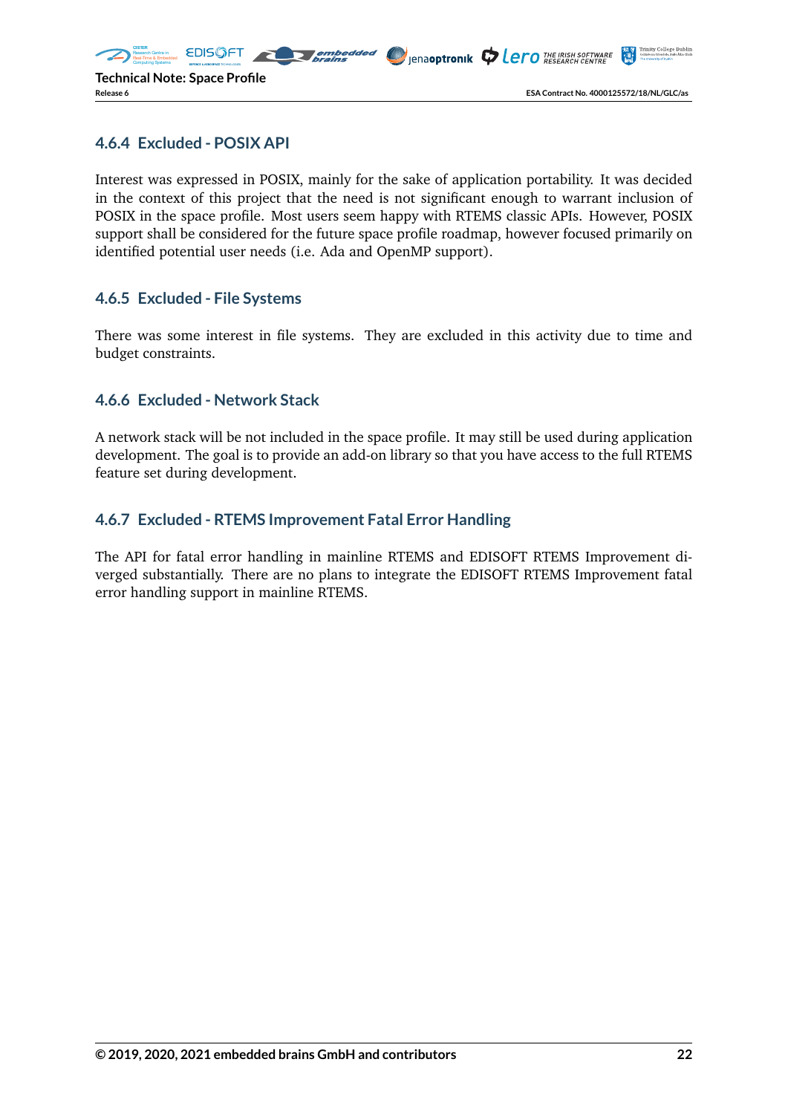

#### <span id="page-26-0"></span>**4.6.4 Excluded - POSIX API**

Interest was expressed in POSIX, mainly for the sake of application portability. It was decided in the context of this project that the need is not significant enough to warrant inclusion of POSIX in the space profile. Most users seem happy with RTEMS classic APIs. However, POSIX support shall be considered for the future space profile roadmap, however focused primarily on identified potential user needs (i.e. Ada and OpenMP support).

#### <span id="page-26-1"></span>**4.6.5 Excluded - File Systems**

There was some interest in file systems. They are excluded in this activity due to time and budget constraints.

#### <span id="page-26-2"></span>**4.6.6 Excluded - Network Stack**

A network stack will be not included in the space profile. It may still be used during application development. The goal is to provide an add-on library so that you have access to the full RTEMS feature set during development.

#### <span id="page-26-3"></span>**4.6.7 Excluded - RTEMS Improvement Fatal Error Handling**

The API for fatal error handling in mainline RTEMS and EDISOFT RTEMS Improvement diverged substantially. There are no plans to integrate the EDISOFT RTEMS Improvement fatal error handling support in mainline RTEMS.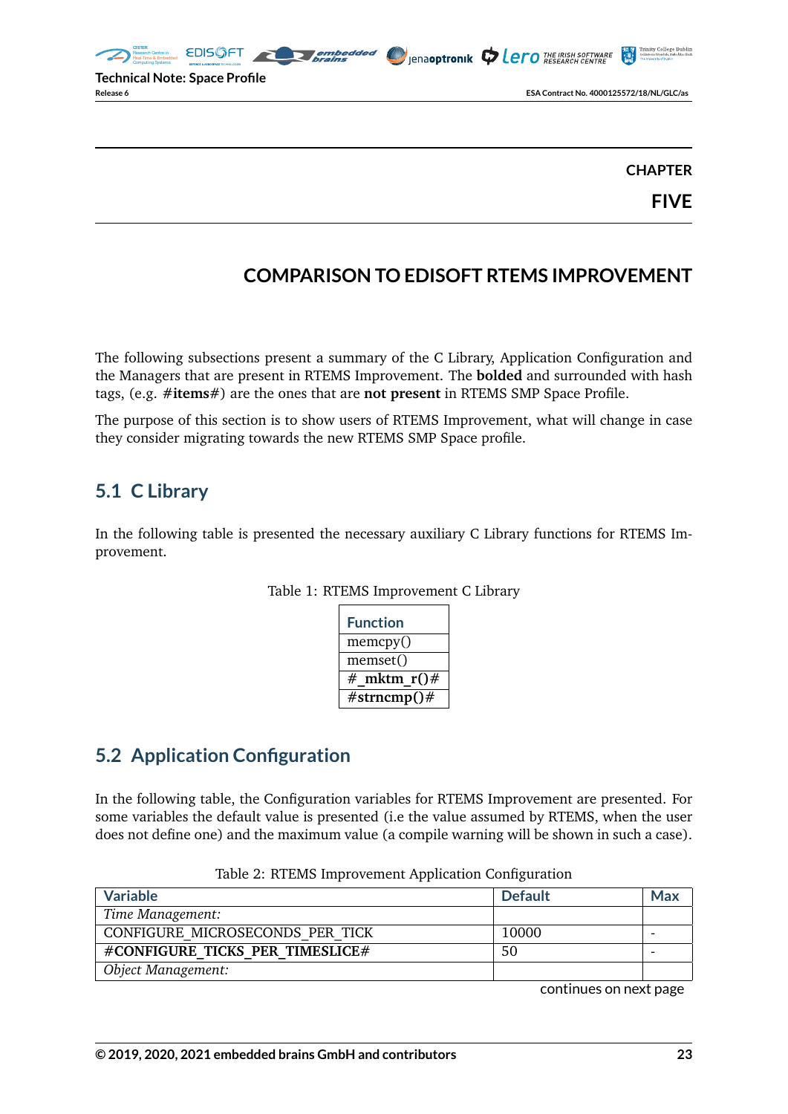<span id="page-27-0"></span>



**Release 6 ESA Contract No. 4000125572/18/NL/GLC/as**

#### **CHAPTER**

**Trinity College Dublin** 

**FIVE**

## **COMPARISON TO EDISOFT RTEMS IMPROVEMENT**

**CONFIDENCE CONSUMING THE IRISH SOFTWARE** 

The following subsections present a summary of the C Library, Application Configuration and the Managers that are present in RTEMS Improvement. The **bolded** and surrounded with hash tags, (e.g. **#items#**) are the ones that are **not present** in RTEMS SMP Space Profile.

embedded

The purpose of this section is to show users of RTEMS Improvement, what will change in case they consider migrating towards the new RTEMS SMP Space profile.

## <span id="page-27-1"></span>**5.1 C Library**

In the following table is presented the necessary auxiliary C Library functions for RTEMS Improvement.

| <b>Function</b> |
|-----------------|
| memory()        |
| $m$ emset $()$  |
| # mktm $r()$ #  |
| #strncmp $()$ # |

#### Table 1: RTEMS Improvement C Library

## <span id="page-27-2"></span>**5.2 Application Configuration**

In the following table, the Configuration variables for RTEMS Improvement are presented. For some variables the default value is presented (i.e the value assumed by RTEMS, when the user does not define one) and the maximum value (a compile warning will be shown in such a case).

| Variable                        | <b>Default</b> | Max |
|---------------------------------|----------------|-----|
| Time Management:                |                |     |
| CONFIGURE MICROSECONDS PER TICK | 10000          |     |
| #CONFIGURE TICKS PER TIMESLICE# | 50             |     |
| Object Management:              |                |     |

Table 2: RTEMS Improvement Application Configuration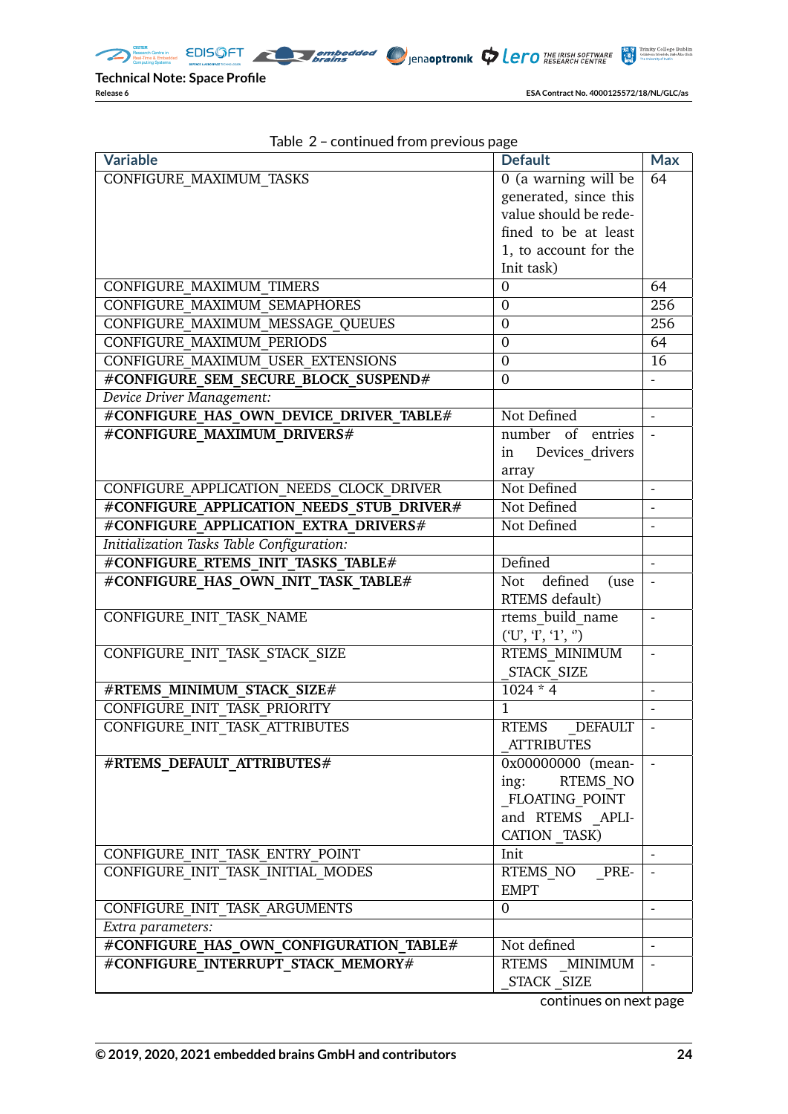

**Release 6 ESA Contract No. 4000125572/18/NL/GLC/as**

| <b>Variable</b>                           | <b>Default</b>                                      | <b>Max</b>       |
|-------------------------------------------|-----------------------------------------------------|------------------|
| CONFIGURE MAXIMUM TASKS                   | 0 (a warning will be                                | 64               |
|                                           | generated, since this                               |                  |
|                                           | value should be rede-                               |                  |
|                                           | fined to be at least                                |                  |
|                                           | 1, to account for the                               |                  |
|                                           | Init task)                                          |                  |
| <b>CONFIGURE MAXIMUM TIMERS</b>           | $\overline{0}$                                      | 64               |
| CONFIGURE MAXIMUM SEMAPHORES              | $\overline{0}$                                      | $\overline{256}$ |
| CONFIGURE MAXIMUM MESSAGE QUEUES          | $\overline{0}$                                      | 256              |
| <b>CONFIGURE MAXIMUM PERIODS</b>          | $\overline{0}$                                      | 64               |
| CONFIGURE MAXIMUM USER EXTENSIONS         | $\overline{0}$                                      | 16               |
| #CONFIGURE SEM SECURE BLOCK SUSPEND#      | $\mathbf{0}$                                        |                  |
| Device Driver Management:                 |                                                     |                  |
| #CONFIGURE_HAS_OWN_DEVICE_DRIVER_TABLE#   | Not Defined                                         | $\mathbf{r}$     |
| #CONFIGURE MAXIMUM DRIVERS#               | number of entries                                   | $\blacksquare$   |
|                                           | Devices drivers<br>in                               |                  |
|                                           | array                                               |                  |
| CONFIGURE APPLICATION NEEDS CLOCK DRIVER  | Not Defined                                         | $\mathbf{r}$     |
| #CONFIGURE APPLICATION NEEDS STUB DRIVER# | Not Defined                                         |                  |
| #CONFIGURE APPLICATION EXTRA DRIVERS#     | Not Defined                                         |                  |
| Initialization Tasks Table Configuration: |                                                     |                  |
| #CONFIGURE RTEMS INIT TASKS TABLE#        | Defined                                             | $\mathbf{r}$     |
| #CONFIGURE HAS OWN INIT TASK TABLE#       | Not defined<br>(use                                 |                  |
|                                           | RTEMS default)                                      |                  |
| CONFIGURE INIT TASK NAME                  | rtems build name<br>(U, T, '1', '')                 | $\blacksquare$   |
| CONFIGURE INIT TASK STACK SIZE            | RTEMS MINIMUM                                       | $\blacksquare$   |
|                                           | STACK SIZE                                          |                  |
| #RTEMS MINIMUM STACK SIZE#                | $1024 * 4$                                          | $\mathbf{r}$     |
| <b>CONFIGURE INIT TASK PRIORITY</b>       | $\mathbf{1}$                                        |                  |
| CONFIGURE INIT TASK ATTRIBUTES            | <b>RTEMS</b><br><b>DEFAULT</b><br><b>ATTRIBUTES</b> | $\Box$           |
| #RTEMS DEFAULT ATTRIBUTES#                | 0x00000000 (mean-                                   |                  |
|                                           | RTEMS NO<br>ing:                                    |                  |
|                                           | FLOATING POINT                                      |                  |
|                                           | and RTEMS APLI-                                     |                  |
|                                           | CATION TASK)                                        |                  |
| CONFIGURE INIT TASK ENTRY POINT           | Init                                                | $\blacksquare$   |
| CONFIGURE INIT TASK INITIAL MODES         | RTEMS NO<br>PRE-                                    | $\blacksquare$   |
|                                           | <b>EMPT</b>                                         |                  |
| CONFIGURE INIT TASK ARGUMENTS             | $\mathbf{0}$                                        | $\blacksquare$   |
| Extra parameters:                         |                                                     |                  |
| #CONFIGURE HAS OWN CONFIGURATION TABLE#   | Not defined                                         |                  |
| #CONFIGURE INTERRUPT STACK MEMORY#        | RTEMS MINIMUM                                       | $\blacksquare$   |
|                                           | STACK SIZE                                          |                  |

#### Table 2 – continued from previous page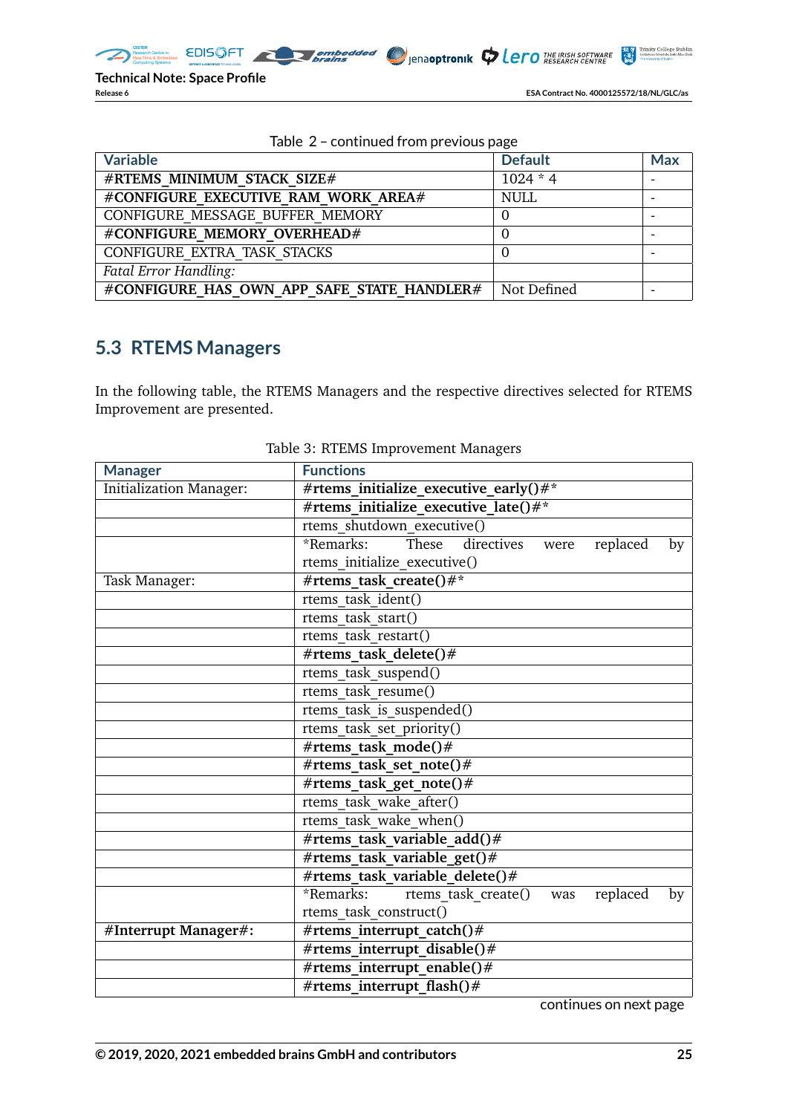

**Release 6 ESA Contract No. 4000125572/18/NL/GLC/as**

|  | Table 2 - continued from previous page |  |  |
|--|----------------------------------------|--|--|
|  |                                        |  |  |

| <b>Variable</b>                            | <b>Default</b> | <b>Max</b> |
|--------------------------------------------|----------------|------------|
| #RTEMS MINIMUM STACK SIZE#                 | $1024 * 4$     |            |
| #CONFIGURE EXECUTIVE RAM WORK AREA#        | <b>NULL</b>    |            |
| CONFIGURE MESSAGE BUFFER MEMORY            |                |            |
| #CONFIGURE MEMORY OVERHEAD#                |                |            |
| CONFIGURE EXTRA TASK STACKS                |                |            |
| Fatal Error Handling:                      |                |            |
| #CONFIGURE HAS OWN APP SAFE STATE HANDLER# | Not Defined    |            |

#### <span id="page-29-0"></span>**5.3 RTEMS Managers**

In the following table, the RTEMS Managers and the respective directives selected for RTEMS Improvement are presented.

| <b>Manager</b>                 | <b>Functions</b>                                             |  |  |  |  |
|--------------------------------|--------------------------------------------------------------|--|--|--|--|
| <b>Initialization Manager:</b> | #rtems_initialize_executive_early()#*                        |  |  |  |  |
|                                | #rtems_initialize_executive_late()#*                         |  |  |  |  |
|                                | rtems shutdown executive()                                   |  |  |  |  |
|                                | These<br>directives<br>*Remarks:<br>replaced<br>were<br>by   |  |  |  |  |
|                                | rtems_initialize_executive()                                 |  |  |  |  |
| Task Manager:                  | #rtems_task_create()#*                                       |  |  |  |  |
|                                | rtems task ident()                                           |  |  |  |  |
|                                | rtems task start $()$                                        |  |  |  |  |
|                                | rtems_task_restart()                                         |  |  |  |  |
|                                | #rtems task delete()#                                        |  |  |  |  |
|                                | rtems_task_suspend()                                         |  |  |  |  |
|                                | rtems task resume()                                          |  |  |  |  |
|                                | rtems task is suspended()                                    |  |  |  |  |
|                                | rtems task set priority()                                    |  |  |  |  |
|                                | #rtems_task_mode()#                                          |  |  |  |  |
|                                | #rtems_task_set_note()#                                      |  |  |  |  |
|                                | #rtems_task_get_note()#                                      |  |  |  |  |
|                                | rtems_task_wake_after()                                      |  |  |  |  |
|                                | rtems task wake when()                                       |  |  |  |  |
|                                | #rtems_task_variable_add()#                                  |  |  |  |  |
|                                | #rtems_task_variable_get()#                                  |  |  |  |  |
|                                | #rtems_task_variable_delete()#                               |  |  |  |  |
|                                | $*$ Remarks:<br>rtems task create()<br>replaced<br>was<br>by |  |  |  |  |
|                                | rtems task construct()                                       |  |  |  |  |
| #Interrupt Manager#:           | #rtems_interrupt_catch()#                                    |  |  |  |  |
|                                | #rtems_interrupt_disable()#                                  |  |  |  |  |
|                                | #rtems_interrupt_enable()#                                   |  |  |  |  |
|                                | #rtems_interrupt_flash()#                                    |  |  |  |  |

Table 3: RTEMS Improvement Managers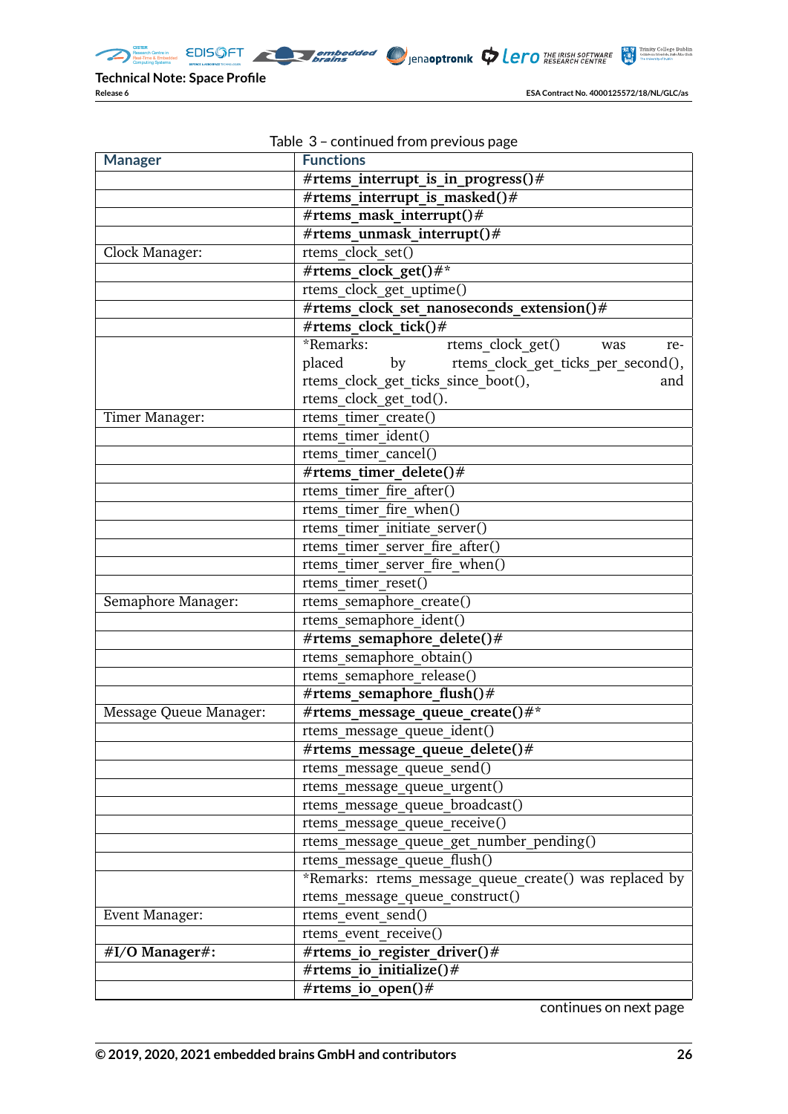



**Release 6 ESA Contract No. 4000125572/18/NL/GLC/as**

| <b>Manager</b>         | <b>Functions</b>                                       |
|------------------------|--------------------------------------------------------|
|                        | #rtems_interrupt_is_in_progress()#                     |
|                        | #rtems_interrupt_is_masked()#                          |
|                        | #rtems_mask_interrupt()#                               |
|                        | #rtems_unmask_interrupt()#                             |
| Clock Manager:         | rtems_clock_set()                                      |
|                        | #rtems_clock_get()#*                                   |
|                        | rtems clock get uptime()                               |
|                        | #rtems_clock_set_nanoseconds_extension()#              |
|                        | #rtems_clock_tick()#                                   |
|                        | *Remarks:<br>rtems clock get()<br>was<br>re-           |
|                        | placed<br>rtems clock get ticks per second(),<br>by    |
|                        | rtems_clock_get_ticks_since_boot(),<br>and             |
|                        | rtems_clock_get_tod().                                 |
| Timer Manager:         | rtems timer create()                                   |
|                        | rtems timer ident()                                    |
|                        | rtems timer cancel()                                   |
|                        | #rtems timer delete()#                                 |
|                        | rtems timer fire after()                               |
|                        | rtems timer fire when()                                |
|                        | rtems timer initiate server()                          |
|                        | rtems_timer_server_fire_after()                        |
|                        | rtems_timer_server_fire_when()                         |
|                        | rtems timer reset()                                    |
| Semaphore Manager:     | rtems_semaphore_create()                               |
|                        | rtems_semaphore_ident()                                |
|                        | #rtems_semaphore_delete()#                             |
|                        | rtems_semaphore_obtain()                               |
|                        | rtems_semaphore_release()                              |
|                        | #rtems_semaphore_flush()#                              |
| Message Queue Manager: | #rtems_message_queue_create()#*                        |
|                        | rtems_message_queue_ident()                            |
|                        | #rtems_message_queue_delete()#                         |
|                        | rtems message queue send()                             |
|                        | rtems_message_queue_urgent()                           |
|                        | rtems message queue broadcast()                        |
|                        | rtems message queue receive()                          |
|                        | rtems_message_queue_get_number_pending()               |
|                        | rtems message queue flush()                            |
|                        | *Remarks: rtems_message_queue_create() was replaced by |
|                        | rtems message queue construct()                        |
| Event Manager:         | rtems event send()                                     |
|                        | rtems event receive()                                  |
| #I/O Manager#:         | #rtems_io_register_driver()#                           |
|                        | #rtems io initialize()#                                |
|                        | #rtems_io_open()#                                      |

#### Table 3 – continued from previous page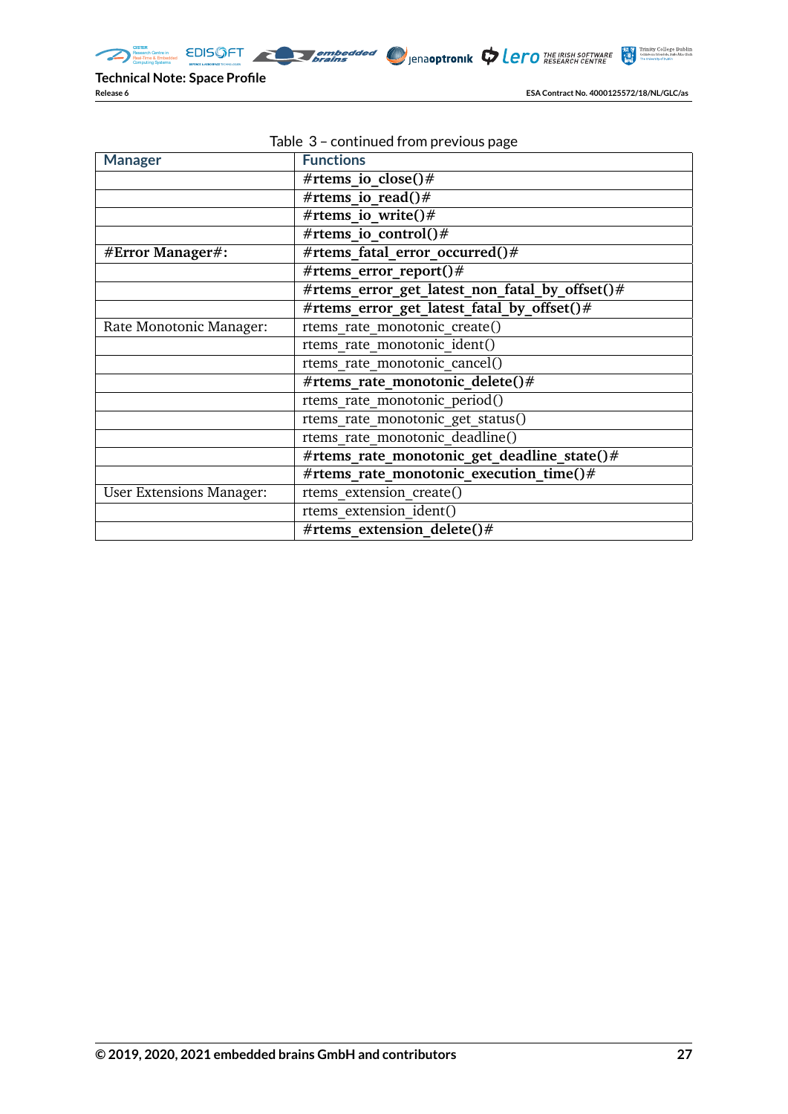

**Release 6 ESA Contract No. 4000125572/18/NL/GLC/as**

| <b>Manager</b>                  | <b>Functions</b>                               |
|---------------------------------|------------------------------------------------|
|                                 | #rtems_io_close()#                             |
|                                 | #rtems io read()#                              |
|                                 | #rtems_io_write()#                             |
|                                 | #rtems io control $()$ #                       |
| #Error Manager#:                | #rtems_fatal_error_occurred()#                 |
|                                 | #rtems_error_report()#                         |
|                                 | #rtems_error_get_latest_non_fatal_by_offset()# |
|                                 | #rtems_error_get_latest_fatal_by_offset()#     |
| Rate Monotonic Manager:         | rtems_rate_monotonic_create()                  |
|                                 | rtems_rate_monotonic_ident()                   |
|                                 | rtems_rate_monotonic_cancel()                  |
|                                 | #rtems_rate_monotonic_delete()#                |
|                                 | rtems rate monotonic period()                  |
|                                 | rtems_rate_monotonic_get_status()              |
|                                 | rtems_rate_monotonic_deadline()                |
|                                 | #rtems_rate_monotonic_get_deadline_state()#    |
|                                 | #rtems_rate_monotonic_execution_time()#        |
| <b>User Extensions Manager:</b> | rtems extension create()                       |
|                                 | rtems extension ident()                        |
|                                 | #rtems extension delete()#                     |

Table 3 – continued from previous page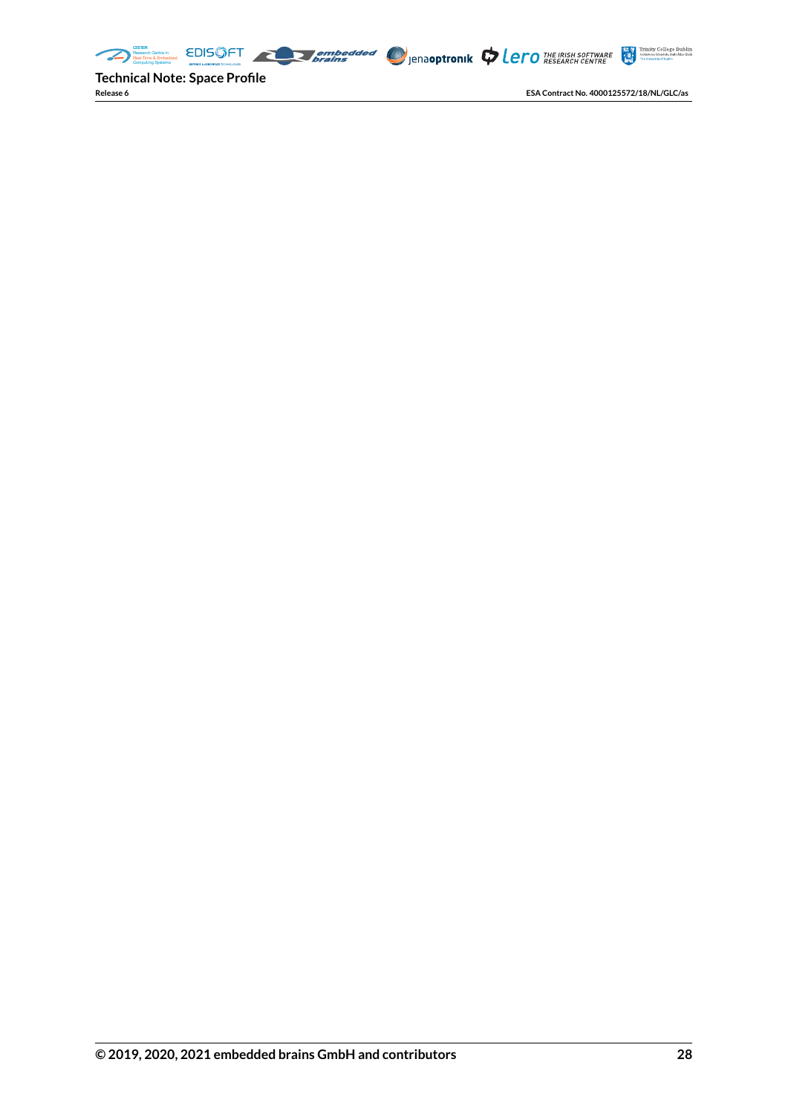





**Release 6 ESA Contract No. 4000125572/18/NL/GLC/as**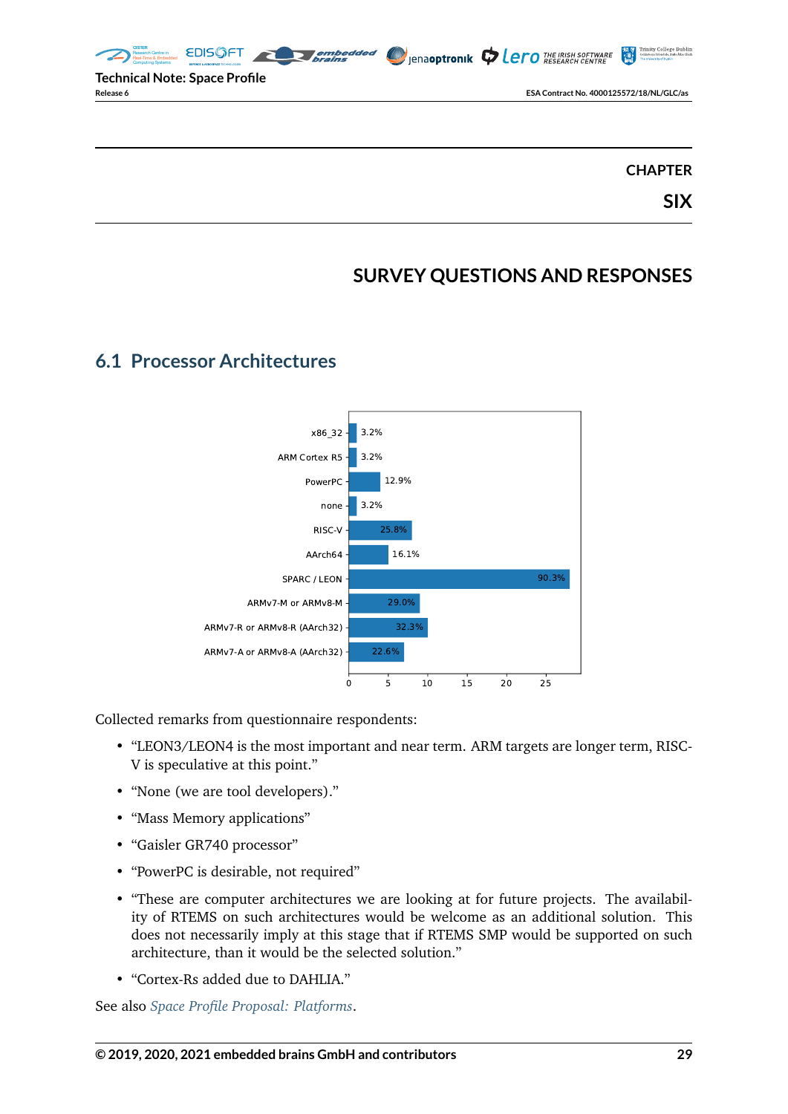<span id="page-33-0"></span>

## **SURVEY QUESTIONS AND RESPONSES**

## <span id="page-33-1"></span>**6.1 Processor Architectures**



Collected remarks from questionnaire respondents:

- "LEON3/LEON4 is the most important and near term. ARM targets are longer term, RISC-V is speculative at this point."
- "None (we are tool developers)."
- "Mass Memory applications"
- "Gaisler GR740 processor"
- "PowerPC is desirable, not required"
- "These are computer architectures we are looking at for future projects. The availability of RTEMS on such architectures would be welcome as an additional solution. This does not necessarily imply at this stage that if RTEMS SMP would be supported on such architecture, than it would be the selected solution."
- "Cortex-Rs added due to DAHLIA."

See also *[Space Profile Proposal: Platforms](#page-13-1)*.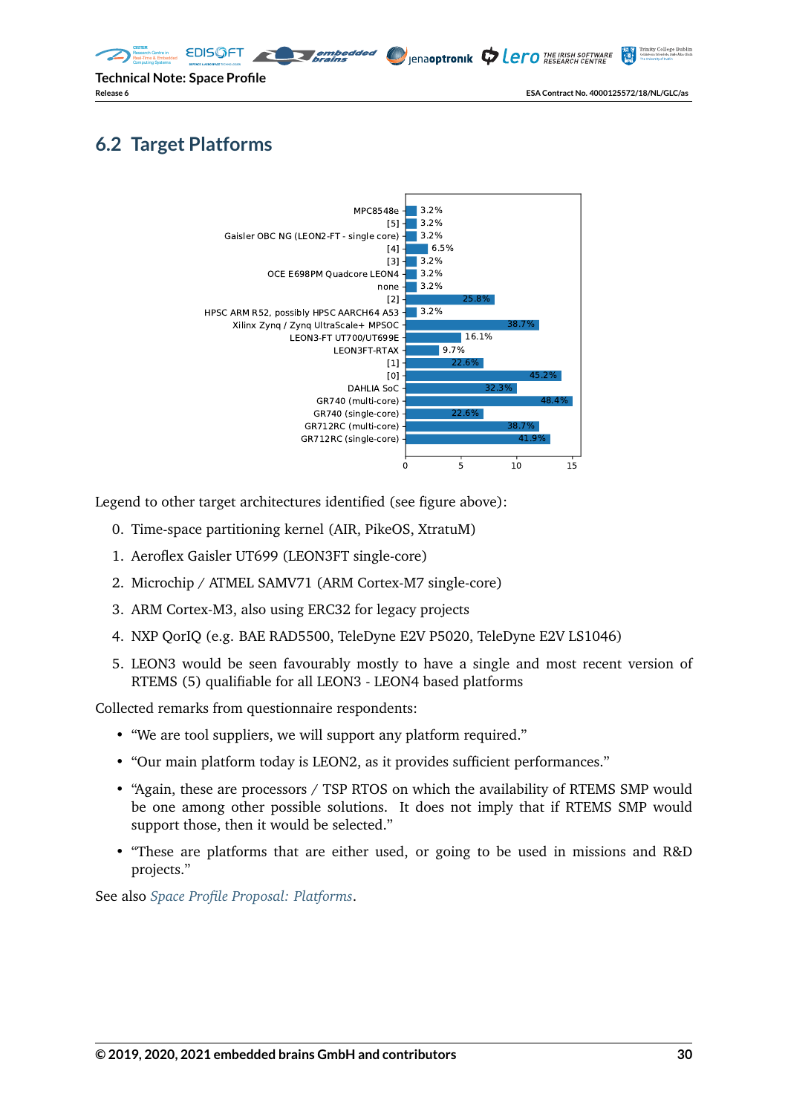

**CONFIDENCE CONSUMING THE IRISH SOFTWARE** 



**Technical Note: Space Profile**

**Release 6 ESA Contract No. 4000125572/18/NL/GLC/as**

## <span id="page-34-0"></span>**6.2 Target Platforms**



Legend to other target architectures identified (see figure above):

- 0. Time-space partitioning kernel (AIR, PikeOS, XtratuM)
- 1. Aeroflex Gaisler UT699 (LEON3FT single-core)
- 2. Microchip / ATMEL SAMV71 (ARM Cortex-M7 single-core)
- 3. ARM Cortex-M3, also using ERC32 for legacy projects
- 4. NXP QorIQ (e.g. BAE RAD5500, TeleDyne E2V P5020, TeleDyne E2V LS1046)
- 5. LEON3 would be seen favourably mostly to have a single and most recent version of RTEMS (5) qualifiable for all LEON3 - LEON4 based platforms

Collected remarks from questionnaire respondents:

- "We are tool suppliers, we will support any platform required."
- "Our main platform today is LEON2, as it provides sufficient performances."
- "Again, these are processors / TSP RTOS on which the availability of RTEMS SMP would be one among other possible solutions. It does not imply that if RTEMS SMP would support those, then it would be selected."
- "These are platforms that are either used, or going to be used in missions and R&D projects."

See also *[Space Profile Proposal: Platforms](#page-13-1)*.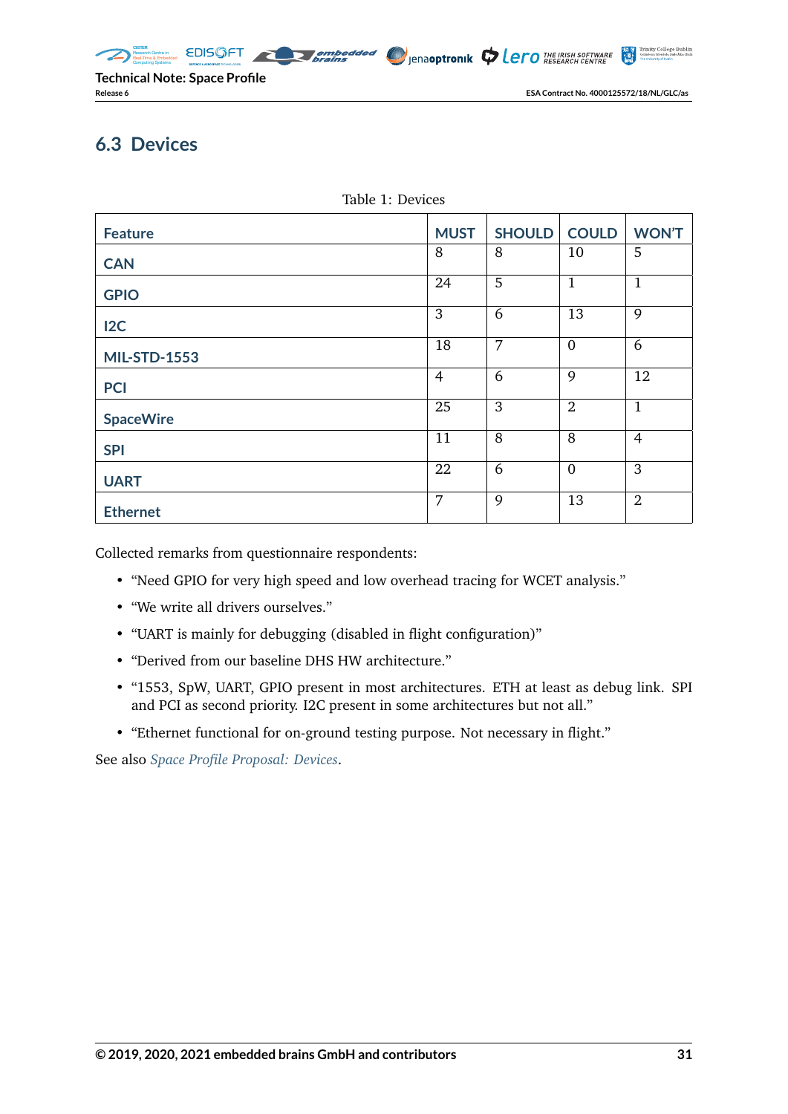

**Release 6 ESA Contract No. 4000125572/18/NL/GLC/as**

(P) Jenaoptronik CO Lero THE IRISH SOFTWARE

## <span id="page-35-0"></span>**6.3 Devices**

| Table 1: Devices    |                |               |                |                |
|---------------------|----------------|---------------|----------------|----------------|
| <b>Feature</b>      | <b>MUST</b>    | <b>SHOULD</b> | <b>COULD</b>   | <b>WON'T</b>   |
| <b>CAN</b>          | 8              | 8             | 10             | 5              |
| <b>GPIO</b>         | 24             | 5             | $\mathbf{1}$   | $\mathbf{1}$   |
| 12C                 | 3              | 6             | 13             | 9              |
| <b>MIL-STD-1553</b> | 18             | 7             | $\overline{0}$ | 6              |
| <b>PCI</b>          | $\overline{4}$ | 6             | 9              | 12             |
| <b>SpaceWire</b>    | 25             | 3             | $\overline{2}$ | $\mathbf{1}$   |
| <b>SPI</b>          | 11             | 8             | 8              | $\overline{4}$ |
| <b>UART</b>         | 22             | 6             | $\overline{0}$ | 3              |
| <b>Ethernet</b>     | 7              | 9             | 13             | 2              |

Collected remarks from questionnaire respondents:

- "Need GPIO for very high speed and low overhead tracing for WCET analysis."
- "We write all drivers ourselves."
- "UART is mainly for debugging (disabled in flight configuration)"
- "Derived from our baseline DHS HW architecture."
- "1553, SpW, UART, GPIO present in most architectures. ETH at least as debug link. SPI and PCI as second priority. I2C present in some architectures but not all."
- "Ethernet functional for on-ground testing purpose. Not necessary in flight."

See also *[Space Profile Proposal: Devices](#page-13-2)*.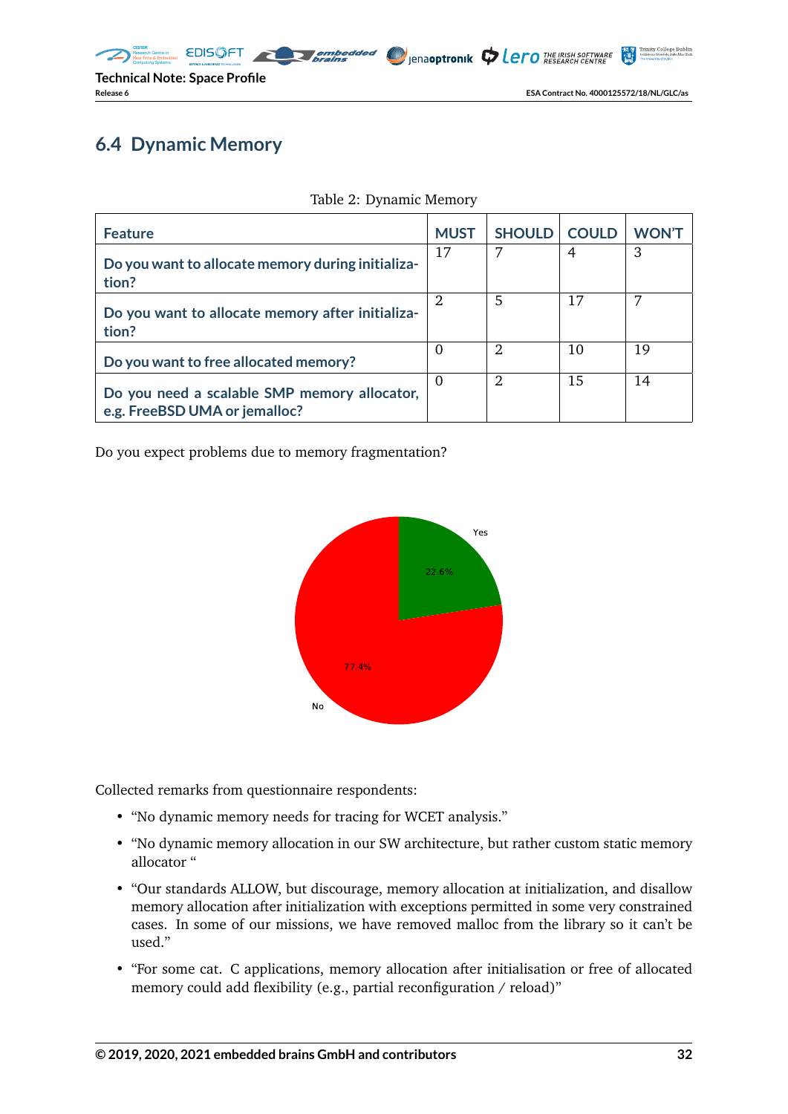

**Release 6 ESA Contract No. 4000125572/18/NL/GLC/as**

## <span id="page-36-0"></span>**6.4 Dynamic Memory**

| <b>Feature</b>                                                                | <b>MUST</b> | <b>SHOULD</b> | <b>COULD</b> | <b>WON'T</b> |
|-------------------------------------------------------------------------------|-------------|---------------|--------------|--------------|
| Do you want to allocate memory during initializa-<br>tion?                    | 17          | 7             | 4            | 3            |
| Do you want to allocate memory after initializa-<br>tion?                     | 2           | 5             | 17           |              |
| Do you want to free allocated memory?                                         | $\Omega$    | 2             | 10           | 19           |
| Do you need a scalable SMP memory allocator,<br>e.g. FreeBSD UMA or jemalloc? | $\Omega$    | 2             | 15           | 14           |

#### Table 2: Dynamic Memory

Do you expect problems due to memory fragmentation?



Collected remarks from questionnaire respondents:

- "No dynamic memory needs for tracing for WCET analysis."
- "No dynamic memory allocation in our SW architecture, but rather custom static memory allocator "
- "Our standards ALLOW, but discourage, memory allocation at initialization, and disallow memory allocation after initialization with exceptions permitted in some very constrained cases. In some of our missions, we have removed malloc from the library so it can't be used."
- "For some cat. C applications, memory allocation after initialisation or free of allocated memory could add flexibility (e.g., partial reconfiguration / reload)"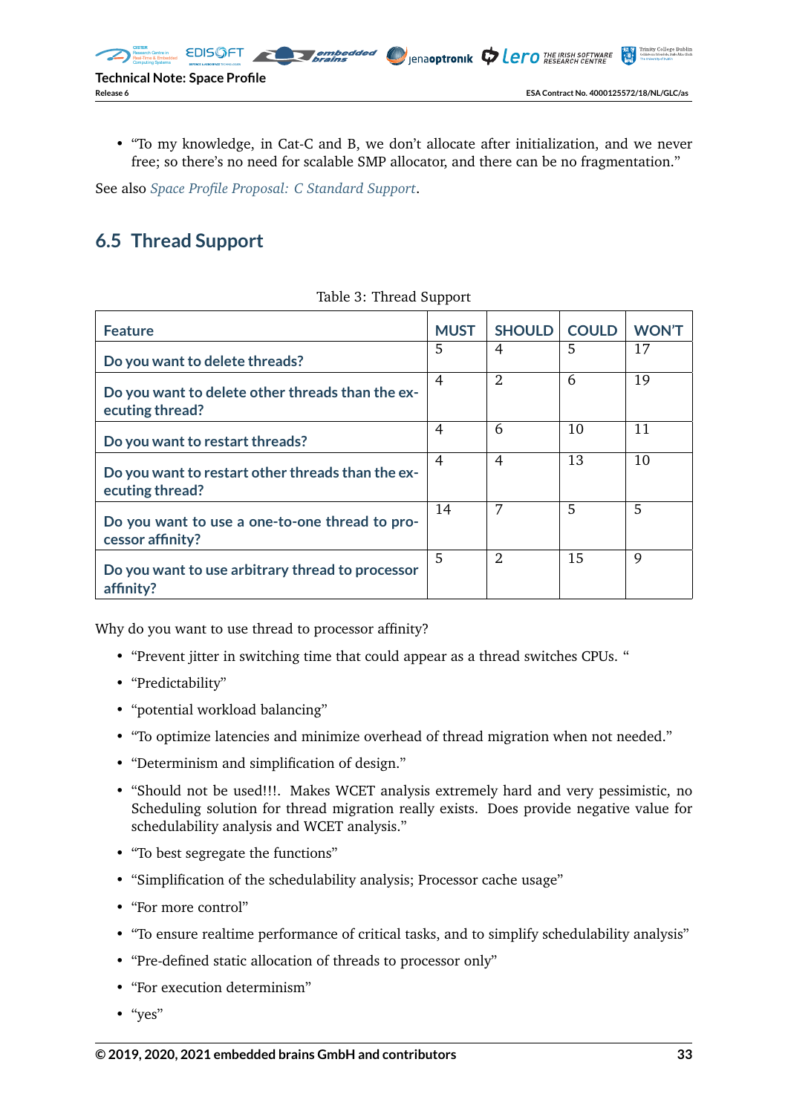

• "To my knowledge, in Cat-C and B, we don't allocate after initialization, and we never free; so there's no need for scalable SMP allocator, and there can be no fragmentation."

See also *[Space Profile Proposal: C Standard Support](#page-14-1)*.

## <span id="page-37-0"></span>**6.5 Thread Support**

| <b>Feature</b>                                                       | <b>MUST</b>    | <b>SHOULD</b>  | <b>COULD</b> | <b>WON'T</b> |
|----------------------------------------------------------------------|----------------|----------------|--------------|--------------|
| Do you want to delete threads?                                       | 5              | $\overline{4}$ | 5            | 17           |
| Do you want to delete other threads than the ex-<br>ecuting thread?  | $\overline{4}$ | 2              | 6            | 19           |
| Do you want to restart threads?                                      | 4              | 6              | 10           | 11           |
| Do you want to restart other threads than the ex-<br>ecuting thread? | 4              | $\overline{4}$ | 13           | 10           |
| Do you want to use a one-to-one thread to pro-<br>cessor affinity?   | 14             | 7              | 5            | 5            |
| Do you want to use arbitrary thread to processor<br>affinity?        | 5              | 2              | 15           | 9            |

|  |  | Table 3: Thread Support |
|--|--|-------------------------|
|--|--|-------------------------|

Why do you want to use thread to processor affinity?

- "Prevent jitter in switching time that could appear as a thread switches CPUs. "
- "Predictability"
- "potential workload balancing"
- "To optimize latencies and minimize overhead of thread migration when not needed."
- "Determinism and simplification of design."
- "Should not be used!!!. Makes WCET analysis extremely hard and very pessimistic, no Scheduling solution for thread migration really exists. Does provide negative value for schedulability analysis and WCET analysis."
- "To best segregate the functions"
- "Simplification of the schedulability analysis; Processor cache usage"
- "For more control"
- "To ensure realtime performance of critical tasks, and to simplify schedulability analysis"
- "Pre-defined static allocation of threads to processor only"
- "For execution determinism"
- "yes"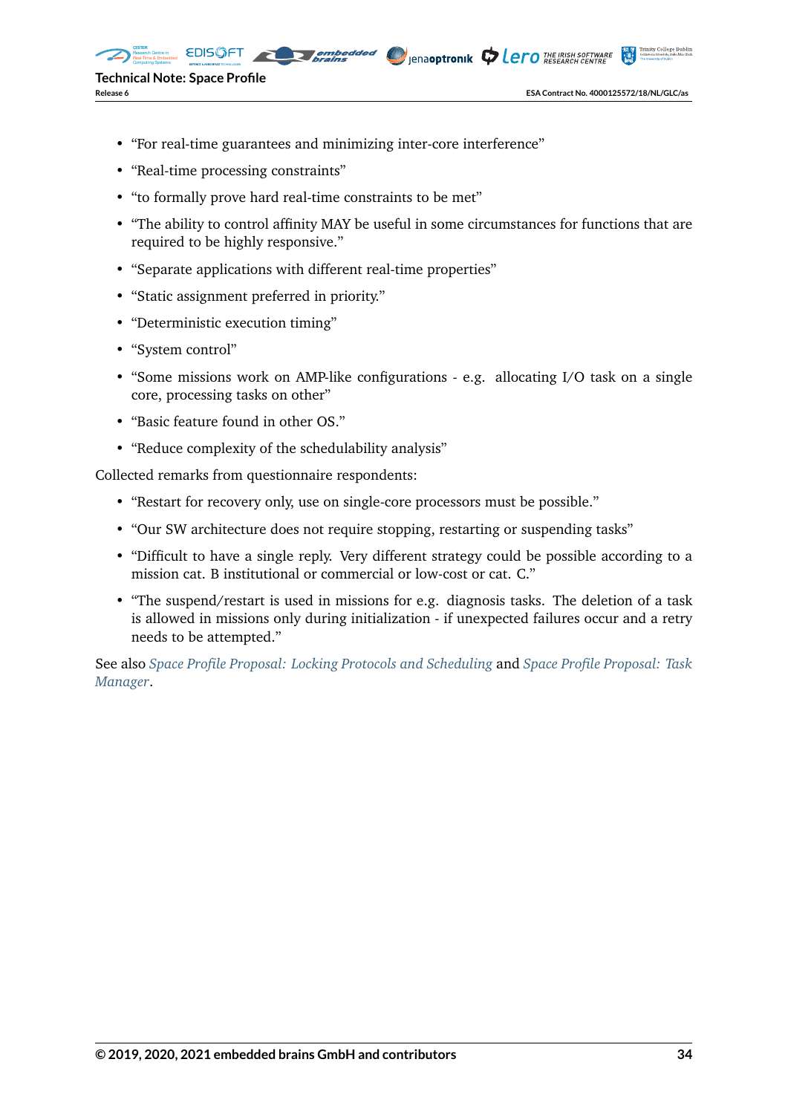

**CISTER** Research Centre in Real-Time & Embedded Computing Systems

- "For real-time guarantees and minimizing inter-core interference"
- "Real-time processing constraints"
- "to formally prove hard real-time constraints to be met"
- "The ability to control affinity MAY be useful in some circumstances for functions that are required to be highly responsive."
- "Separate applications with different real-time properties"
- "Static assignment preferred in priority."
- "Deterministic execution timing"
- "System control"
- "Some missions work on AMP-like configurations e.g. allocating I/O task on a single core, processing tasks on other"
- "Basic feature found in other OS."
- "Reduce complexity of the schedulability analysis"

Collected remarks from questionnaire respondents:

- "Restart for recovery only, use on single-core processors must be possible."
- "Our SW architecture does not require stopping, restarting or suspending tasks"
- "Difficult to have a single reply. Very different strategy could be possible according to a mission cat. B institutional or commercial or low-cost or cat. C."
- "The suspend/restart is used in missions for e.g. diagnosis tasks. The deletion of a task is allowed in missions only during initialization - if unexpected failures occur and a retry needs to be attempted."

See also *[Space Profile Proposal: Locking Protocols and Scheduling](#page-14-0)* and *[Space Profile Proposal: Task](#page-18-1) [Manager](#page-18-1)*.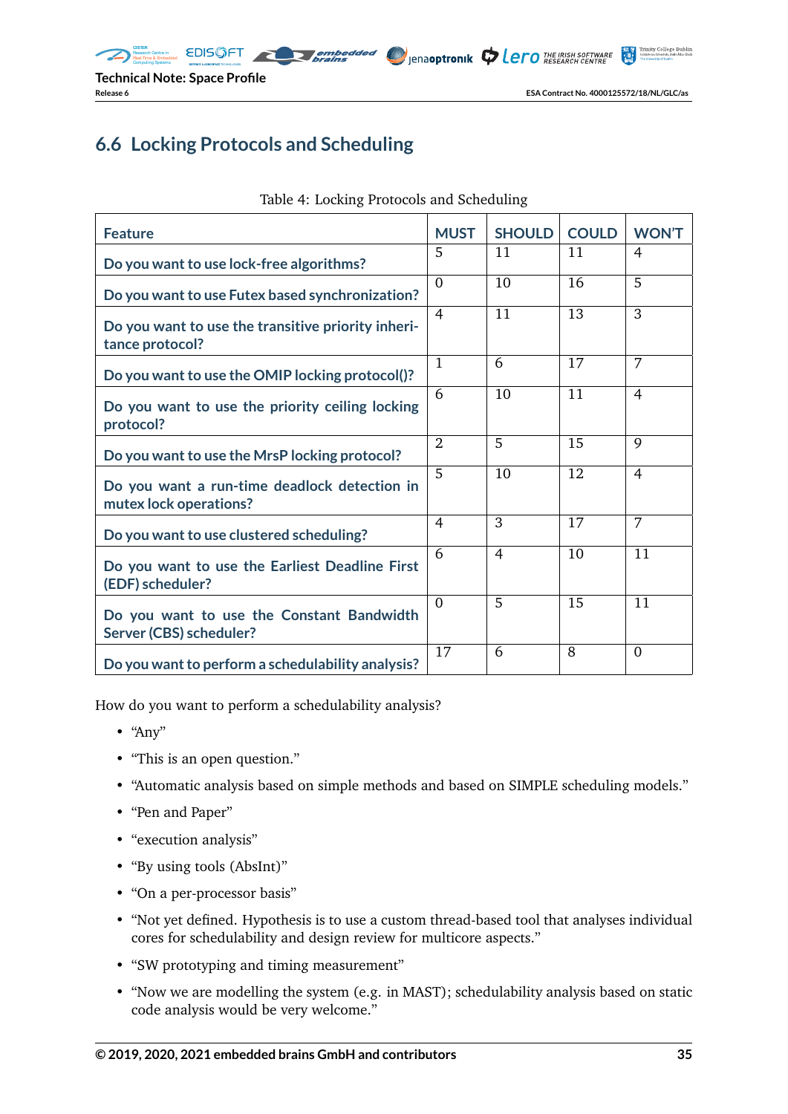

**CO** Jenaoptronik **C** Lero THE IRISH SOFTWARE

 $\frac{1}{\sqrt{2}}\sum_{n=1}^{\infty}$  Trinity College Dublin

## <span id="page-39-0"></span>**6.6 Locking Protocols and Scheduling**

| <b>Feature</b>                                                         | <b>MUST</b>    | <b>SHOULD</b>  | <b>COULD</b> | <b>WON'T</b>   |
|------------------------------------------------------------------------|----------------|----------------|--------------|----------------|
| Do you want to use lock-free algorithms?                               | 5              | 11             | 11           | 4              |
| Do you want to use Futex based synchronization?                        | $\Omega$       | 10             | 16           | $\overline{5}$ |
| Do you want to use the transitive priority inheri-<br>tance protocol?  | $\overline{4}$ | 11             | 13           | 3              |
| Do you want to use the OMIP locking protocol()?                        | $\mathbf{1}$   | 6              | 17           | 7              |
| Do you want to use the priority ceiling locking<br>protocol?           | 6              | 10             | 11           | $\overline{4}$ |
| Do you want to use the MrsP locking protocol?                          | $\overline{2}$ | 5              | 15           | 9              |
| Do you want a run-time deadlock detection in<br>mutex lock operations? | 5              | 10             | 12           | $\overline{4}$ |
| Do you want to use clustered scheduling?                               | $\overline{4}$ | 3              | 17           | 7              |
| Do you want to use the Earliest Deadline First<br>(EDF) scheduler?     | 6              | $\overline{4}$ | 10           | 11             |
| Do you want to use the Constant Bandwidth<br>Server (CBS) scheduler?   | $\Omega$       | 5              | 15           | 11             |
| Do you want to perform a schedulability analysis?                      | 17             | 6              | 8            | $\Omega$       |

#### Table 4: Locking Protocols and Scheduling

How do you want to perform a schedulability analysis?

- "Any"
- "This is an open question."
- "Automatic analysis based on simple methods and based on SIMPLE scheduling models."
- "Pen and Paper"
- "execution analysis"
- "By using tools (AbsInt)"
- "On a per-processor basis"
- "Not yet defined. Hypothesis is to use a custom thread-based tool that analyses individual cores for schedulability and design review for multicore aspects."
- "SW prototyping and timing measurement"
- "Now we are modelling the system (e.g. in MAST); schedulability analysis based on static code analysis would be very welcome."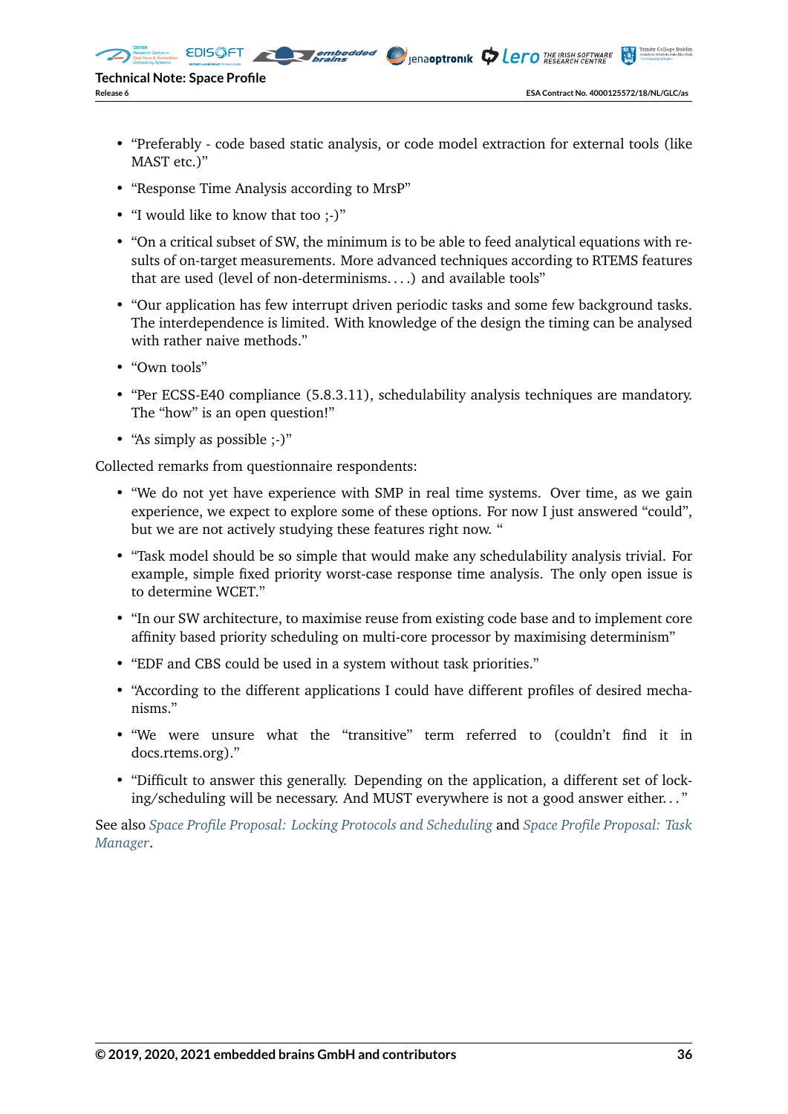**EDISGFT** embedded **OD** Jenaoptronik **C** Lero THE IRISH SOFTWARE

**CISTER** Research Centre in Real-Time & Embedded Trinity College Dublin

- "Preferably code based static analysis, or code model extraction for external tools (like MAST etc.)"
- "Response Time Analysis according to MrsP"
- "I would like to know that too ;-)"
- "On a critical subset of SW, the minimum is to be able to feed analytical equations with results of on-target measurements. More advanced techniques according to RTEMS features that are used (level of non-determinisms. . . .) and available tools"
- "Our application has few interrupt driven periodic tasks and some few background tasks. The interdependence is limited. With knowledge of the design the timing can be analysed with rather naive methods."
- "Own tools"
- "Per ECSS-E40 compliance (5.8.3.11), schedulability analysis techniques are mandatory. The "how" is an open question!"
- "As simply as possible ;-)"

Collected remarks from questionnaire respondents:

- "We do not yet have experience with SMP in real time systems. Over time, as we gain experience, we expect to explore some of these options. For now I just answered "could", but we are not actively studying these features right now. "
- "Task model should be so simple that would make any schedulability analysis trivial. For example, simple fixed priority worst-case response time analysis. The only open issue is to determine WCET."
- "In our SW architecture, to maximise reuse from existing code base and to implement core affinity based priority scheduling on multi-core processor by maximising determinism"
- "EDF and CBS could be used in a system without task priorities."
- "According to the different applications I could have different profiles of desired mechanisms."
- "We were unsure what the "transitive" term referred to (couldn't find it in docs.rtems.org)."
- "Difficult to answer this generally. Depending on the application, a different set of locking/scheduling will be necessary. And MUST everywhere is not a good answer either. . . "

See also *[Space Profile Proposal: Locking Protocols and Scheduling](#page-14-0)* and *[Space Profile Proposal: Task](#page-18-1) [Manager](#page-18-1)*.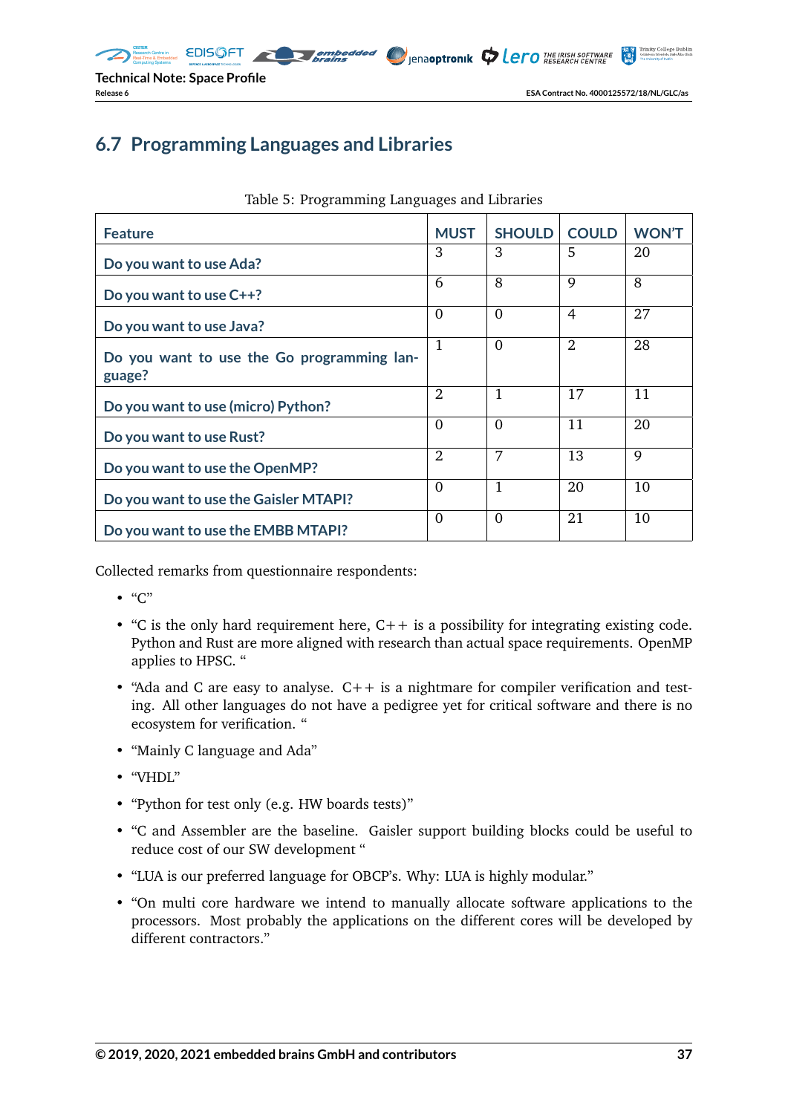

CO JE JE LETO THE IRISH SOFTWARE

 $\frac{1}{25}$   $\frac{1}{25}$  Trinity College Dublin<br> $\frac{1}{25}$  Collistena Trionbide, Balle Atha Clisth<br> $\frac{1}{25}$  The University of Oublin

## <span id="page-41-0"></span>**6.7 Programming Languages and Libraries**

**Exampled** *embedded* 

| <b>Feature</b>                                       | <b>MUST</b>    | <b>SHOULD</b>  | <b>COULD</b>   | <b>WON'T</b> |
|------------------------------------------------------|----------------|----------------|----------------|--------------|
| Do you want to use Ada?                              | 3              | 3              | 5              | 20           |
| Do you want to use C++?                              | 6              | 8              | 9              | 8            |
| Do you want to use Java?                             | $\Omega$       | $\Omega$       | $\overline{4}$ | 27           |
| Do you want to use the Go programming lan-<br>guage? | 1              | $\Omega$       | $\overline{2}$ | 28           |
| Do you want to use (micro) Python?                   | $\overline{2}$ | $\overline{1}$ | 17             | 11           |
| Do you want to use Rust?                             | $\Omega$       | $\Omega$       | 11             | 20           |
| Do you want to use the OpenMP?                       | $\overline{2}$ | 7              | 13             | 9            |
| Do you want to use the Gaisler MTAPI?                | $\Omega$       | 1              | 20             | 10           |
| Do you want to use the EMBB MTAPI?                   | $\Omega$       | $\Omega$       | 21             | 10           |

#### Table 5: Programming Languages and Libraries

Collected remarks from questionnaire respondents:

- $\bullet$  "C"
- "C is the only hard requirement here,  $C++$  is a possibility for integrating existing code. Python and Rust are more aligned with research than actual space requirements. OpenMP applies to HPSC. "
- "Ada and C are easy to analyse.  $C++$  is a nightmare for compiler verification and testing. All other languages do not have a pedigree yet for critical software and there is no ecosystem for verification. "
- "Mainly C language and Ada"
- "VHDL"
- "Python for test only (e.g. HW boards tests)"
- "C and Assembler are the baseline. Gaisler support building blocks could be useful to reduce cost of our SW development "
- "LUA is our preferred language for OBCP's. Why: LUA is highly modular."
- "On multi core hardware we intend to manually allocate software applications to the processors. Most probably the applications on the different cores will be developed by different contractors."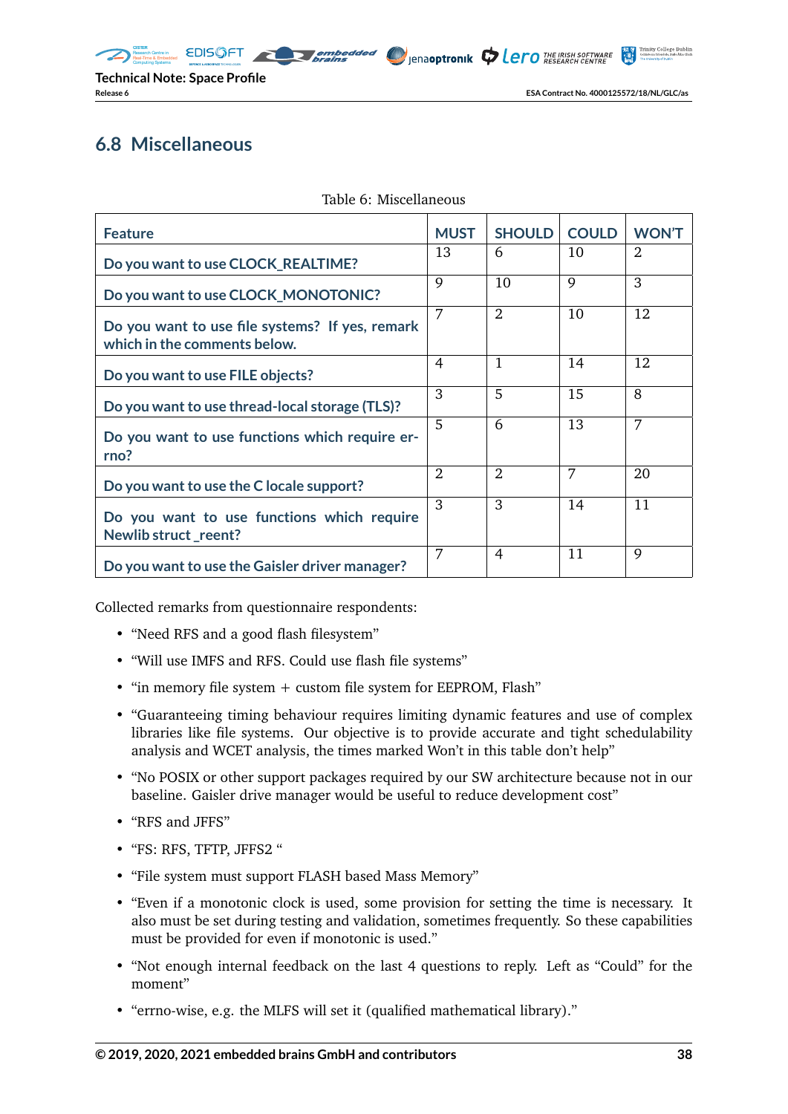

(P) Jenaoptronik CO Lero THE IRISH SOFTWARE

## <span id="page-42-0"></span>**6.8 Miscellaneous**

| <b>Feature</b>                                                                  | <b>MUST</b>    | <b>SHOULD</b>  | <b>COULD</b> | <b>WON'T</b> |
|---------------------------------------------------------------------------------|----------------|----------------|--------------|--------------|
| Do you want to use CLOCK REALTIME?                                              | 13             | 6              | 10           | 2            |
| Do you want to use CLOCK_MONOTONIC?                                             | 9              | 10             | 9            | 3            |
| Do you want to use file systems? If yes, remark<br>which in the comments below. | 7              | $\overline{2}$ | 10           | 12           |
| Do you want to use FILE objects?                                                | 4              | $\mathbf{1}$   | 14           | 12           |
| Do you want to use thread-local storage (TLS)?                                  | 3              | 5              | 15           | 8            |
| Do you want to use functions which require er-<br>rno?                          | 5              | 6              | 13           | 7            |
| Do you want to use the C locale support?                                        | $\mathfrak{D}$ | $\overline{2}$ | 7            | 20           |
| Do you want to use functions which require<br>Newlib struct reent?              | 3              | 3              | 14           | 11           |
| Do you want to use the Gaisler driver manager?                                  | 7              | $\overline{4}$ | 11           | 9            |

Table 6: Miscellaneous

Collected remarks from questionnaire respondents:

- "Need RFS and a good flash filesystem"
- "Will use IMFS and RFS. Could use flash file systems"
- "in memory file system + custom file system for EEPROM, Flash"
- "Guaranteeing timing behaviour requires limiting dynamic features and use of complex libraries like file systems. Our objective is to provide accurate and tight schedulability analysis and WCET analysis, the times marked Won't in this table don't help"
- "No POSIX or other support packages required by our SW architecture because not in our baseline. Gaisler drive manager would be useful to reduce development cost"
- "RFS and JFFS"
- "FS: RFS, TFTP, JFFS2 "
- "File system must support FLASH based Mass Memory"
- "Even if a monotonic clock is used, some provision for setting the time is necessary. It also must be set during testing and validation, sometimes frequently. So these capabilities must be provided for even if monotonic is used."
- "Not enough internal feedback on the last 4 questions to reply. Left as "Could" for the moment"
- "errno-wise, e.g. the MLFS will set it (qualified mathematical library)."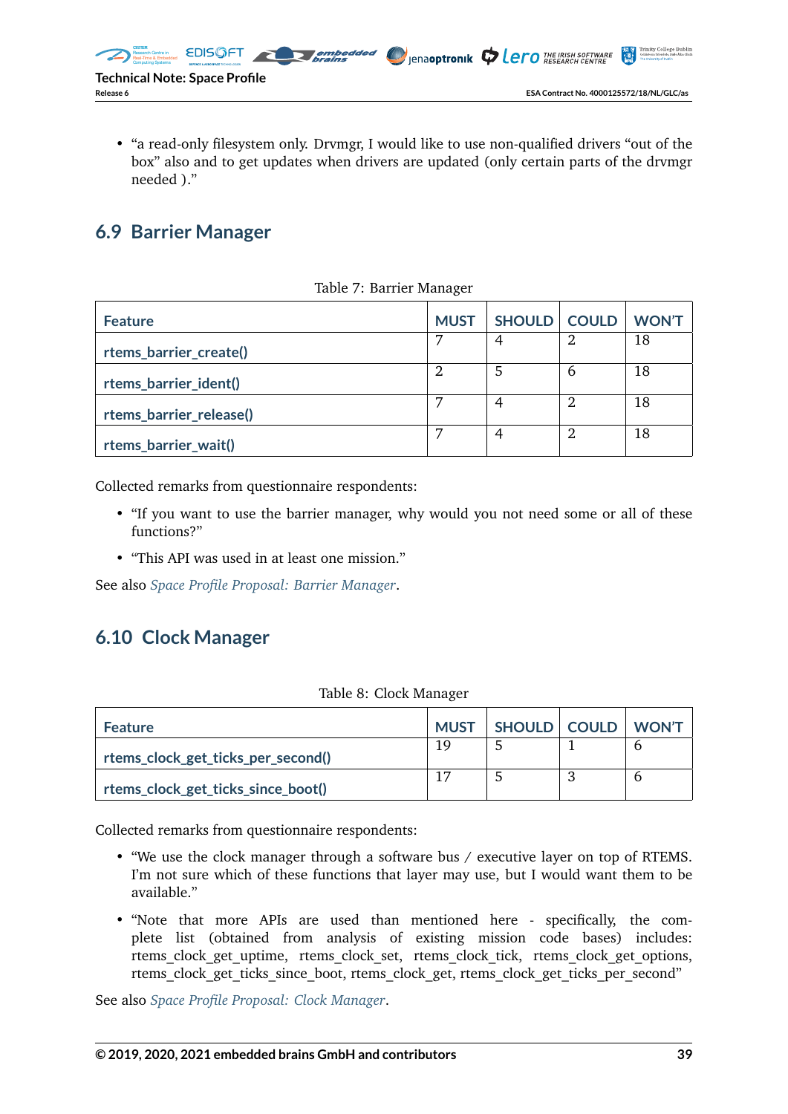

• "a read-only filesystem only. Drvmgr, I would like to use non-qualified drivers "out of the box" also and to get updates when drivers are updated (only certain parts of the drvmgr needed )."

#### <span id="page-43-0"></span>**6.9 Barrier Manager**

|  |  | Table 7: Barrier Manager |
|--|--|--------------------------|
|--|--|--------------------------|

| <b>Feature</b>          | <b>MUST</b> | <b>SHOULD</b> | <b>COULD</b> | <b>WON'T</b> |
|-------------------------|-------------|---------------|--------------|--------------|
| rtems_barrier_create()  | ⇁           | 4             | 2            | 18           |
| rtems_barrier_ident()   | 2           | 5             | 6            | 18           |
| rtems_barrier_release() | ⇁           | 4             | 2            | 18           |
| rtems_barrier_wait()    | ⇁           | 4             | 2            | 18           |

Collected remarks from questionnaire respondents:

- "If you want to use the barrier manager, why would you not need some or all of these functions?"
- "This API was used in at least one mission."

See also *[Space Profile Proposal: Barrier Manager](#page-14-3)*.

#### <span id="page-43-1"></span>**6.10 Clock Manager**

| <b>Feature</b>                     | <b>MUST</b> | SHOULD   COULD   WON'T |  |
|------------------------------------|-------------|------------------------|--|
| rtems_clock_get_ticks_per_second() | 19          |                        |  |
| rtems_clock_get_ticks_since_boot() |             |                        |  |

Table 8: Clock Manager

Collected remarks from questionnaire respondents:

- "We use the clock manager through a software bus / executive layer on top of RTEMS. I'm not sure which of these functions that layer may use, but I would want them to be available."
- "Note that more APIs are used than mentioned here specifically, the complete list (obtained from analysis of existing mission code bases) includes: rtems clock get uptime, rtems clock set, rtems clock tick, rtems clock get options, rtems clock get ticks since boot, rtems clock get, rtems clock get ticks per second"

See also *[Space Profile Proposal: Clock Manager](#page-15-0)*.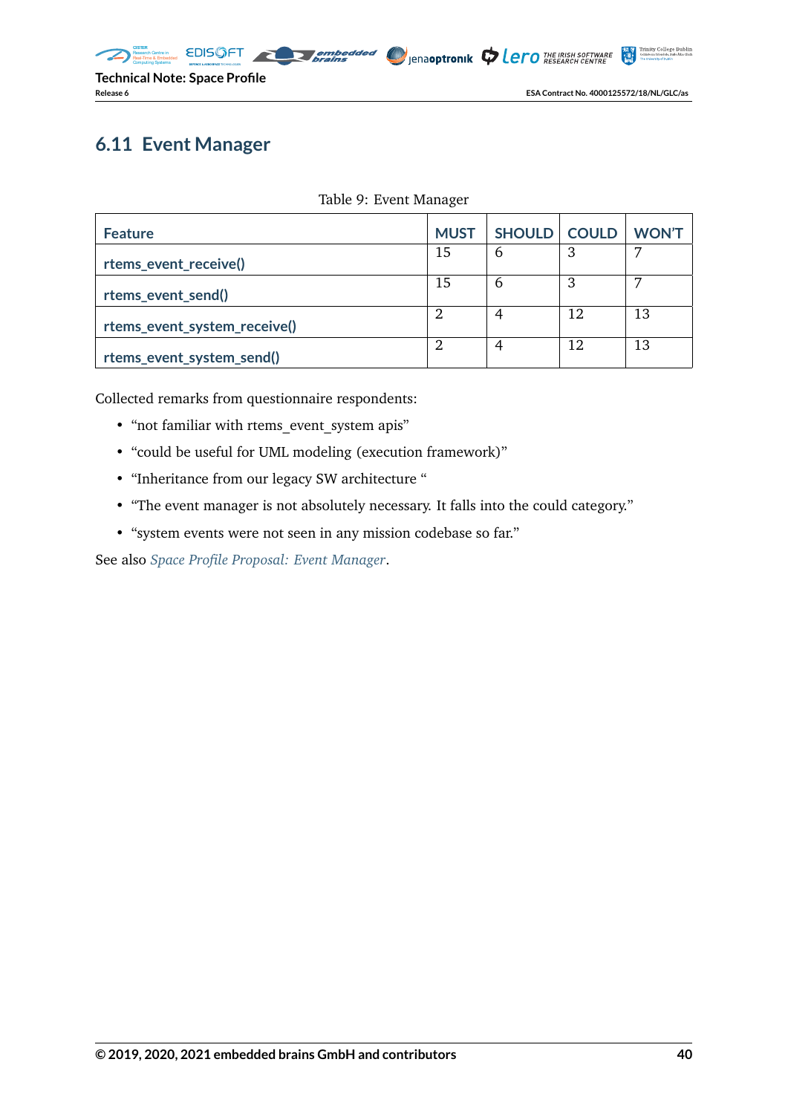

(P) Jenaoptronik CO Lero THE IRISH SOFTWARE

**Release 6 ESA Contract No. 4000125572/18/NL/GLC/as**

## <span id="page-44-0"></span>**6.11 Event Manager**

| <b>Feature</b>               | <b>MUST</b> | <b>SHOULD</b> | <b>COULD</b> | <b>WON'T</b> |
|------------------------------|-------------|---------------|--------------|--------------|
| rtems_event_receive()        | 15          | 6             | 3            | ⇁            |
| rtems_event_send()           | 15          | 6             | 3            | –            |
| rtems_event_system_receive() | າ           | 4             | 12           | 13           |
| rtems_event_system_send()    | റ           | 4             | 12           | 13           |

Collected remarks from questionnaire respondents:

- "not familiar with rtems\_event\_system apis"
- "could be useful for UML modeling (execution framework)"
- "Inheritance from our legacy SW architecture "
- "The event manager is not absolutely necessary. It falls into the could category."
- "system events were not seen in any mission codebase so far."

See also *[Space Profile Proposal: Event Manager](#page-15-1)*.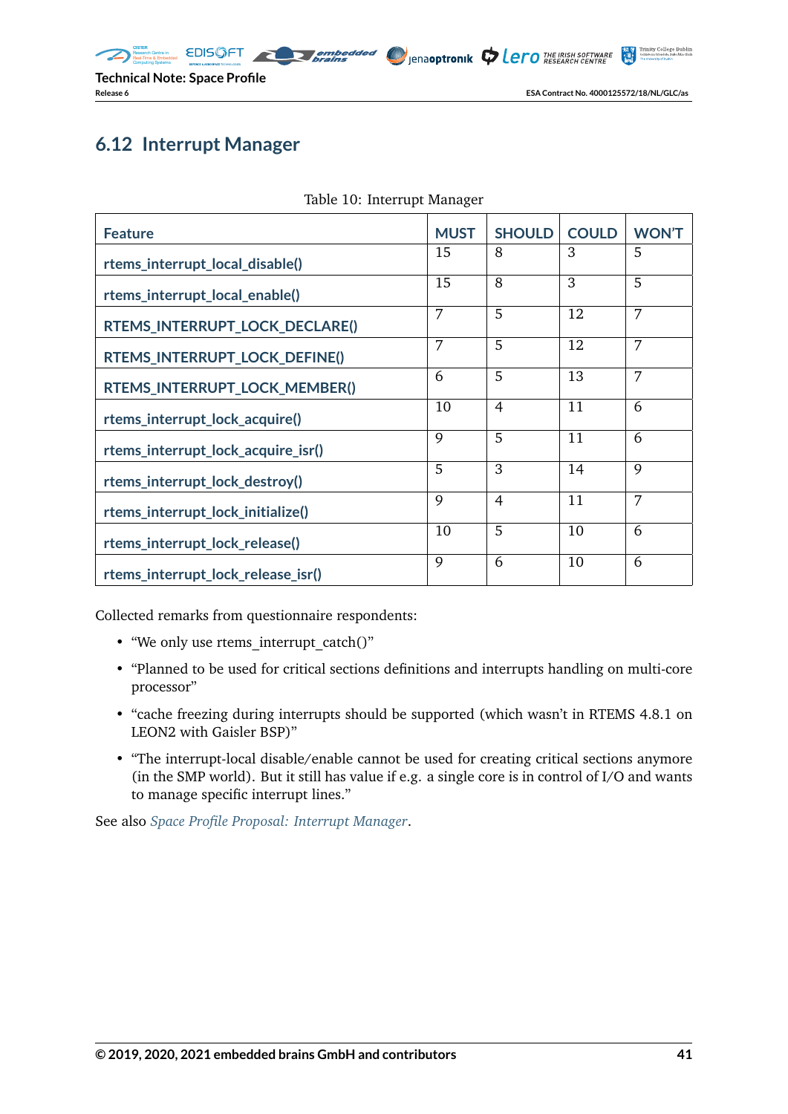

**Release 6 ESA Contract No. 4000125572/18/NL/GLC/as**

## <span id="page-45-0"></span>**6.12 Interrupt Manager**

| <b>Feature</b>                     | <b>MUST</b> | <b>SHOULD</b>  | <b>COULD</b> | <b>WON'T</b> |
|------------------------------------|-------------|----------------|--------------|--------------|
| rtems_interrupt_local_disable()    | 15          | 8              | 3            | 5            |
| rtems_interrupt_local_enable()     | 15          | 8              | 3            | 5            |
| RTEMS_INTERRUPT_LOCK_DECLARE()     | 7           | 5              | 12           | 7            |
| RTEMS_INTERRUPT_LOCK_DEFINE()      | 7           | 5              | 12           | 7            |
| RTEMS_INTERRUPT_LOCK_MEMBER()      | 6           | 5              | 13           | 7            |
| rtems_interrupt_lock_acquire()     | 10          | $\overline{4}$ | 11           | 6            |
| rtems_interrupt_lock_acquire_isr() | 9           | 5              | 11           | 6            |
| rtems_interrupt_lock_destroy()     | 5           | 3              | 14           | 9            |
| rtems_interrupt_lock_initialize()  | 9           | $\overline{4}$ | 11           | 7            |
| rtems_interrupt_lock_release()     | 10          | 5              | 10           | 6            |
| rtems_interrupt_lock_release_isr() | 9           | 6              | 10           | 6            |

#### Table 10: Interrupt Manager

Collected remarks from questionnaire respondents:

- "We only use rtems interrupt catch()"
- "Planned to be used for critical sections definitions and interrupts handling on multi-core processor"
- "cache freezing during interrupts should be supported (which wasn't in RTEMS 4.8.1 on LEON2 with Gaisler BSP)"
- "The interrupt-local disable/enable cannot be used for creating critical sections anymore (in the SMP world). But it still has value if e.g. a single core is in control of I/O and wants to manage specific interrupt lines."

See also *[Space Profile Proposal: Interrupt Manager](#page-16-0)*.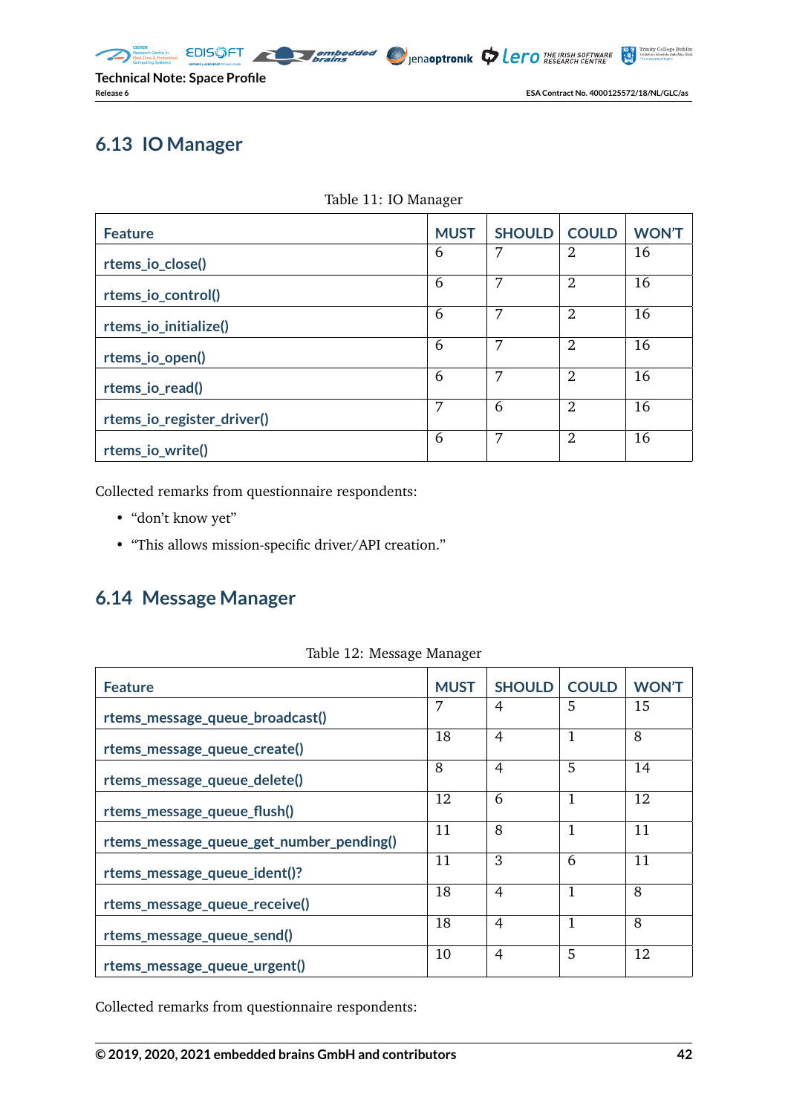

**Release 6 ESA Contract No. 4000125572/18/NL/GLC/as**

## <span id="page-46-0"></span>**6.13 IO Manager**

| Table 11: IO Manager       |             |               |                |              |
|----------------------------|-------------|---------------|----------------|--------------|
| <b>Feature</b>             | <b>MUST</b> | <b>SHOULD</b> | <b>COULD</b>   | <b>WON'T</b> |
| rtems_io_close()           | 6           | 7             | 2              | 16           |
| rtems_io_control()         | 6           | 7             | $\overline{2}$ | 16           |
| rtems_io_initialize()      | 6           | 7             | 2              | 16           |
| rtems_io_open()            | 6           | 7             | $\overline{2}$ | 16           |
| rtems_io_read()            | 6           | 7             | 2              | 16           |
| rtems_io_register_driver() | 7           | 6             | $\overline{2}$ | 16           |
| rtems_io_write()           | 6           | 7             | 2              | 16           |

Collected remarks from questionnaire respondents:

- "don't know yet"
- "This allows mission-specific driver/API creation."

## <span id="page-46-1"></span>**6.14 Message Manager**

|  | Table 12: Message Manager |  |
|--|---------------------------|--|
|--|---------------------------|--|

| <b>Feature</b>                           | <b>MUST</b> | <b>SHOULD</b>  | <b>COULD</b> | <b>WON'T</b> |
|------------------------------------------|-------------|----------------|--------------|--------------|
| rtems_message_queue_broadcast()          | 7           | 4              | 5            | 15           |
| rtems_message_queue_create()             | 18          | 4              | 1            | 8            |
| rtems_message_queue_delete()             | 8           | $\overline{4}$ | 5            | 14           |
| rtems_message_queue_flush()              | 12          | 6              | 1            | 12           |
| rtems_message_queue_get_number_pending() | 11          | 8              | 1            | 11           |
| rtems_message_queue_ident()?             | 11          | 3              | 6            | 11           |
| rtems_message_queue_receive()            | 18          | 4              | 1            | 8            |
| rtems_message_queue_send()               | 18          | $\overline{4}$ | 1            | 8            |
| rtems_message_queue_urgent()             | 10          | 4              | 5            | 12           |

Collected remarks from questionnaire respondents: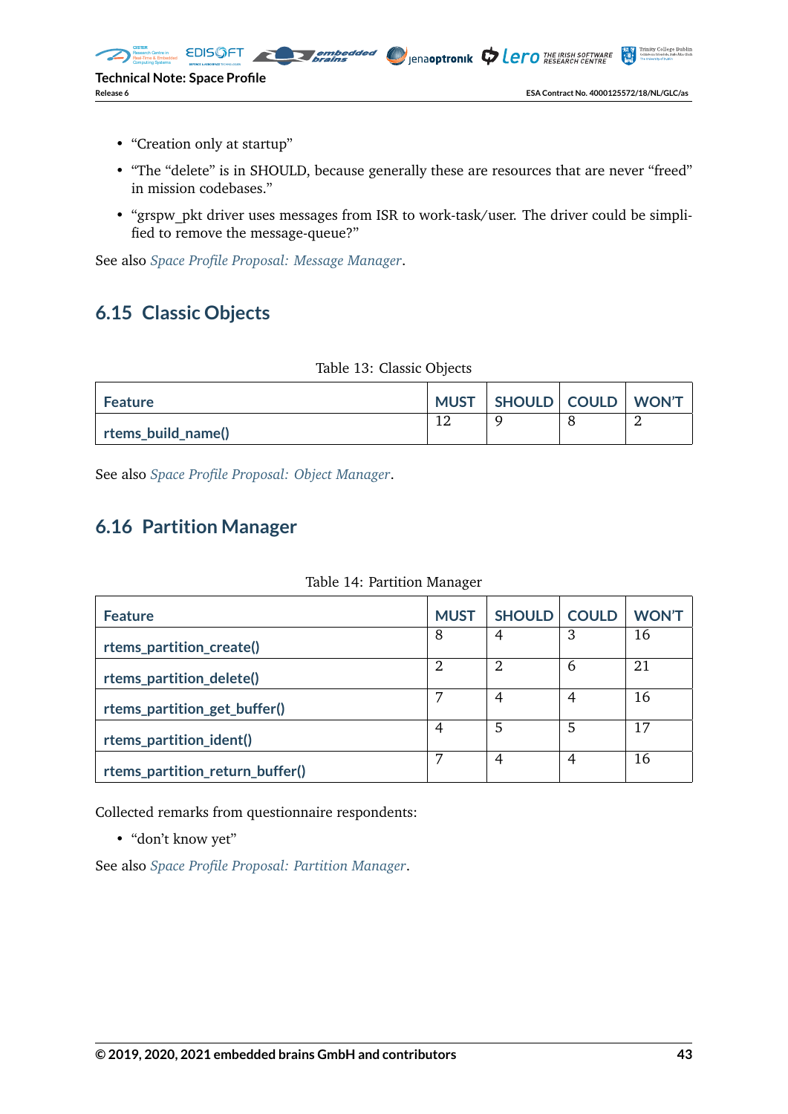

**Release 6 ESA Contract No. 4000125572/18/NL/GLC/as**

- "Creation only at startup"
- "The "delete" is in SHOULD, because generally these are resources that are never "freed" in mission codebases."
- "grspw\_pkt driver uses messages from ISR to work-task/user. The driver could be simplified to remove the message-queue?"

See also *[Space Profile Proposal: Message Manager](#page-16-1)*.

## <span id="page-47-0"></span>**6.15 Classic Objects**

| Feature            | MUST   SHOULD   COULD   WON'T |  |
|--------------------|-------------------------------|--|
| rtems_build_name() |                               |  |

Table 13: Classic Objects

See also *[Space Profile Proposal: Object Manager](#page-17-0)*.

## <span id="page-47-1"></span>**6.16 Partition Manager**

| Table 14: Partition Manager     |             |               |              |              |
|---------------------------------|-------------|---------------|--------------|--------------|
| <b>Feature</b>                  | <b>MUST</b> | <b>SHOULD</b> | <b>COULD</b> | <b>WON'T</b> |
| rtems_partition_create()        | 8           | 4             | 3            | 16           |
| rtems_partition_delete()        | 2           | 2             | 6            | 21           |
| rtems_partition_get_buffer()    | 7           | 4             | 4            | 16           |
| rtems_partition_ident()         | 4           | 5             | 5            | 17           |
| rtems partition return buffer() | 7           | 4             | 4            | 16           |

Collected remarks from questionnaire respondents:

• "don't know yet"

See also *[Space Profile Proposal: Partition Manager](#page-17-1)*.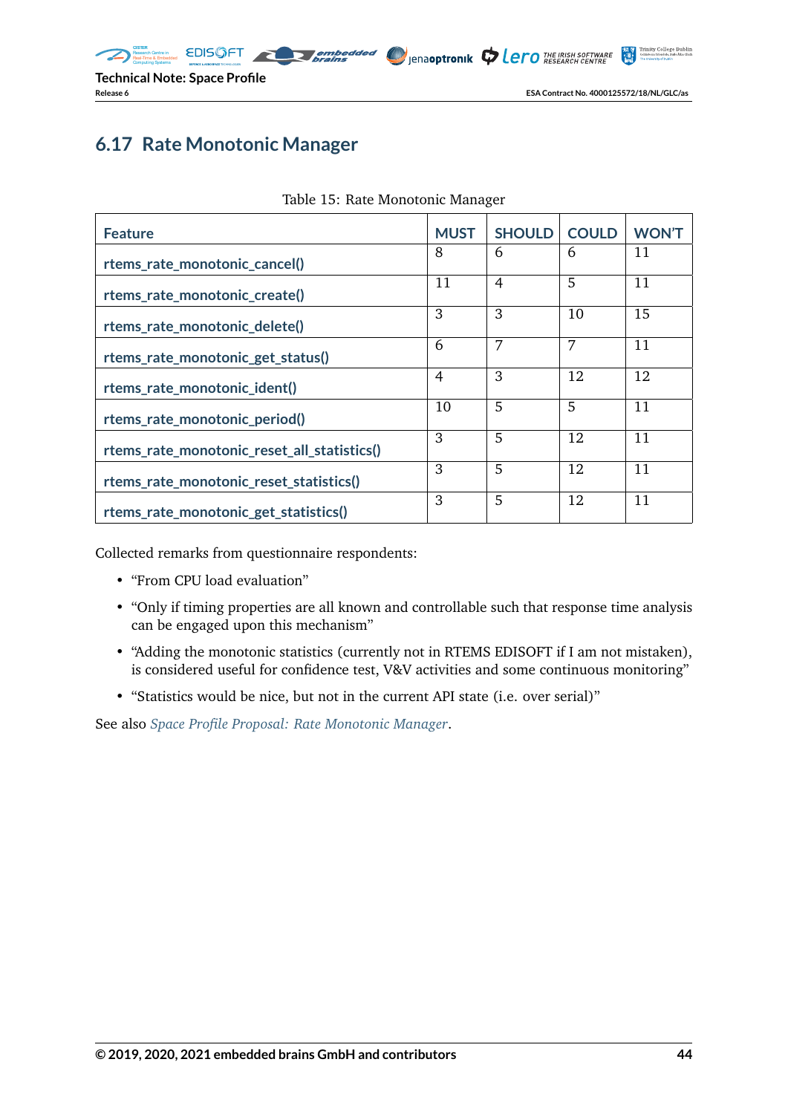

深里

**CO** Jenaoptronik **C** Lero THE IRISH SOFTWARE

Trinity College Dublin

## <span id="page-48-0"></span>**6.17 Rate Monotonic Manager**

| <b>Feature</b>                              | <b>MUST</b>    | <b>SHOULD</b>  | <b>COULD</b> | <b>WON'T</b> |
|---------------------------------------------|----------------|----------------|--------------|--------------|
| rtems_rate_monotonic_cancel()               | 8              | 6              | 6            | 11           |
| rtems_rate_monotonic_create()               | 11             | $\overline{4}$ | 5            | 11           |
| rtems_rate_monotonic_delete()               | 3              | 3              | 10           | 15           |
| rtems_rate_monotonic_get_status()           | 6              | 7              | 7            | 11           |
| rtems_rate_monotonic_ident()                | $\overline{4}$ | 3              | 12           | 12           |
| rtems_rate_monotonic_period()               | 10             | 5              | 5            | 11           |
| rtems_rate_monotonic_reset_all_statistics() | 3              | 5              | 12           | 11           |
| rtems_rate_monotonic_reset_statistics()     | 3              | 5              | 12           | 11           |
| rtems_rate_monotonic_get_statistics()       | 3              | 5              | 12           | 11           |

#### Table 15: Rate Monotonic Manager

Collected remarks from questionnaire respondents:

- "From CPU load evaluation"
- "Only if timing properties are all known and controllable such that response time analysis can be engaged upon this mechanism"
- "Adding the monotonic statistics (currently not in RTEMS EDISOFT if I am not mistaken), is considered useful for confidence test, V&V activities and some continuous monitoring"
- "Statistics would be nice, but not in the current API state (i.e. over serial)"

See also *[Space Profile Proposal: Rate Monotonic Manager](#page-17-2)*.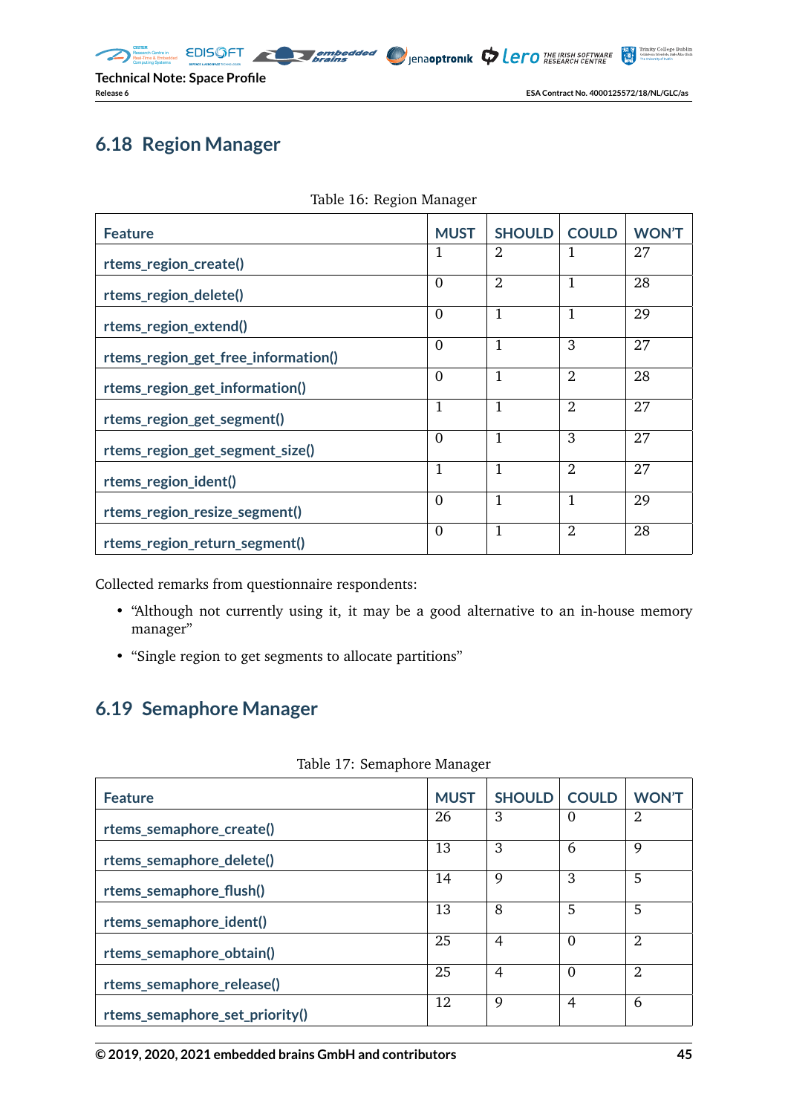

**Release 6 ESA Contract No. 4000125572/18/NL/GLC/as**

## <span id="page-49-0"></span>**6.18 Region Manager**

| <b>Feature</b>                      | <b>MUST</b>    | <b>SHOULD</b>  | <b>COULD</b>   | <b>WON'T</b> |
|-------------------------------------|----------------|----------------|----------------|--------------|
| rtems_region_create()               | 1              | 2              | 1              | 27           |
| rtems_region_delete()               | $\mathbf 0$    | $\overline{2}$ | $\mathbf{1}$   | 28           |
| rtems_region_extend()               | $\Omega$       | 1              | 1              | 29           |
| rtems_region_get_free_information() | $\Omega$       | $\mathbf{1}$   | 3              | 27           |
| rtems_region_get_information()      | $\mathbf 0$    | 1              | $\overline{2}$ | 28           |
| rtems_region_get_segment()          | 1              | 1              | $\overline{2}$ | 27           |
| rtems_region_get_segment_size()     | $\Omega$       | $\overline{1}$ | 3              | 27           |
| rtems_region_ident()                | 1              | 1              | $\overline{2}$ | 27           |
| rtems_region_resize_segment()       | $\overline{0}$ | $\overline{1}$ | $\overline{1}$ | 29           |
| rtems_region_return_segment()       | $\mathbf 0$    | 1              | $\overline{2}$ | 28           |

Table 16: Region Manager

Collected remarks from questionnaire respondents:

- "Although not currently using it, it may be a good alternative to an in-house memory manager"
- "Single region to get segments to allocate partitions"

## <span id="page-49-1"></span>**6.19 Semaphore Manager**

|  | Table 17: Semaphore Manager |  |
|--|-----------------------------|--|
|--|-----------------------------|--|

| <b>Feature</b>                 | <b>MUST</b> | <b>SHOULD</b>  | <b>COULD</b> | <b>WON'T</b>   |
|--------------------------------|-------------|----------------|--------------|----------------|
| rtems_semaphore_create()       | 26          | 3              | $\Omega$     | 2              |
| rtems_semaphore_delete()       | 13          | 3              | 6            | 9              |
| rtems_semaphore_flush()        | 14          | 9              | 3            | 5              |
| rtems_semaphore_ident()        | 13          | 8              | 5            | 5              |
| rtems_semaphore_obtain()       | 25          | 4              | $\Omega$     | 2              |
| rtems_semaphore_release()      | 25          | $\overline{4}$ | $\Omega$     | $\overline{2}$ |
| rtems_semaphore_set_priority() | 12          | 9              | 4            | 6              |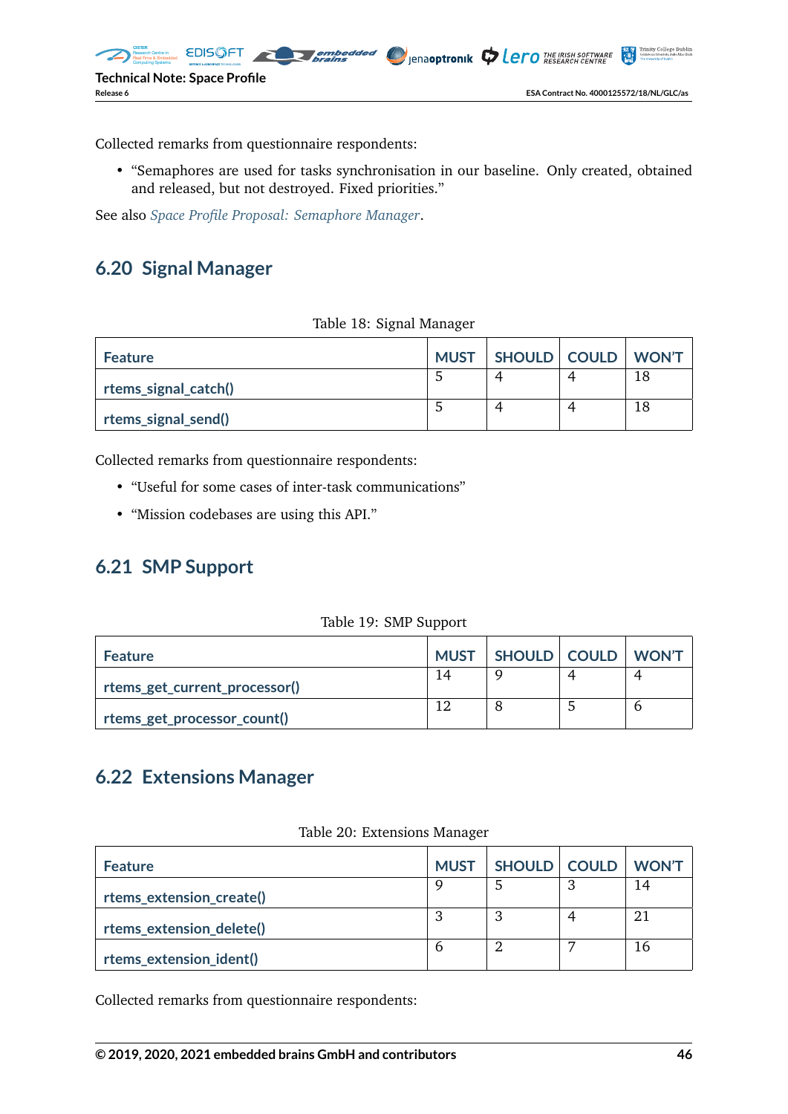

Collected remarks from questionnaire respondents:

• "Semaphores are used for tasks synchronisation in our baseline. Only created, obtained and released, but not destroyed. Fixed priorities."

See also *[Space Profile Proposal: Semaphore Manager](#page-18-0)*.

#### <span id="page-50-0"></span>**6.20 Signal Manager**

| Table 18: Signal Manager |  |
|--------------------------|--|
|--------------------------|--|

| <b>Feature</b>       | <b>MUST</b> |  |    |
|----------------------|-------------|--|----|
| rtems_signal_catch() |             |  | 18 |
| rtems_signal_send()  |             |  | 18 |

Collected remarks from questionnaire respondents:

- "Useful for some cases of inter-task communications"
- "Mission codebases are using this API."

#### <span id="page-50-1"></span>**6.21 SMP Support**

| <b>Feature</b>                | <b>MUST</b> | SHOULD COULD WON'T |  |
|-------------------------------|-------------|--------------------|--|
| rtems_get_current_processor() |             |                    |  |
| rtems_get_processor_count()   |             |                    |  |

#### <span id="page-50-2"></span>**6.22 Extensions Manager**

| Table 20: Extensions Manager |  |  |
|------------------------------|--|--|
|------------------------------|--|--|

| <b>Feature</b>           | <b>MUST</b> | <b>SHOULD   COULD</b> |   | <b>WON'T</b> |
|--------------------------|-------------|-----------------------|---|--------------|
| rtems_extension_create() |             |                       | റ | 14           |
| rtems_extension_delete() |             | 3                     |   | 21           |
| rtems_extension_ident()  |             | റ                     |   | 16           |

Collected remarks from questionnaire respondents: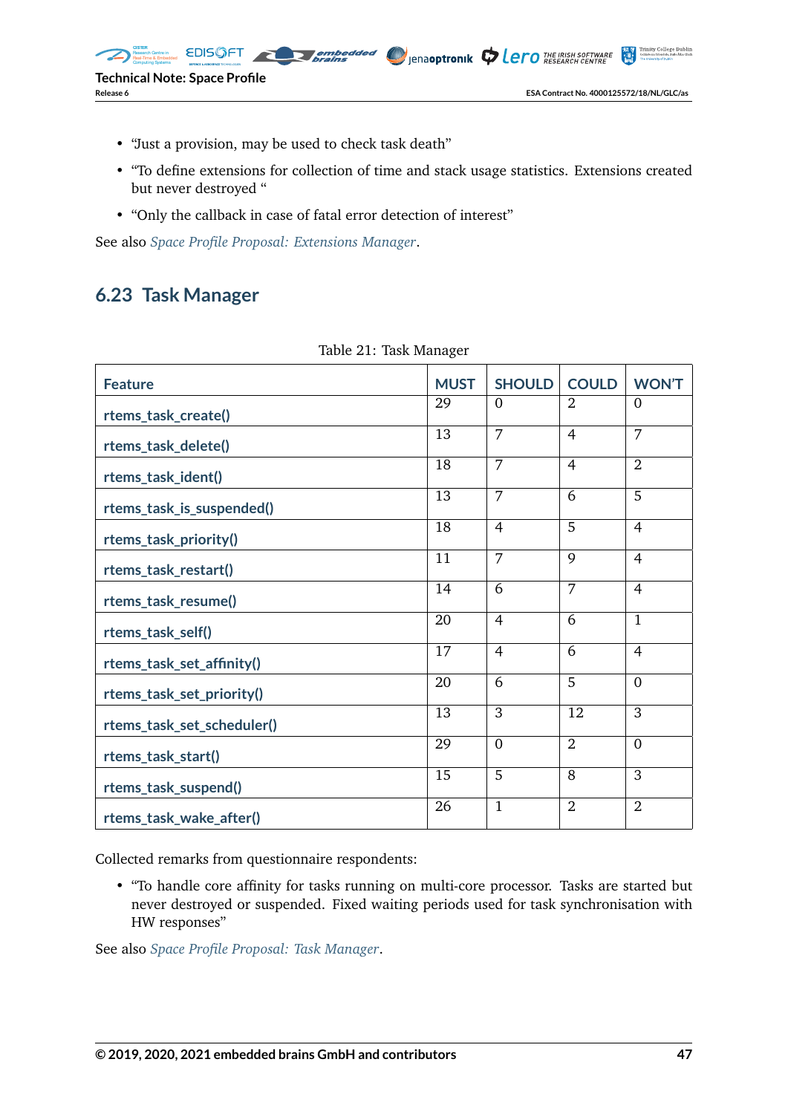Senaoptronik **Charles Contains Software** 

**CISTER** Research Centre in Real-Time & Embedded Computing Systems

- "Just a provision, may be used to check task death"
- "To define extensions for collection of time and stack usage statistics. Extensions created but never destroyed "
- "Only the callback in case of fatal error detection of interest"

**Example 1** embedded

See also *[Space Profile Proposal: Extensions Manager](#page-20-0)*.

#### <span id="page-51-0"></span>**6.23 Task Manager**

| <b>MUST</b>     | <b>SHOULD</b>  | <b>COULD</b>   | <b>WON'T</b>   |
|-----------------|----------------|----------------|----------------|
| 29              | $\Omega$       | $\overline{2}$ | $\Omega$       |
| $\overline{13}$ | 7              | $\overline{4}$ | 7              |
| 18              | 7              | $\overline{4}$ | $\overline{2}$ |
| 13              | 7              | 6              | $\overline{5}$ |
| 18              | $\overline{4}$ | 5              | $\overline{4}$ |
| $\overline{11}$ | $\overline{7}$ | 9              | $\overline{4}$ |
| 14              | 6              | $\overline{7}$ | $\overline{4}$ |
| 20              | $\overline{4}$ | 6              | $\mathbf{1}$   |
| 17              | $\overline{4}$ | 6              | $\overline{4}$ |
| 20              | 6              | 5              | $\overline{0}$ |
| 13              | 3              | 12             | 3              |
| 29              | $\overline{0}$ | $\overline{2}$ | $\mathbf{0}$   |
| 15              | 5              | 8              | 3              |
| 26              | $\mathbf{1}$   | $\overline{2}$ | $\overline{2}$ |
|                 |                |                |                |

Table 21: Task Manager

Collected remarks from questionnaire respondents:

• "To handle core affinity for tasks running on multi-core processor. Tasks are started but never destroyed or suspended. Fixed waiting periods used for task synchronisation with HW responses"

See also *[Space Profile Proposal: Task Manager](#page-18-1)*.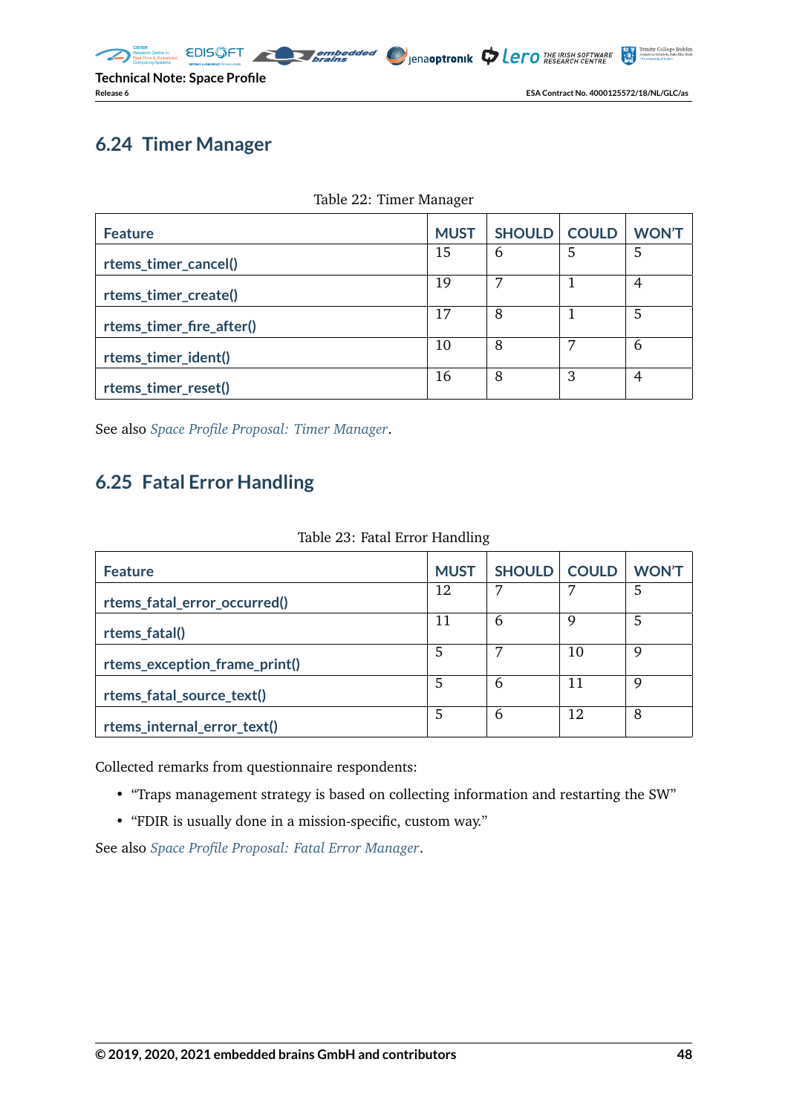

**Release 6 ESA Contract No. 4000125572/18/NL/GLC/as**

## <span id="page-52-0"></span>**6.24 Timer Manager**

| Table 22: Timer Manager  |             |               |              |              |
|--------------------------|-------------|---------------|--------------|--------------|
| <b>Feature</b>           | <b>MUST</b> | <b>SHOULD</b> | <b>COULD</b> | <b>WON'T</b> |
| rtems_timer_cancel()     | 15          | 6             | 5            | 5            |
| rtems_timer_create()     | 19          | 7             |              | 4            |
| rtems_timer_fire_after() | 17          | 8             |              | 5            |
| rtems_timer_ident()      | 10          | 8             | 7            | 6            |
| rtems_timer_reset()      | 16          | 8             | 3            | 4            |

See also *[Space Profile Proposal: Timer Manager](#page-19-0)*.

## <span id="page-52-1"></span>**6.25 Fatal Error Handling**

|  |  | Table 23: Fatal Error Handling |
|--|--|--------------------------------|
|  |  |                                |

| <b>Feature</b>                | <b>MUST</b> | <b>SHOULD</b> | <b>COULD</b> | <b>WON'T</b> |
|-------------------------------|-------------|---------------|--------------|--------------|
| rtems_fatal_error_occurred()  | 12          | 7             | 7            | 5            |
| rtems_fatal()                 | 11          | 6             | 9            | 5            |
| rtems_exception_frame_print() | 5           | 7             | 10           | 9            |
| rtems_fatal_source_text()     | 5           | 6             | 11           | 9            |
| rtems_internal_error_text()   | 5           | 6             | 12           | 8            |

Collected remarks from questionnaire respondents:

- "Traps management strategy is based on collecting information and restarting the SW"
- "FDIR is usually done in a mission-specific, custom way."

See also *[Space Profile Proposal: Fatal Error Manager](#page-15-2)*.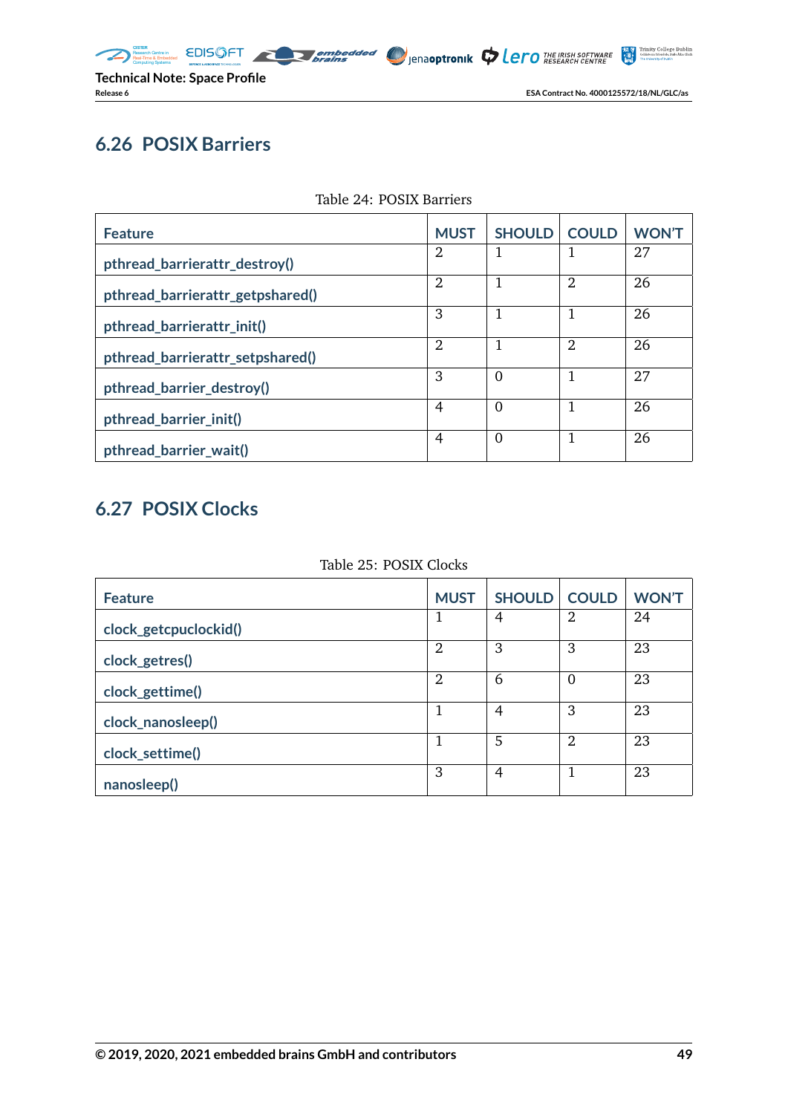

**Release 6 ESA Contract No. 4000125572/18/NL/GLC/as**

## <span id="page-53-0"></span>**6.26 POSIX Barriers**

| Table 24: POSIX Barriers         |                |                |                |              |
|----------------------------------|----------------|----------------|----------------|--------------|
| <b>Feature</b>                   | <b>MUST</b>    | <b>SHOULD</b>  | <b>COULD</b>   | <b>WON'T</b> |
| pthread barrierattr destroy()    | 2              | 1              |                | 27           |
| pthread_barrierattr_getpshared() | $\overline{2}$ | 1              | $\overline{2}$ | 26           |
| pthread barrierattr init()       | 3              | 1              | 1              | 26           |
| pthread_barrierattr_setpshared() | 2              | 1              | 2              | 26           |
| pthread_barrier_destroy()        | 3              | $\overline{0}$ | 1              | 27           |
| pthread barrier init()           | $\overline{4}$ | $\Omega$       | 1              | 26           |
| pthread_barrier_wait()           | $\overline{4}$ | $\overline{0}$ |                | 26           |

## <span id="page-53-1"></span>**6.27 POSIX Clocks**

| Table 25: POSIX Clocks |
|------------------------|
|------------------------|

| <b>Feature</b>        | <b>MUST</b>    | <b>SHOULD</b>  | <b>COULD</b>   | <b>WON'T</b> |
|-----------------------|----------------|----------------|----------------|--------------|
| clock_getcpuclockid() | J.             | $\overline{4}$ | $\overline{2}$ | 24           |
| clock_getres()        | $\overline{2}$ | 3              | 3              | 23           |
| clock_gettime()       | 2              | 6              | $\Omega$       | 23           |
| clock_nanosleep()     |                | $\overline{4}$ | 3              | 23           |
| clock_settime()       | 1              | 5              | $\overline{2}$ | 23           |
| nanosleep()           | 3              | $\overline{4}$ | 1              | 23           |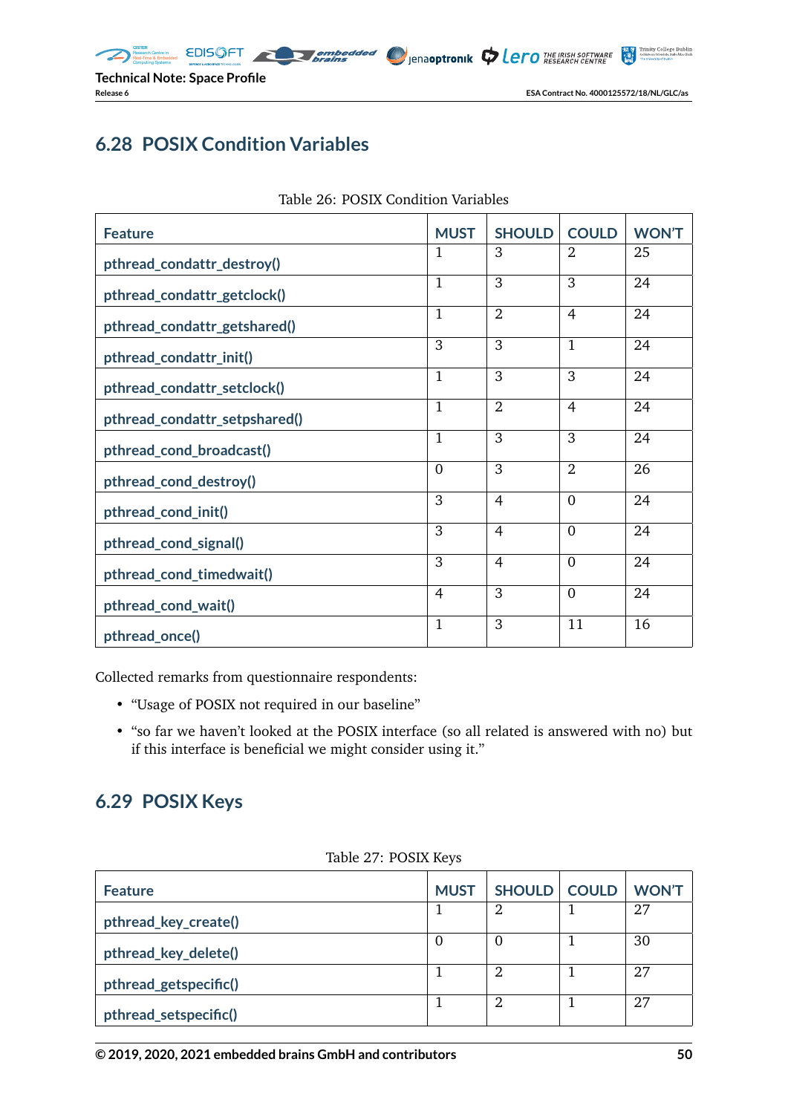

**Release 6 ESA Contract No. 4000125572/18/NL/GLC/as**

## <span id="page-54-0"></span>**6.28 POSIX Condition Variables**

| <b>Feature</b>                | <b>MUST</b>    | <b>SHOULD</b>  | <b>COULD</b>   | <b>WON'T</b> |
|-------------------------------|----------------|----------------|----------------|--------------|
| pthread_condattr_destroy()    | 1              | 3              | 2              | 25           |
| pthread_condattr_getclock()   | $\mathbf{1}$   | 3              | 3              | 24           |
| pthread_condattr_getshared()  | $\mathbf{1}$   | $\overline{2}$ | $\overline{4}$ | 24           |
| pthread_condattr_init()       | 3              | 3              | $\mathbf{1}$   | 24           |
| pthread_condattr_setclock()   | $\mathbf{1}$   | 3              | 3              | 24           |
| pthread_condattr_setpshared() | $\mathbf{1}$   | $\overline{2}$ | $\overline{4}$ | 24           |
| pthread_cond_broadcast()      | $\mathbf{1}$   | 3              | 3              | 24           |
| pthread_cond_destroy()        | $\overline{0}$ | $\overline{3}$ | $\overline{2}$ | 26           |
| pthread_cond_init()           | 3              | $\overline{4}$ | $\Omega$       | 24           |
| pthread_cond_signal()         | 3              | $\overline{4}$ | $\overline{0}$ | 24           |
| pthread_cond_timedwait()      | $\overline{3}$ | $\overline{4}$ | $\overline{0}$ | 24           |
| pthread_cond_wait()           | 4              | 3              | $\overline{0}$ | 24           |
| pthread_once()                | $\mathbf{1}$   | 3              | 11             | 16           |

#### Table 26: POSIX Condition Variables

Collected remarks from questionnaire respondents:

- "Usage of POSIX not required in our baseline"
- "so far we haven't looked at the POSIX interface (so all related is answered with no) but if this interface is beneficial we might consider using it."

## <span id="page-54-1"></span>**6.29 POSIX Keys**

| <b>Feature</b>        | <b>MUST</b> | <b>SHOULD</b> | <b>COULD</b> | <b>WON'T</b> |
|-----------------------|-------------|---------------|--------------|--------------|
| pthread_key_create()  |             | 2             |              | 27           |
| pthread_key_delete()  | 0           | 0             |              | 30           |
| pthread_getspecific() |             | 2             |              | 27           |
| pthread_setspecific() |             | 2             |              | 27           |

Table 27: POSIX Keys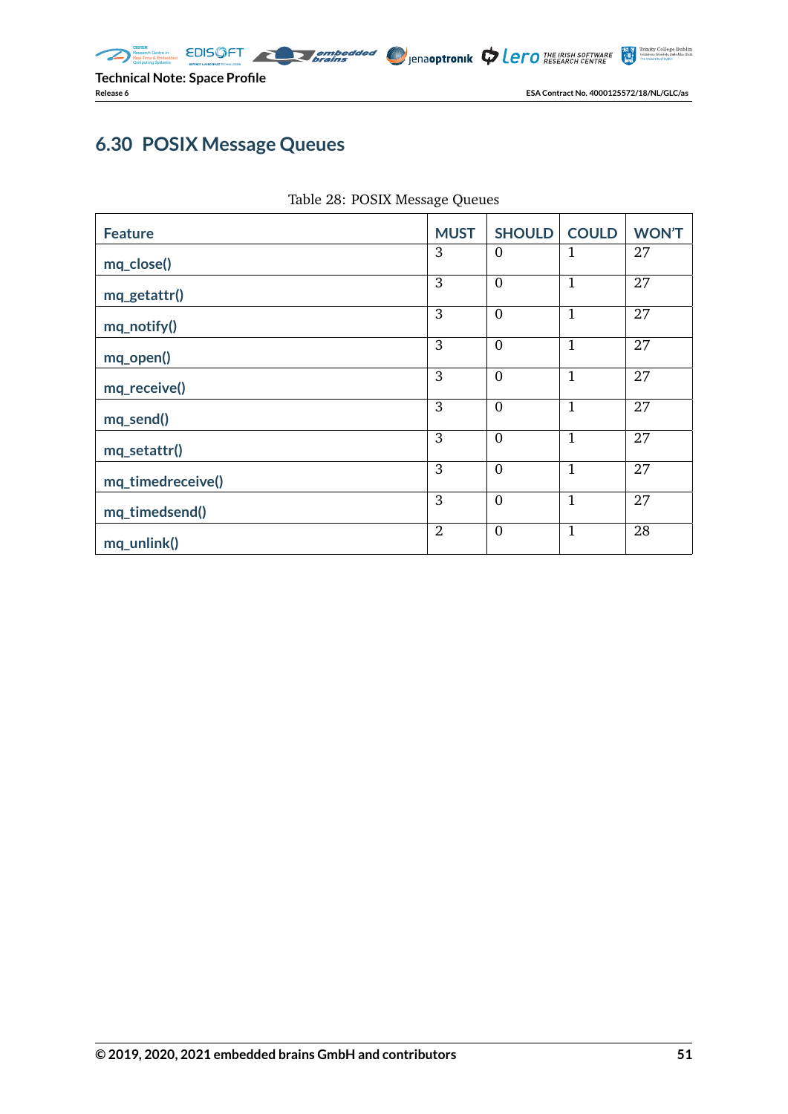

**Release 6 ESA Contract No. 4000125572/18/NL/GLC/as**

## <span id="page-55-0"></span>**6.30 POSIX Message Queues**

| Table 28: POSIX Message Queues |                |                |              |              |
|--------------------------------|----------------|----------------|--------------|--------------|
| <b>Feature</b>                 | <b>MUST</b>    | <b>SHOULD</b>  | <b>COULD</b> | <b>WON'T</b> |
| mq_close()                     | 3              | $\Omega$       | 1            | 27           |
| mq_getattr()                   | 3              | $\overline{0}$ | $\mathbf{1}$ | 27           |
| mq_notify()                    | 3              | $\overline{0}$ | $\mathbf{1}$ | 27           |
| mq_open()                      | 3              | $\overline{0}$ | $\mathbf{1}$ | 27           |
| mq_receive()                   | 3              | $\overline{0}$ | $\mathbf{1}$ | 27           |
| mq_send()                      | 3              | $\overline{0}$ | $\mathbf{1}$ | 27           |
| mq_setattr()                   | 3              | $\Omega$       | $\mathbf{1}$ | 27           |
| mq_timedreceive()              | 3              | $\overline{0}$ | $\mathbf{1}$ | 27           |
| mq_timedsend()                 | 3              | $\overline{0}$ | $\mathbf{1}$ | 27           |
| mq_unlink()                    | $\overline{2}$ | $\overline{0}$ | $\mathbf{1}$ | 28           |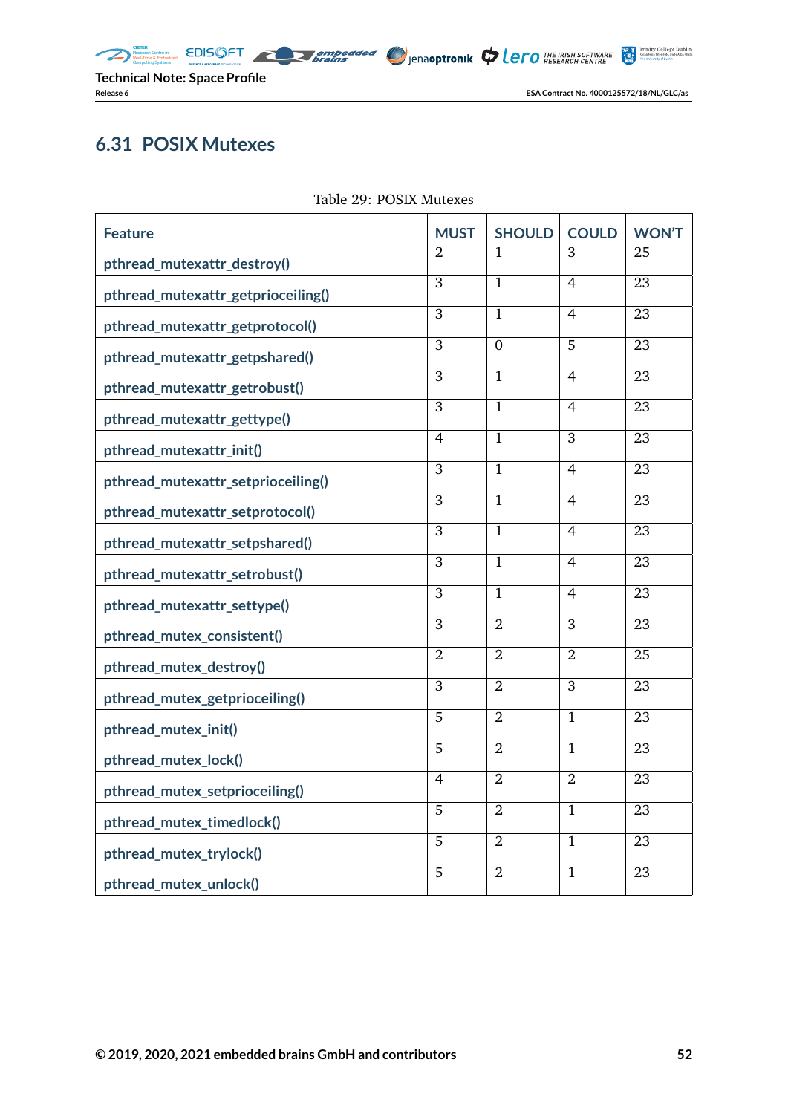

**Release 6 ESA Contract No. 4000125572/18/NL/GLC/as**

## <span id="page-56-0"></span>**6.31 POSIX Mutexes**

| <b>Feature</b>                     | <b>MUST</b>    | <b>SHOULD</b>  | <b>COULD</b>   | <b>WON'T</b>    |
|------------------------------------|----------------|----------------|----------------|-----------------|
| pthread_mutexattr_destroy()        | $\overline{2}$ | 1              | 3              | 25              |
| pthread_mutexattr_getprioceiling() | $\overline{3}$ | $\overline{1}$ | $\overline{4}$ | $\overline{23}$ |
| pthread_mutexattr_getprotocol()    | $\overline{3}$ | $\mathbf{1}$   | $\overline{4}$ | 23              |
| pthread_mutexattr_getpshared()     | $\overline{3}$ | $\overline{0}$ | $\overline{5}$ | 23              |
| pthread_mutexattr_getrobust()      | $\overline{3}$ | $\overline{1}$ | $\overline{4}$ | $\overline{23}$ |
| pthread_mutexattr_gettype()        | $\overline{3}$ | $\mathbf{1}$   | $\overline{4}$ | 23              |
| pthread_mutexattr_init()           | $\overline{4}$ | $\mathbf{1}$   | $\overline{3}$ | 23              |
| pthread_mutexattr_setprioceiling() | $\overline{3}$ | $\mathbf{1}$   | $\overline{4}$ | 23              |
| pthread_mutexattr_setprotocol()    | 3              | $\mathbf{1}$   | $\overline{4}$ | 23              |
| pthread_mutexattr_setpshared()     | $\overline{3}$ | $\overline{1}$ | 4              | $\overline{23}$ |
| pthread_mutexattr_setrobust()      | $\overline{3}$ | $\mathbf{1}$   | $\overline{4}$ | 23              |
| pthread_mutexattr_settype()        | $\overline{3}$ | $\overline{1}$ | $\overline{4}$ | 23              |
| pthread_mutex_consistent()         | $\overline{3}$ | $\overline{2}$ | $\overline{3}$ | $\overline{23}$ |
| pthread_mutex_destroy()            | $\overline{2}$ | $\overline{2}$ | $\overline{2}$ | 25              |
| pthread_mutex_getprioceiling()     | $\overline{3}$ | $\overline{2}$ | $\overline{3}$ | $\overline{23}$ |
| pthread_mutex_init()               | $\overline{5}$ | $\overline{2}$ | $\mathbf{1}$   | 23              |
| pthread_mutex_lock()               | $\overline{5}$ | $\overline{2}$ | $\overline{1}$ | 23              |
| pthread_mutex_setprioceiling()     | $\overline{4}$ | $\overline{2}$ | $\overline{2}$ | $\overline{23}$ |
| pthread_mutex_timedlock()          | 5              | $\overline{2}$ | $\mathbf{1}$   | 23              |
| pthread_mutex_trylock()            | $\overline{5}$ | $\overline{2}$ | $\mathbf{1}$   | $\overline{23}$ |
| pthread_mutex_unlock()             | 5              | $\overline{2}$ | $\mathbf{1}$   | 23              |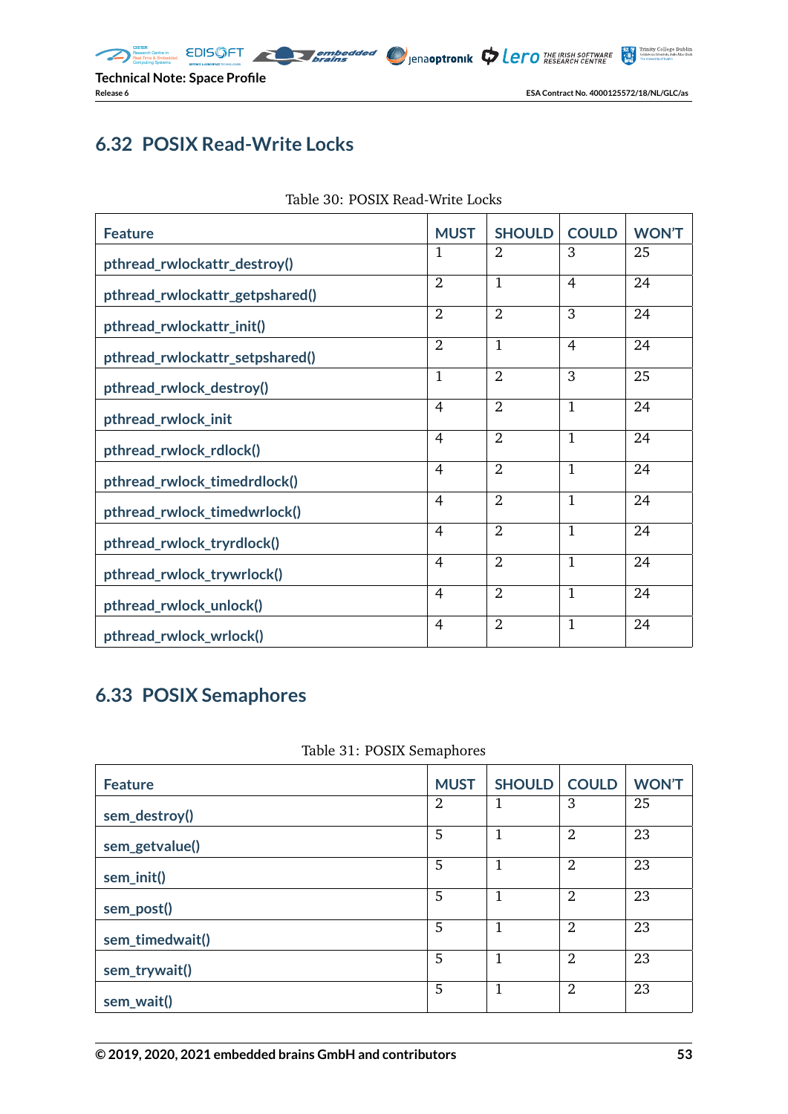

**Release 6 ESA Contract No. 4000125572/18/NL/GLC/as**

## <span id="page-57-0"></span>**6.32 POSIX Read-Write Locks**

| <b>Feature</b>                  | <b>MUST</b>    | <b>SHOULD</b>  | <b>COULD</b>   | <b>WON'T</b> |
|---------------------------------|----------------|----------------|----------------|--------------|
| pthread_rwlockattr_destroy()    | 1              | $\overline{2}$ | 3              | 25           |
| pthread_rwlockattr_getpshared() | $\overline{2}$ | $\mathbf{1}$   | $\overline{4}$ | 24           |
| pthread_rwlockattr_init()       | $\overline{2}$ | $\overline{2}$ | 3              | 24           |
| pthread_rwlockattr_setpshared() | $\overline{2}$ | $\mathbf{1}$   | $\overline{4}$ | 24           |
| pthread_rwlock_destroy()        | $\mathbf{1}$   | $\overline{2}$ | 3              | 25           |
| pthread_rwlock_init             | $\overline{4}$ | $\overline{2}$ | $\mathbf{1}$   | 24           |
| pthread_rwlock_rdlock()         | 4              | $\overline{2}$ | $\mathbf{1}$   | 24           |
| pthread_rwlock_timedrdlock()    | 4              | $\overline{2}$ | $\overline{1}$ | 24           |
| pthread_rwlock_timedwrlock()    | $\overline{4}$ | $\overline{2}$ | $\mathbf{1}$   | 24           |
| pthread_rwlock_tryrdlock()      | $\overline{4}$ | $\overline{2}$ | $\mathbf{1}$   | 24           |
| pthread_rwlock_trywrlock()      | $\overline{4}$ | $\overline{2}$ | $\mathbf{1}$   | 24           |
| pthread_rwlock_unlock()         | 4              | $\overline{2}$ | $\mathbf{1}$   | 24           |
| pthread_rwlock_wrlock()         | 4              | $\overline{2}$ | 1              | 24           |

#### Table 30: POSIX Read-Write Locks

## <span id="page-57-1"></span>**6.33 POSIX Semaphores**

| Table 31: POSIX Semaphores |  |
|----------------------------|--|
|----------------------------|--|

| <b>Feature</b>  | <b>MUST</b>    | <b>SHOULD</b> | <b>COULD</b>   | <b>WON'T</b> |
|-----------------|----------------|---------------|----------------|--------------|
| sem_destroy()   | $\overline{2}$ | $\mathbf{1}$  | 3              | 25           |
| sem_getvalue()  | 5              | 1             | $\overline{2}$ | 23           |
| sem_init()      | 5              | 1             | $\overline{2}$ | 23           |
| sem_post()      | 5              | 1             | 2              | 23           |
| sem_timedwait() | 5              | $\mathbf 1$   | 2              | 23           |
| sem_trywait()   | 5              | 1             | $\overline{2}$ | 23           |
| sem_wait()      | 5              | 1             | $\overline{2}$ | 23           |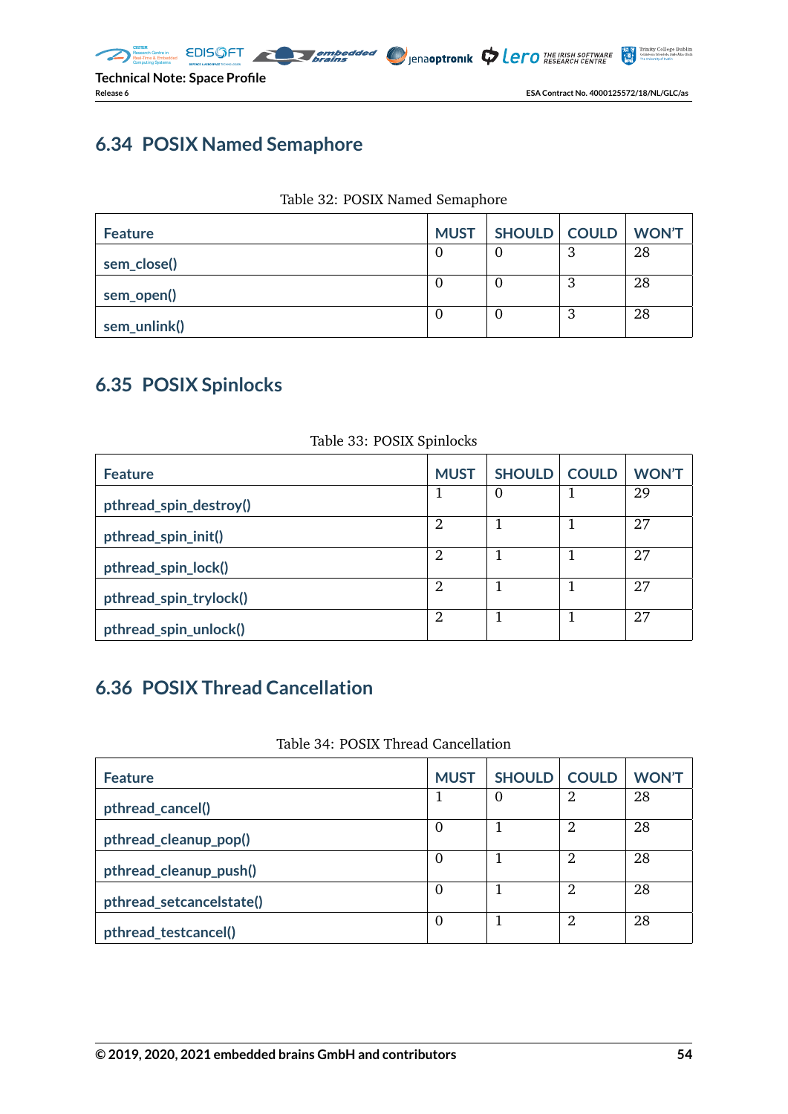

**Release 6 ESA Contract No. 4000125572/18/NL/GLC/as**

## <span id="page-58-0"></span>**6.34 POSIX Named Semaphore**

#### Table 32: POSIX Named Semaphore

| <b>Feature</b> |   | MUST   SHOULD   COULD   WON'T |        |    |
|----------------|---|-------------------------------|--------|----|
| sem_close()    | O | U                             | ર      | 28 |
| sem_open()     | 0 | 0                             | ാ<br>J | 28 |
| sem_unlink()   | O | 0                             | റ<br>J | 28 |

#### <span id="page-58-1"></span>**6.35 POSIX Spinlocks**

## Table 33: POSIX Spinlocks  $\top$ ┑

| <b>Feature</b>         | <b>MUST</b> | <b>SHOULD</b> | <b>COULD</b> | <b>WON'T</b> |
|------------------------|-------------|---------------|--------------|--------------|
| pthread_spin_destroy() |             | 0             |              | 29           |
| pthread_spin_init()    | 2           |               |              | 27           |
| pthread_spin_lock()    | 2           |               |              | 27           |
| pthread_spin_trylock() | 2           |               |              | 27           |
| pthread_spin_unlock()  | 2           |               |              | 27           |

## <span id="page-58-2"></span>**6.36 POSIX Thread Cancellation**

#### Table 34: POSIX Thread Cancellation

| <b>Feature</b>           | <b>MUST</b> | <b>SHOULD</b> | <b>COULD</b>   | <b>WON'T</b> |
|--------------------------|-------------|---------------|----------------|--------------|
| pthread_cancel()         |             | 0             | 2              | 28           |
| pthread_cleanup_pop()    | O           |               | 2              | 28           |
| pthread_cleanup_push()   | 0           |               | $\overline{2}$ | 28           |
| pthread_setcancelstate() | 0           |               | 2              | 28           |
| pthread_testcancel()     | 0           |               | 2              | 28           |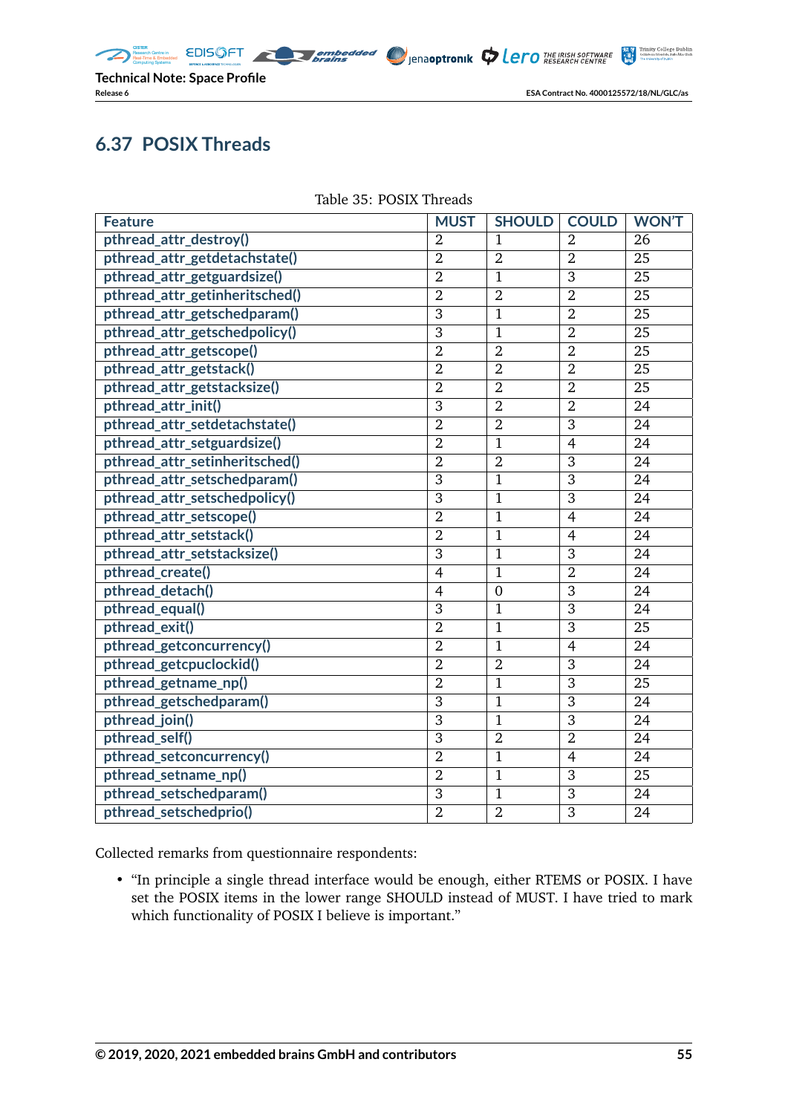



**Release 6 ESA Contract No. 4000125572/18/NL/GLC/as**

(P) Jenaoptronik CO Lero THE IRISH SOFTWARE

## <span id="page-59-0"></span>**6.37 POSIX Threads**

| <b>Feature</b>                 | <b>MUST</b>    | <b>SHOULD</b>  | <b>COULD</b>   | <b>WON'T</b>    |
|--------------------------------|----------------|----------------|----------------|-----------------|
| pthread_attr_destroy()         | $\overline{2}$ | $\mathbf{1}$   | $\overline{2}$ | 26              |
| pthread_attr_getdetachstate()  | $\overline{2}$ | $\overline{2}$ | $\overline{2}$ | 25              |
| pthread_attr_getguardsize()    | $\overline{2}$ | $\overline{1}$ | $\overline{3}$ | 25              |
| pthread_attr_getinheritsched() | $\overline{2}$ | $\overline{2}$ | $\overline{2}$ | $\overline{25}$ |
| pthread attr getschedparam()   | $\overline{3}$ | $\mathbf{1}$   | $\overline{2}$ | 25              |
| pthread_attr_getschedpolicy()  | $\overline{3}$ | $\mathbf{1}$   | $\overline{2}$ | $\overline{25}$ |
| pthread_attr_getscope()        | $\overline{2}$ | $\overline{2}$ | $\overline{2}$ | $\overline{25}$ |
| pthread_attr_getstack()        | $\overline{2}$ | $\overline{2}$ | $\overline{2}$ | 25              |
| pthread_attr_getstacksize()    | $\overline{2}$ | $\overline{2}$ | $\overline{2}$ | 25              |
| pthread_attr_init()            | 3              | $\overline{2}$ | $\overline{2}$ | 24              |
| pthread_attr_setdetachstate()  | $\overline{2}$ | $\overline{2}$ | $\overline{3}$ | 24              |
| pthread_attr_setguardsize()    | $\overline{2}$ | $\mathbf{1}$   | $\overline{4}$ | 24              |
| pthread_attr_setinheritsched() | $\overline{2}$ | $\overline{2}$ | $\overline{3}$ | $\overline{24}$ |
| pthread attr setschedparam()   | $\overline{3}$ | $\overline{1}$ | $\overline{3}$ | 24              |
| pthread_attr_setschedpolicy()  | $\overline{3}$ | $\mathbf{1}$   | $\overline{3}$ | 24              |
| pthread_attr_setscope()        | $\overline{2}$ | $\mathbf{1}$   | $\overline{4}$ | 24              |
| pthread_attr_setstack()        | $\overline{2}$ | $\mathbf{1}$   | $\overline{4}$ | 24              |
| pthread_attr_setstacksize()    | $\overline{3}$ | $\mathbf{1}$   | 3              | 24              |
| pthread_create()               | $\overline{4}$ | $\mathbf{1}$   | $\overline{2}$ | 24              |
| pthread_detach()               | $\overline{4}$ | $\overline{0}$ | $\overline{3}$ | 24              |
| pthread_equal()                | $\overline{3}$ | $\mathbf{1}$   | $\overline{3}$ | 24              |
| pthread_exit()                 | $\overline{2}$ | $\overline{1}$ | $\overline{3}$ | 25              |
| pthread_getconcurrency()       | $\overline{2}$ | $\mathbf{1}$   | $\overline{4}$ | 24              |
| pthread_getcpuclockid()        | $\overline{2}$ | $\overline{2}$ | $\overline{3}$ | $\overline{24}$ |
| pthread_getname_np()           | $\overline{2}$ | $\mathbf{1}$   | 3              | $\overline{25}$ |
| pthread_getschedparam()        | 3              | $\mathbf{1}$   | 3              | 24              |
| pthread_join()                 | $\overline{3}$ | $\mathbf{1}$   | $\overline{3}$ | 24              |
| pthread self()                 | $\overline{3}$ | $\overline{2}$ | $\overline{2}$ | $\overline{24}$ |
| pthread_setconcurrency()       | $\overline{2}$ | $\mathbf{1}$   | $\overline{4}$ | 24              |
| pthread_setname_np()           | $\overline{2}$ | $\mathbf{1}$   | $\overline{3}$ | 25              |
| pthread_setschedparam()        | 3              | $\mathbf{1}$   | 3              | 24              |
| pthread setschedprio()         | $\overline{2}$ | $\overline{2}$ | $\overline{3}$ | $\overline{24}$ |

Table 35: POSIX Threads

Collected remarks from questionnaire respondents:

• "In principle a single thread interface would be enough, either RTEMS or POSIX. I have set the POSIX items in the lower range SHOULD instead of MUST. I have tried to mark which functionality of POSIX I believe is important."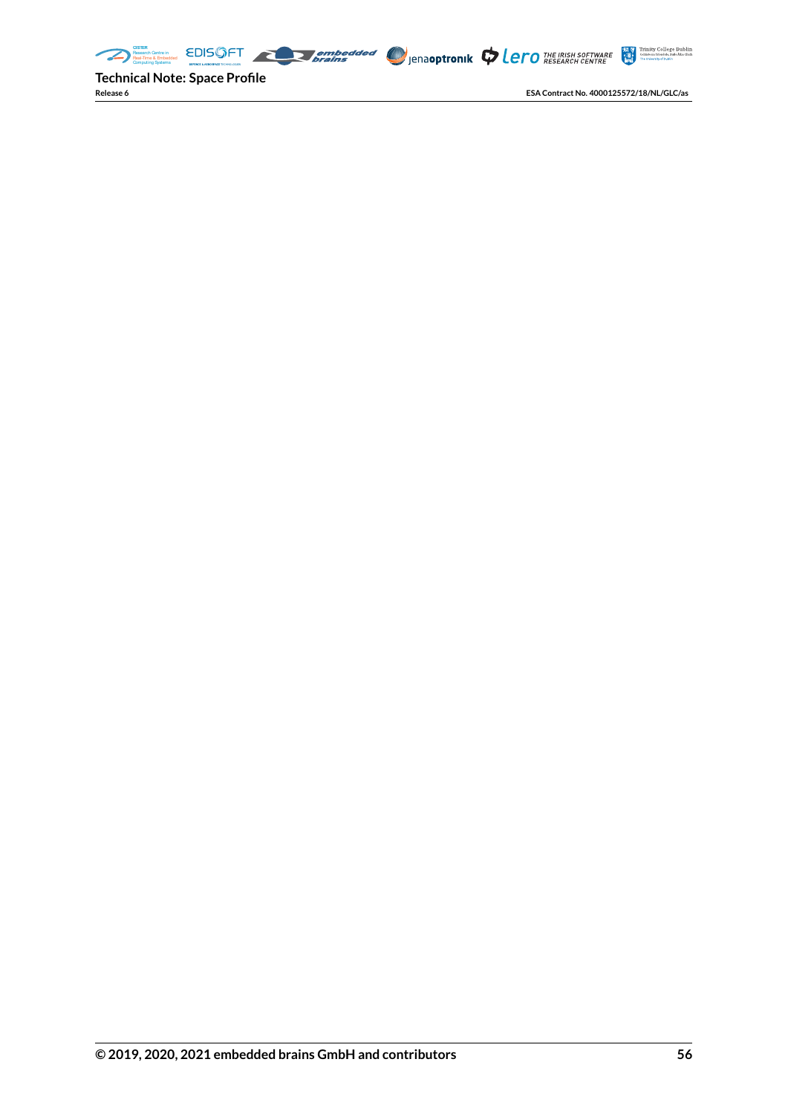





**Release 6 ESA Contract No. 4000125572/18/NL/GLC/as**